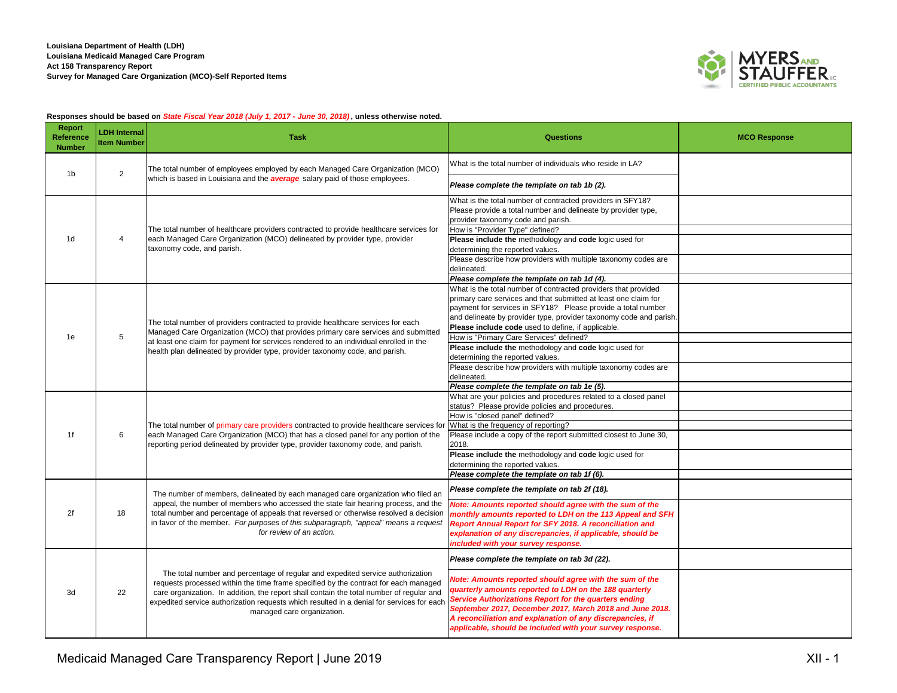

## **Responses should be based on** *State Fiscal Year 2018 (July 1, 2017 - June 30, 2018)***, unless otherwise noted.**

| Report<br>Reference<br><b>Number</b> | <b>LDH Internal</b><br><b>Item Number</b> | <b>Task</b>                                                                                                                                                                                                                                                                                                                                                                                  | <b>Questions</b>                                                                                                                                                                                                                                                                                                                                                                                                                                                                                                                                                                                                                                      | <b>MCO Response</b> |
|--------------------------------------|-------------------------------------------|----------------------------------------------------------------------------------------------------------------------------------------------------------------------------------------------------------------------------------------------------------------------------------------------------------------------------------------------------------------------------------------------|-------------------------------------------------------------------------------------------------------------------------------------------------------------------------------------------------------------------------------------------------------------------------------------------------------------------------------------------------------------------------------------------------------------------------------------------------------------------------------------------------------------------------------------------------------------------------------------------------------------------------------------------------------|---------------------|
| 1b                                   | $\overline{2}$                            | The total number of employees employed by each Managed Care Organization (MCO)                                                                                                                                                                                                                                                                                                               | What is the total number of individuals who reside in LA?                                                                                                                                                                                                                                                                                                                                                                                                                                                                                                                                                                                             |                     |
|                                      |                                           | which is based in Louisiana and the <b>average</b> salary paid of those employees.                                                                                                                                                                                                                                                                                                           | Please complete the template on tab 1b (2).                                                                                                                                                                                                                                                                                                                                                                                                                                                                                                                                                                                                           |                     |
| 1d                                   | $\overline{\mathbf{4}}$                   | The total number of healthcare providers contracted to provide healthcare services for<br>each Managed Care Organization (MCO) delineated by provider type, provider<br>taxonomy code, and parish.                                                                                                                                                                                           | What is the total number of contracted providers in SFY18?<br>Please provide a total number and delineate by provider type,<br>provider taxonomy code and parish.<br>How is "Provider Type" defined?<br>Please include the methodology and code logic used for<br>determining the reported values.<br>Please describe how providers with multiple taxonomy codes are<br>delineated.                                                                                                                                                                                                                                                                   |                     |
| 1e                                   | 5                                         | The total number of providers contracted to provide healthcare services for each<br>Managed Care Organization (MCO) that provides primary care services and submitted<br>at least one claim for payment for services rendered to an individual enrolled in the<br>health plan delineated by provider type, provider taxonomy code, and parish.                                               | Please complete the template on tab 1d (4).<br>What is the total number of contracted providers that provided<br>primary care services and that submitted at least one claim for<br>payment for services in SFY18? Please provide a total number<br>and delineate by provider type, provider taxonomy code and parish.<br>Please include code used to define, if applicable.<br>How is "Primary Care Services" defined?<br>Please include the methodology and code logic used for<br>determining the reported values.<br>Please describe how providers with multiple taxonomy codes are<br>delineated.<br>Please complete the template on tab 1e (5). |                     |
| 1f                                   | 6                                         | The total number of primary care providers contracted to provide healthcare services for<br>each Managed Care Organization (MCO) that has a closed panel for any portion of the<br>reporting period delineated by provider type, provider taxonomy code, and parish.                                                                                                                         | What are your policies and procedures related to a closed panel<br>status? Please provide policies and procedures.<br>How is "closed panel" defined?<br>What is the frequency of reporting?<br>Please include a copy of the report submitted closest to June 30,<br>2018.<br>Please include the methodology and code logic used for<br>determining the reported values.<br>Please complete the template on tab 1f (6).                                                                                                                                                                                                                                |                     |
| 2f                                   | 18                                        | The number of members, delineated by each managed care organization who filed an<br>appeal, the number of members who accessed the state fair hearing process, and the<br>total number and percentage of appeals that reversed or otherwise resolved a decision<br>in favor of the member. For purposes of this subparagraph, "appeal" means a request<br>for review of an action.           | Please complete the template on tab 2f (18).<br>Note: Amounts reported should agree with the sum of the<br>monthly amounts reported to LDH on the 113 Appeal and SFH<br>Report Annual Report for SFY 2018. A reconciliation and<br>explanation of any discrepancies, if applicable, should be<br>included with your survey response.                                                                                                                                                                                                                                                                                                                  |                     |
| 3d                                   | 22                                        | The total number and percentage of regular and expedited service authorization<br>requests processed within the time frame specified by the contract for each managed<br>care organization. In addition, the report shall contain the total number of regular and<br>expedited service authorization requests which resulted in a denial for services for each<br>managed care organization. | Please complete the template on tab 3d (22).<br>Note: Amounts reported should agree with the sum of the<br>quarterly amounts reported to LDH on the 188 quarterly<br>Service Authorizations Report for the quarters ending<br>September 2017, December 2017, March 2018 and June 2018.<br>A reconciliation and explanation of any discrepancies, if<br>applicable, should be included with your survey response.                                                                                                                                                                                                                                      |                     |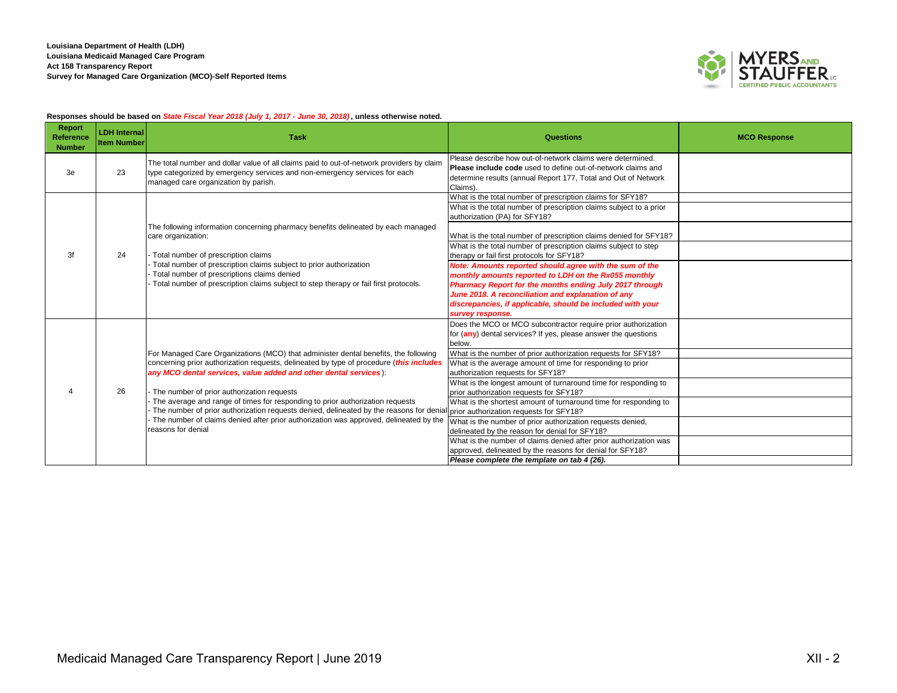

## **Responses should be based on** *State Fiscal Year 2018 (July 1, 2017 - June 30, 2018)***, unless otherwise noted.**

| <b>Report</b><br>Reference<br><b>Number</b> | <b>LDH Internal</b><br><b>Item Number</b> | <b>Task</b>                                                                                                                                                                                                                                                                                                                                                                                                                                                                                                                                                                                                                                 | Questions                                                                                                                                                                                                                                                                                                                                                                                                                                                                                                                                                                                                                                                                                                                                                                                        | <b>MCO Response</b> |
|---------------------------------------------|-------------------------------------------|---------------------------------------------------------------------------------------------------------------------------------------------------------------------------------------------------------------------------------------------------------------------------------------------------------------------------------------------------------------------------------------------------------------------------------------------------------------------------------------------------------------------------------------------------------------------------------------------------------------------------------------------|--------------------------------------------------------------------------------------------------------------------------------------------------------------------------------------------------------------------------------------------------------------------------------------------------------------------------------------------------------------------------------------------------------------------------------------------------------------------------------------------------------------------------------------------------------------------------------------------------------------------------------------------------------------------------------------------------------------------------------------------------------------------------------------------------|---------------------|
| 3e                                          | 23                                        | The total number and dollar value of all claims paid to out-of-network providers by claim<br>type categorized by emergency services and non-emergency services for each<br>managed care organization by parish.                                                                                                                                                                                                                                                                                                                                                                                                                             | Please describe how out-of-network claims were determined.<br>Please include code used to define out-of-network claims and<br>determine results (annual Report 177, Total and Out of Network<br>Claims).                                                                                                                                                                                                                                                                                                                                                                                                                                                                                                                                                                                         |                     |
| 3f                                          | 24                                        | The following information concerning pharmacy benefits delineated by each managed<br>care organization:<br>- Total number of prescription claims<br>Total number of prescription claims subject to prior authorization<br>Total number of prescriptions claims denied<br>Total number of prescription claims subject to step therapy or fail first protocols.                                                                                                                                                                                                                                                                               | What is the total number of prescription claims for SFY18?<br>What is the total number of prescription claims subject to a prior<br>authorization (PA) for SFY18?<br>What is the total number of prescription claims denied for SFY18?<br>What is the total number of prescription claims subject to step<br>therapy or fail first protocols for SFY18?<br>Note: Amounts reported should agree with the sum of the<br>monthly amounts reported to LDH on the Rx055 monthly<br>Pharmacy Report for the months ending July 2017 through<br>June 2018. A reconciliation and explanation of any<br>discrepancies, if applicable, should be included with your<br>survey response.                                                                                                                    |                     |
|                                             | 26                                        | For Managed Care Organizations (MCO) that administer dental benefits, the following<br>concerning prior authorization requests, delineated by type of procedure (this includes<br>any MCO dental services, value added and other dental services):<br>- The number of prior authorization requests<br>- The average and range of times for responding to prior authorization requests<br>- The number of prior authorization requests denied, delineated by the reasons for denial prior authorization requests for SFY18?<br>- The number of claims denied after prior authorization was approved, delineated by the<br>reasons for denial | Does the MCO or MCO subcontractor require prior authorization<br>for (any) dental services? If yes, please answer the questions<br>below.<br>What is the number of prior authorization requests for SFY18?<br>What is the average amount of time for responding to prior<br>authorization requests for SFY18?<br>What is the longest amount of turnaround time for responding to<br>prior authorization requests for SFY18?<br>What is the shortest amount of turnaround time for responding to<br>What is the number of prior authorization requests denied,<br>delineated by the reason for denial for SFY18?<br>What is the number of claims denied after prior authorization was<br>approved, delineated by the reasons for denial for SFY18?<br>Please complete the template on tab 4 (26). |                     |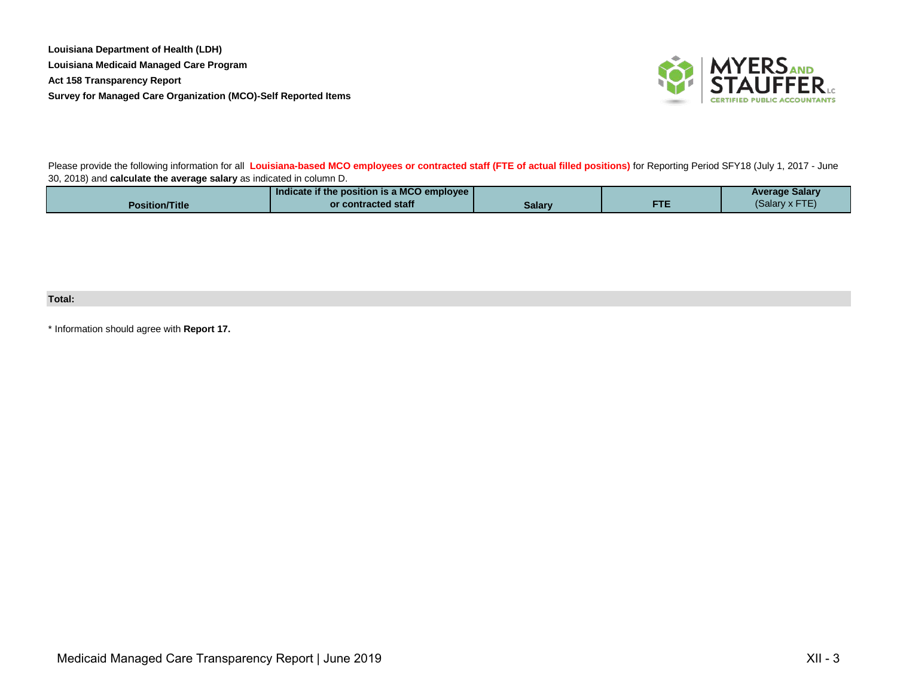

Please provide the following information for all **Louisiana-based MCO employees or contracted staff (FTE of actual filled positions)** for Reporting Period SFY18 (July 1, 2017 - June 30, 2018) and **calculate the average salary** as indicated in column D.

|                       | Indicate if the position is a MCO employee |        |            | <b>Average Salary</b> |
|-----------------------|--------------------------------------------|--------|------------|-----------------------|
| <b>Position/Title</b> | or contracted staff                        | Salary | <b>FTE</b> | (Salary x FTE)        |

# **Total:**

\* Information should agree with **Report 17.**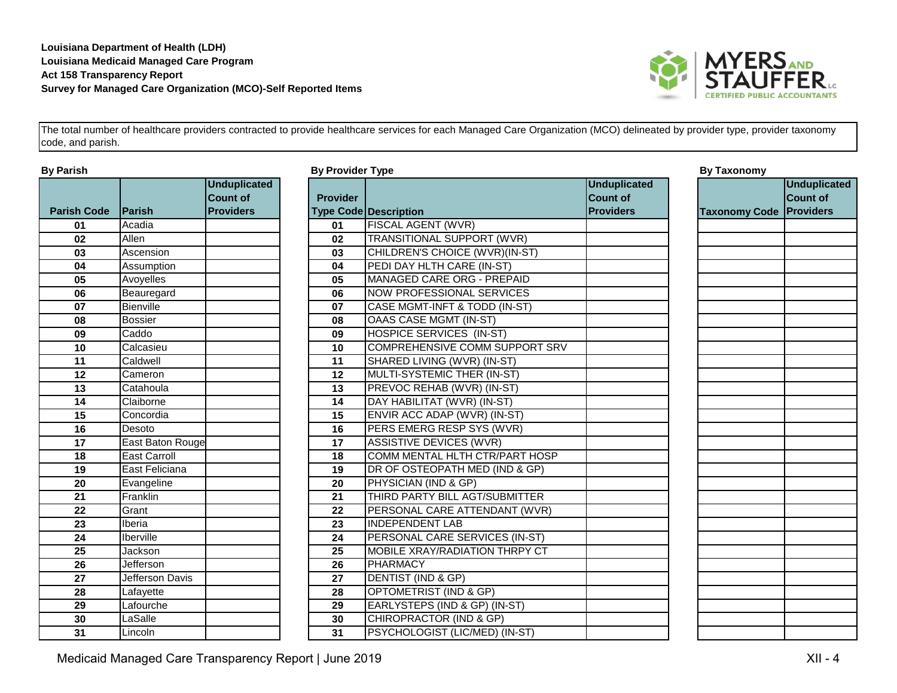

|                    |                        | <b>Unduplicated</b> |                 |                                    |
|--------------------|------------------------|---------------------|-----------------|------------------------------------|
|                    |                        | <b>Count of</b>     | <b>Provider</b> |                                    |
| <b>Parish Code</b> | <b>Parish</b>          | <b>Providers</b>    |                 | <b>Type Code Description</b>       |
| 01                 | Acadia                 |                     | 01              | FISCAL AGENT (WVR)                 |
| 02                 | Allen                  |                     | 02              | TRANSITIONAL SUPPORT (WVI          |
| 03                 | Ascension              |                     | 03              | <b>CHILDREN'S CHOICE (WVR)(IN-</b> |
| 04                 | Assumption             |                     | 04              | PEDI DAY HLTH CARE (IN-ST)         |
| 05                 | Avoyelles              |                     | 05              | <b>MANAGED CARE ORG - PREPA</b>    |
| 06                 | Beauregard             |                     | 06              | <b>NOW PROFESSIONAL SERVICE</b>    |
| 07                 | Bienville              |                     | 07              | CASE MGMT-INFT & TODD (IN-S        |
| 08                 | <b>Bossier</b>         |                     | 08              | OAAS CASE MGMT (IN-ST)             |
| 09                 | Caddo                  |                     | 09              | <b>HOSPICE SERVICES (IN-ST)</b>    |
| 10                 | Calcasieu              |                     | 10              | <b>COMPREHENSIVE COMM SUPF</b>     |
| 11                 | Caldwell               |                     | 11              | SHARED LIVING (WVR) (IN-ST)        |
| 12                 | Cameron                |                     | 12              | MULTI-SYSTEMIC THER (IN-ST)        |
| 13                 | Catahoula              |                     | 13              | PREVOC REHAB (WVR) (IN-ST)         |
| 14                 | Claiborne              |                     | 14              | DAY HABILITAT (WVR) (IN-ST)        |
| 15                 | Concordia              |                     | 15              | ENVIR ACC ADAP (WVR) (IN-ST        |
| 16                 | Desoto                 |                     | 16              | PERS EMERG RESP SYS (WVR           |
| 17                 | East Baton Rouge       |                     | 17              | ASSISTIVE DEVICES (WVR)            |
| 18                 | <b>East Carroll</b>    |                     | 18              | COMM MENTAL HLTH CTR/PAR           |
| 19                 | East Feliciana         |                     | 19              | DR OF OSTEOPATH MED (IND &         |
| 20                 | Evangeline             |                     | 20              | PHYSICIAN (IND & GP)               |
| 21                 | Franklin               |                     | 21              | THIRD PARTY BILL AGT/SUBMIT        |
| 22                 | Grant                  |                     | 22              | PERSONAL CARE ATTENDANT            |
| 23                 | Iberia                 |                     | 23              | <b>INDEPENDENT LAB</b>             |
| 24                 | Iberville              |                     | 24              | PERSONAL CARE SERVICES (II         |
| 25                 | Jackson                |                     | 25              | MOBILE XRAY/RADIATION THR          |
| 26                 | <b>Jefferson</b>       |                     | 26              | <b>PHARMACY</b>                    |
| 27                 | <b>Jefferson Davis</b> |                     | 27              | <b>DENTIST (IND &amp; GP)</b>      |
| 28                 | Lafayette              |                     | 28              | <b>OPTOMETRIST (IND &amp; GP)</b>  |
| 29                 | Lafourche              |                     | 29              | EARLYSTEPS (IND & GP) (IN-ST       |
| 30                 | LaSalle                |                     | 30              | CHIROPRACTOR (IND & GP)            |
| 31                 | Lincoln                |                     | 31              | PSYCHOLOGIST (LIC/MED) (IN-        |

|                     |                                                            |                  |                                    |                                                            | <b>By Taxonomy</b>      |
|---------------------|------------------------------------------------------------|------------------|------------------------------------|------------------------------------------------------------|-------------------------|
| <b>IParish</b>      | <b>Unduplicated</b><br><b>Count of</b><br><b>Providers</b> | <b>Provider</b>  |                                    | <b>Unduplicated</b><br><b>Count of</b><br><b>Providers</b> | <b>Taxonomy Code</b>    |
| Acadia              |                                                            | 01               | FISCAL AGENT (WVR)                 |                                                            |                         |
| Allen               |                                                            | 02               | <b>TRANSITIONAL SUPPORT (WVR)</b>  |                                                            |                         |
| Ascension           |                                                            | 03               | CHILDREN'S CHOICE (WVR)(IN-ST)     |                                                            |                         |
| Assumption          |                                                            | 04               | PEDI DAY HLTH CARE (IN-ST)         |                                                            |                         |
| Avoyelles           |                                                            | 05               | MANAGED CARE ORG - PREPAID         |                                                            |                         |
| Beauregard          |                                                            | 06               | <b>NOW PROFESSIONAL SERVICES</b>   |                                                            |                         |
| Bienville           |                                                            | 07               | CASE MGMT-INFT & TODD (IN-ST)      |                                                            |                         |
| <b>Bossier</b>      |                                                            | 08               | OAAS CASE MGMT (IN-ST)             |                                                            |                         |
| Caddo               |                                                            | 09               | HOSPICE SERVICES (IN-ST)           |                                                            |                         |
| Calcasieu           |                                                            | 10               | COMPREHENSIVE COMM SUPPORT SRV     |                                                            |                         |
| Caldwell            |                                                            | 11               | SHARED LIVING (WVR) (IN-ST)        |                                                            |                         |
| Cameron             |                                                            | 12               | MULTI-SYSTEMIC THER (IN-ST)        |                                                            |                         |
| Catahoula           |                                                            | 13               | PREVOC REHAB (WVR) (IN-ST)         |                                                            |                         |
| Claiborne           |                                                            | 14               | DAY HABILITAT (WVR) (IN-ST)        |                                                            |                         |
| Concordia           |                                                            | 15               | ENVIR ACC ADAP (WVR) (IN-ST)       |                                                            |                         |
| Desoto              |                                                            | 16               | PERS EMERG RESP SYS (WVR)          |                                                            |                         |
|                     |                                                            | 17               | <b>ASSISTIVE DEVICES (WVR)</b>     |                                                            |                         |
| <b>East Carroll</b> |                                                            | 18               | COMM MENTAL HLTH CTR/PART HOSP     |                                                            |                         |
| East Feliciana      |                                                            | 19               | DR OF OSTEOPATH MED (IND & GP)     |                                                            |                         |
| Evangeline          |                                                            | 20               | PHYSICIAN (IND & GP)               |                                                            |                         |
| Franklin            |                                                            | 21               | THIRD PARTY BILL AGT/SUBMITTER     |                                                            |                         |
| Grant               |                                                            | 22               | PERSONAL CARE ATTENDANT (WVR)      |                                                            |                         |
| Iberia              |                                                            | 23               | <b>INDEPENDENT LAB</b>             |                                                            |                         |
| Iberville           |                                                            | 24               | PERSONAL CARE SERVICES (IN-ST)     |                                                            |                         |
| Jackson             |                                                            | 25               | MOBILE XRAY/RADIATION THRPY CT     |                                                            |                         |
| Jefferson           |                                                            | 26               | <b>PHARMACY</b>                    |                                                            |                         |
| Jefferson Davis     |                                                            | 27               | <b>DENTIST (IND &amp; GP)</b>      |                                                            |                         |
| Lafayette           |                                                            | 28               | OPTOMETRIST (IND & GP)             |                                                            |                         |
| Lafourche           |                                                            | 29               | EARLYSTEPS (IND & GP) (IN-ST)      |                                                            |                         |
| LaSalle             |                                                            | 30               | <b>CHIROPRACTOR (IND &amp; GP)</b> |                                                            |                         |
| Lincoln             |                                                            | 31               | PSYCHOLOGIST (LIC/MED) (IN-ST)     |                                                            |                         |
|                     |                                                            | East Baton Rouge |                                    | <b>Type Code Description</b>                               | <b>By Provider Type</b> |

| <b>By Taxonomy</b>   |                                                            |
|----------------------|------------------------------------------------------------|
| <b>Taxonomy Code</b> | <b>Unduplicated</b><br><b>Count of</b><br><b>Providers</b> |
|                      |                                                            |
|                      |                                                            |
|                      |                                                            |
|                      |                                                            |
|                      |                                                            |
|                      |                                                            |
|                      |                                                            |
|                      |                                                            |
|                      |                                                            |
|                      |                                                            |
|                      |                                                            |
|                      |                                                            |
|                      |                                                            |
|                      |                                                            |
|                      |                                                            |
|                      |                                                            |
|                      |                                                            |
|                      |                                                            |
|                      |                                                            |
|                      |                                                            |
|                      |                                                            |
|                      |                                                            |
|                      |                                                            |
|                      |                                                            |
|                      |                                                            |
|                      |                                                            |
|                      |                                                            |
|                      |                                                            |
|                      |                                                            |
|                      |                                                            |
|                      |                                                            |
|                      |                                                            |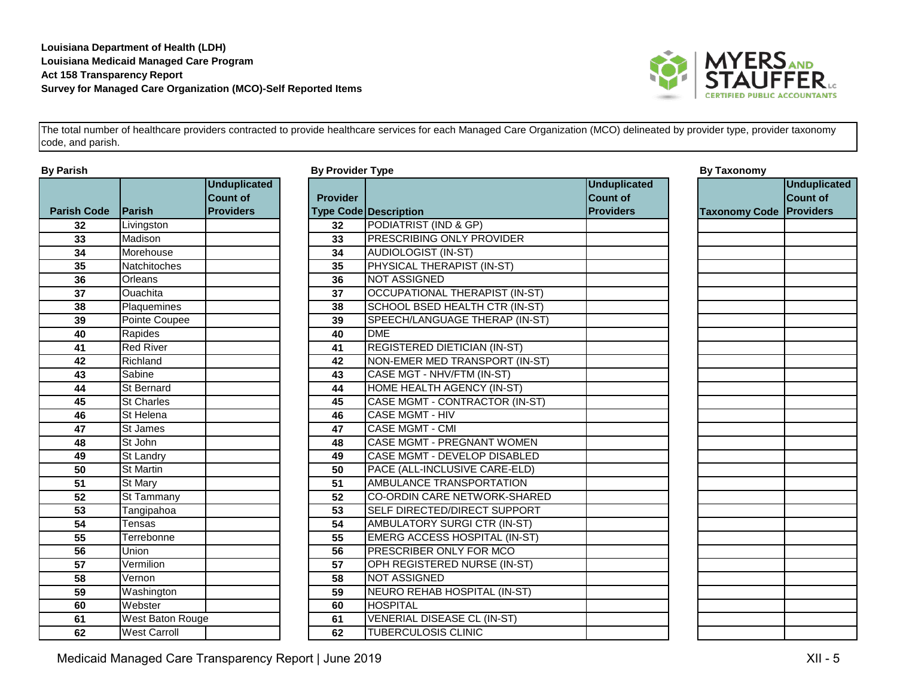

|                    |                         | <b>Unduplicated</b> |                 |                                    |
|--------------------|-------------------------|---------------------|-----------------|------------------------------------|
|                    |                         | <b>Count of</b>     | <b>Provider</b> |                                    |
| <b>Parish Code</b> | <b>IParish</b>          | <b>Providers</b>    |                 | <b>Type Code Description</b>       |
| 32                 | Livingston              |                     | 32              | PODIATRIST (IND & GP)              |
| 33                 | Madison                 |                     | 33              | PRESCRIBING ONLY PROVIDE           |
| 34                 | Morehouse               |                     | 34              | AUDIOLOGIST (IN-ST)                |
| 35                 | Natchitoches            |                     | 35              | PHYSICAL THERAPIST (IN-ST)         |
| 36                 | Orleans                 |                     | 36              | <b>NOT ASSIGNED</b>                |
| 37                 | Ouachita                |                     | 37              | <b>OCCUPATIONAL THERAPIST (I</b>   |
| 38                 | Plaquemines             |                     | 38              | SCHOOL BSED HEALTH CTR (I          |
| 39                 | Pointe Coupee           |                     | 39              | SPEECH/LANGUAGE THERAP             |
| 40                 | Rapides                 |                     | 40              | <b>DME</b>                         |
| 41                 | <b>Red River</b>        |                     | 41              | <b>REGISTERED DIETICIAN (IN-ST</b> |
| 42                 | Richland                |                     | 42              | NON-EMER MED TRANSPORT             |
| 43                 | Sabine                  |                     | 43              | CASE MGT - NHV/FTM (IN-ST)         |
| 44                 | St Bernard              |                     | 44              | <b>HOME HEALTH AGENCY (IN-ST</b>   |
| 45                 | St Charles              |                     | 45              | CASE MGMT - CONTRACTOR (I          |
| 46                 | St Helena               |                     | 46              | <b>CASE MGMT - HIV</b>             |
| 47                 | St James                |                     | 47              | <b>CASE MGMT - CMI</b>             |
| 48                 | St John                 |                     | 48              | CASE MGMT - PREGNANT WOI           |
| 49                 | St Landry               |                     | 49              | CASE MGMT - DEVELOP DISAE          |
| 50                 | <b>St Martin</b>        |                     | 50              | PACE (ALL-INCLUSIVE CARE-E         |
| 51                 | St Mary                 |                     | 51              | AMBULANCE TRANSPORTATIC            |
| 52                 | St Tammany              |                     | 52              | <b>CO-ORDIN CARE NETWORK-SI</b>    |
| 53                 | Tangipahoa              |                     | 53              | SELF DIRECTED/DIRECT SUPP          |
| 54                 | Tensas                  |                     | 54              | <b>AMBULATORY SURGI CTR (IN-3</b>  |
| 55                 | Terrebonne              |                     | 55              | <b>EMERG ACCESS HOSPITAL (IN</b>   |
| 56                 | Union                   |                     | 56              | PRESCRIBER ONLY FOR MCO            |
| 57                 | Vermilion               |                     | 57              | OPH REGISTERED NURSE (IN-          |
| 58                 | Vernon                  |                     | 58              | <b>NOT ASSIGNED</b>                |
| 59                 | Washington              |                     | 59              | NEURO REHAB HOSPITAL (IN-          |
| 60                 | Webster                 |                     | 60              | <b>HOSPITAL</b>                    |
| 61                 | <b>West Baton Rouge</b> |                     | 61              | VENERIAL DISEASE CL (IN-ST)        |
| 62                 | <b>West Carroll</b>     |                     | 62              | TUBERCULOSIS CLINIC                |

| By Parish          |                         |                                                            | <b>By Provider Type</b> |                                       |                                                            |                      |
|--------------------|-------------------------|------------------------------------------------------------|-------------------------|---------------------------------------|------------------------------------------------------------|----------------------|
| <b>Parish Code</b> | <b>IParish</b>          | <b>Unduplicated</b><br><b>Count of</b><br><b>Providers</b> | <b>Provider</b>         | <b>Type Code Description</b>          | <b>Unduplicated</b><br><b>Count of</b><br><b>Providers</b> | <b>Taxonomy Code</b> |
| 32                 | Livingston              |                                                            | 32                      | PODIATRIST (IND & GP)                 |                                                            |                      |
| 33                 | Madison                 |                                                            | 33                      | PRESCRIBING ONLY PROVIDER             |                                                            |                      |
| 34                 | Morehouse               |                                                            | 34                      | <b>AUDIOLOGIST (IN-ST)</b>            |                                                            |                      |
| 35                 | Natchitoches            |                                                            | 35                      | PHYSICAL THERAPIST (IN-ST)            |                                                            |                      |
| 36                 | Orleans                 |                                                            | 36                      | <b>NOT ASSIGNED</b>                   |                                                            |                      |
| $\overline{37}$    | Ouachita                |                                                            | 37                      | <b>OCCUPATIONAL THERAPIST (IN-ST)</b> |                                                            |                      |
| 38                 | Plaquemines             |                                                            | 38                      | SCHOOL BSED HEALTH CTR (IN-ST)        |                                                            |                      |
| 39                 | Pointe Coupee           |                                                            | 39                      | SPEECH/LANGUAGE THERAP (IN-ST)        |                                                            |                      |
| 40                 | Rapides                 |                                                            | 40                      | <b>DME</b>                            |                                                            |                      |
| 41                 | <b>Red River</b>        |                                                            | 41                      | <b>REGISTERED DIETICIAN (IN-ST)</b>   |                                                            |                      |
| 42                 | Richland                |                                                            | 42                      | NON-EMER MED TRANSPORT (IN-ST)        |                                                            |                      |
| $\overline{43}$    | Sabine                  |                                                            | 43                      | CASE MGT - NHV/FTM (IN-ST)            |                                                            |                      |
| 44                 | St Bernard              |                                                            | 44                      | HOME HEALTH AGENCY (IN-ST)            |                                                            |                      |
| 45                 | <b>St Charles</b>       |                                                            | 45                      | CASE MGMT - CONTRACTOR (IN-ST)        |                                                            |                      |
| 46                 | St Helena               |                                                            | 46                      | <b>CASE MGMT - HIV</b>                |                                                            |                      |
| 47                 | St James                |                                                            | 47                      | <b>CASE MGMT - CMI</b>                |                                                            |                      |
| 48                 | St John                 |                                                            | 48                      | <b>CASE MGMT - PREGNANT WOMEN</b>     |                                                            |                      |
| 49                 | St Landry               |                                                            | 49                      | CASE MGMT - DEVELOP DISABLED          |                                                            |                      |
| 50                 | St Martin               |                                                            | 50                      | PACE (ALL-INCLUSIVE CARE-ELD)         |                                                            |                      |
| 51                 | St Mary                 |                                                            | 51                      | AMBULANCE TRANSPORTATION              |                                                            |                      |
| 52                 | <b>St Tammany</b>       |                                                            | 52                      | <b>CO-ORDIN CARE NETWORK-SHARED</b>   |                                                            |                      |
| 53                 | Tangipahoa              |                                                            | 53                      | SELF DIRECTED/DIRECT SUPPORT          |                                                            |                      |
| 54                 | <b>Tensas</b>           |                                                            | 54                      | <b>AMBULATORY SURGI CTR (IN-ST)</b>   |                                                            |                      |
| $\overline{55}$    | Terrebonne              |                                                            | 55                      | <b>EMERG ACCESS HOSPITAL (IN-ST)</b>  |                                                            |                      |
| $\overline{56}$    | Union                   |                                                            | 56                      | PRESCRIBER ONLY FOR MCO               |                                                            |                      |
| 57                 | Vermilion               |                                                            | 57                      | OPH REGISTERED NURSE (IN-ST)          |                                                            |                      |
| 58                 | Vernon                  |                                                            | 58                      | <b>NOT ASSIGNED</b>                   |                                                            |                      |
| 59                 | Washington              |                                                            | 59                      | NEURO REHAB HOSPITAL (IN-ST)          |                                                            |                      |
| 60                 | Webster                 |                                                            | 60                      | <b>HOSPITAL</b>                       |                                                            |                      |
| 61                 | <b>West Baton Rouge</b> |                                                            | 61                      | <b>VENERIAL DISEASE CL (IN-ST)</b>    |                                                            |                      |
| 62                 | <b>West Carroll</b>     |                                                            | 62                      | <b>TUBERCULOSIS CLINIC</b>            |                                                            |                      |

| <b>By Taxonomy</b>   |                     |
|----------------------|---------------------|
|                      | <b>Unduplicated</b> |
|                      | <b>Count of</b>     |
|                      | <b>Providers</b>    |
| <b>Taxonomy Code</b> |                     |
|                      |                     |
|                      |                     |
|                      |                     |
|                      |                     |
|                      |                     |
|                      |                     |
|                      |                     |
|                      |                     |
|                      |                     |
|                      |                     |
|                      |                     |
|                      |                     |
|                      |                     |
|                      |                     |
|                      |                     |
|                      |                     |
|                      |                     |
|                      |                     |
|                      |                     |
|                      |                     |
|                      |                     |
|                      |                     |
|                      |                     |
|                      |                     |
|                      |                     |
|                      |                     |
|                      |                     |
|                      |                     |
|                      |                     |
|                      |                     |
|                      |                     |
|                      |                     |
|                      |                     |
|                      |                     |
|                      |                     |
|                      |                     |
|                      |                     |
|                      |                     |
|                      |                     |

Medicaid Managed Care Transparency Report | June 2019 **XII - 5** Network 30 Network 30 Network 30 Network 30 Network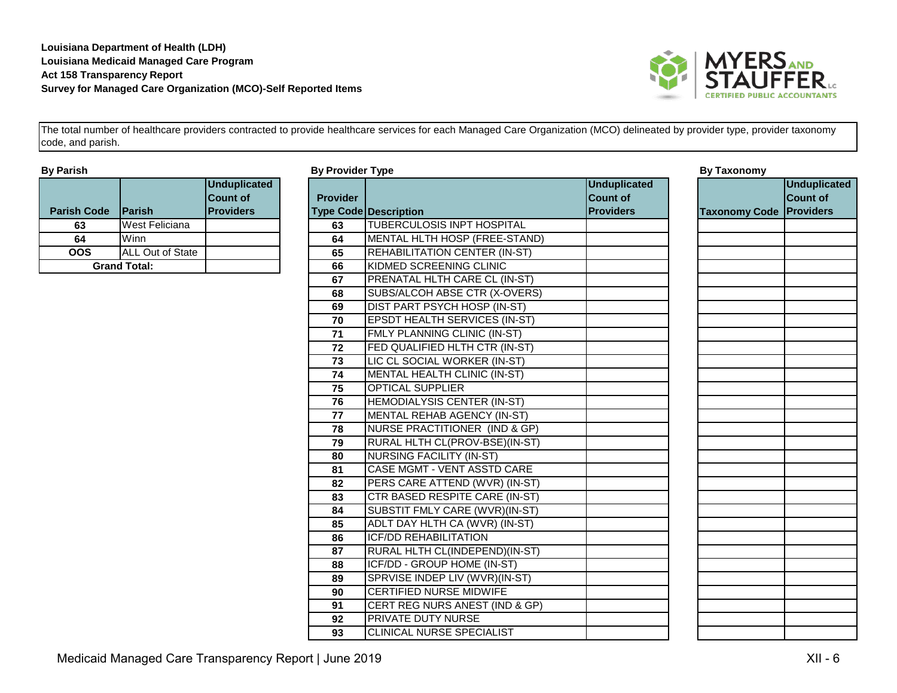

| <b>By Parish</b> |  |
|------------------|--|
|------------------|--|

| <b>Parish Code</b>  | Parish                  | <b>Unduplicated</b><br><b>Count of</b><br><b>Providers</b> |
|---------------------|-------------------------|------------------------------------------------------------|
| 63                  | West Feliciana          |                                                            |
| 64                  | Winn                    |                                                            |
| OOS                 | <b>ALL Out of State</b> |                                                            |
| <b>Grand Total:</b> |                         |                                                            |

| By Parish          |                     |                     | <b>By Provider Type</b> |                                      |                     | <b>By Taxonomy</b>             |                     |
|--------------------|---------------------|---------------------|-------------------------|--------------------------------------|---------------------|--------------------------------|---------------------|
|                    |                     | <b>Unduplicated</b> |                         |                                      | <b>Unduplicated</b> |                                | <b>Unduplicated</b> |
|                    |                     | <b>Count of</b>     | <b>Provider</b>         |                                      | <b>Count of</b>     |                                | Count of            |
| <b>Parish Code</b> | Parish              | <b>Providers</b>    |                         | <b>Type Code Description</b>         | <b>Providers</b>    | <b>Taxonomy Code Providers</b> |                     |
| 63                 | West Feliciana      |                     | 63                      | TUBERCULOSIS INPT HOSPITAL           |                     |                                |                     |
| 64                 | Winn                |                     | 64                      | MENTAL HLTH HOSP (FREE-STAND)        |                     |                                |                     |
| <b>OOS</b>         | ALL Out of State    |                     | 65                      | <b>REHABILITATION CENTER (IN-ST)</b> |                     |                                |                     |
|                    | <b>Grand Total:</b> |                     | 66                      | KIDMED SCREENING CLINIC              |                     |                                |                     |
|                    |                     |                     | 67                      | PRENATAL HLTH CARE CL (IN-ST)        |                     |                                |                     |
|                    |                     |                     | 68                      | SUBS/ALCOH ABSE CTR (X-OVERS)        |                     |                                |                     |
|                    |                     |                     | 69                      | DIST PART PSYCH HOSP (IN-ST)         |                     |                                |                     |
|                    |                     |                     | 70                      | <b>EPSDT HEALTH SERVICES (IN-ST)</b> |                     |                                |                     |
|                    |                     |                     | 71                      | FMLY PLANNING CLINIC (IN-ST)         |                     |                                |                     |
|                    |                     |                     | 72                      | FED QUALIFIED HLTH CTR (IN-ST)       |                     |                                |                     |
|                    |                     |                     | 73                      | LIC CL SOCIAL WORKER (IN-ST)         |                     |                                |                     |
|                    |                     |                     | 74                      | MENTAL HEALTH CLINIC (IN-ST)         |                     |                                |                     |
|                    |                     |                     | 75                      | <b>OPTICAL SUPPLIER</b>              |                     |                                |                     |
|                    |                     |                     | 76                      | HEMODIALYSIS CENTER (IN-ST)          |                     |                                |                     |
|                    |                     |                     | 77                      | MENTAL REHAB AGENCY (IN-ST)          |                     |                                |                     |
|                    |                     |                     | 78                      | NURSE PRACTITIONER (IND & GP)        |                     |                                |                     |
|                    |                     |                     | 79                      | RURAL HLTH CL(PROV-BSE)(IN-ST)       |                     |                                |                     |
|                    |                     |                     | 80                      | <b>NURSING FACILITY (IN-ST)</b>      |                     |                                |                     |
|                    |                     |                     | 81                      | <b>CASE MGMT - VENT ASSTD CARE</b>   |                     |                                |                     |
|                    |                     |                     | 82                      | PERS CARE ATTEND (WVR) (IN-ST)       |                     |                                |                     |
|                    |                     |                     | 83                      | CTR BASED RESPITE CARE (IN-ST)       |                     |                                |                     |
|                    |                     |                     | 84                      | SUBSTIT FMLY CARE (WVR)(IN-ST)       |                     |                                |                     |
|                    |                     |                     | 85                      | ADLT DAY HLTH CA (WVR) (IN-ST)       |                     |                                |                     |
|                    |                     |                     | 86                      | <b>ICF/DD REHABILITATION</b>         |                     |                                |                     |
|                    |                     |                     | 87                      | RURAL HLTH CL(INDEPEND)(IN-ST)       |                     |                                |                     |
|                    |                     |                     | 88                      | ICF/DD - GROUP HOME (IN-ST)          |                     |                                |                     |
|                    |                     |                     | 89                      | SPRVISE INDEP LIV (WVR)(IN-ST)       |                     |                                |                     |
|                    |                     |                     | 90                      | <b>CERTIFIED NURSE MIDWIFE</b>       |                     |                                |                     |
|                    |                     |                     | 91                      | CERT REG NURS ANEST (IND & GP)       |                     |                                |                     |
|                    |                     |                     | 92                      | <b>PRIVATE DUTY NURSE</b>            |                     |                                |                     |
|                    |                     |                     | 93                      | <b>CLINICAL NURSE SPECIALIST</b>     |                     |                                |                     |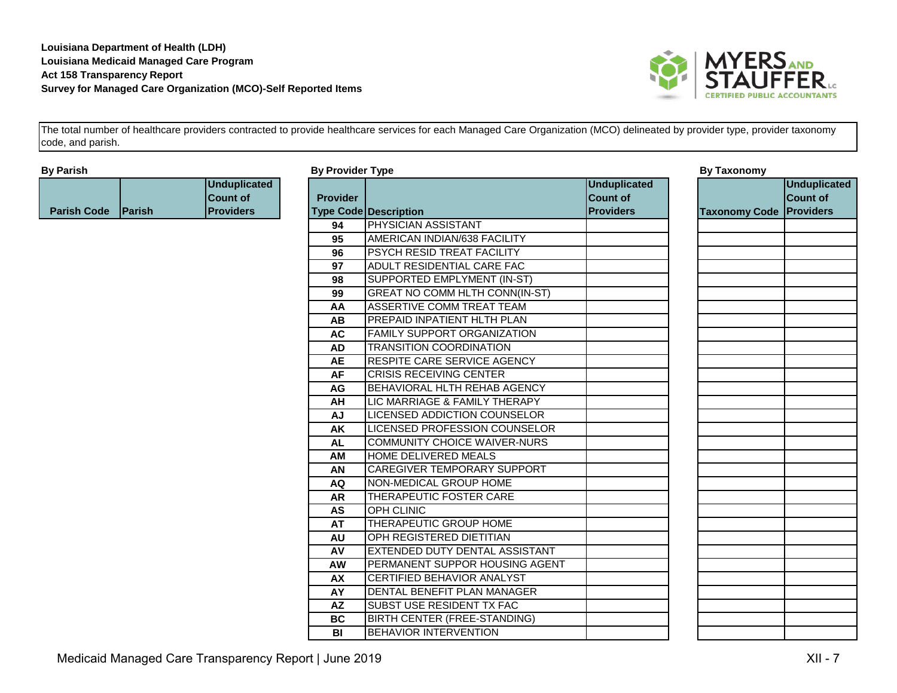

| <b>By Parish</b>             |                                                            | <b>By Provider Type</b> |                                       |                                                            | <b>By Taxonomy</b>             |                                        |
|------------------------------|------------------------------------------------------------|-------------------------|---------------------------------------|------------------------------------------------------------|--------------------------------|----------------------------------------|
| <b>Parish Code</b><br>Parish | <b>Unduplicated</b><br><b>Count of</b><br><b>Providers</b> | <b>Provider</b>         | <b>Type Code Description</b>          | <b>Unduplicated</b><br><b>Count of</b><br><b>Providers</b> | <b>Taxonomy Code Providers</b> | <b>Unduplicated</b><br><b>Count of</b> |
|                              |                                                            | 94                      | <b>PHYSICIAN ASSISTANT</b>            |                                                            |                                |                                        |
|                              |                                                            | 95                      | AMERICAN INDIAN/638 FACILITY          |                                                            |                                |                                        |
|                              |                                                            | 96                      | PSYCH RESID TREAT FACILITY            |                                                            |                                |                                        |
|                              |                                                            | 97                      | ADULT RESIDENTIAL CARE FAC            |                                                            |                                |                                        |
|                              |                                                            | 98                      | SUPPORTED EMPLYMENT (IN-ST)           |                                                            |                                |                                        |
|                              |                                                            | 99                      | <b>GREAT NO COMM HLTH CONN(IN-ST)</b> |                                                            |                                |                                        |
|                              |                                                            | AA                      | ASSERTIVE COMM TREAT TEAM             |                                                            |                                |                                        |
|                              |                                                            | AB                      | <b>PREPAID INPATIENT HLTH PLAN</b>    |                                                            |                                |                                        |
|                              |                                                            | <b>AC</b>               | <b>FAMILY SUPPORT ORGANIZATION</b>    |                                                            |                                |                                        |
|                              |                                                            | <b>AD</b>               | <b>TRANSITION COORDINATION</b>        |                                                            |                                |                                        |
|                              |                                                            | <b>AE</b>               | <b>RESPITE CARE SERVICE AGENCY</b>    |                                                            |                                |                                        |
|                              |                                                            | <b>AF</b>               | <b>CRISIS RECEIVING CENTER</b>        |                                                            |                                |                                        |
|                              |                                                            | AG                      | BEHAVIORAL HLTH REHAB AGENCY          |                                                            |                                |                                        |
|                              |                                                            | AH                      | LIC MARRIAGE & FAMILY THERAPY         |                                                            |                                |                                        |
|                              |                                                            | <b>AJ</b>               | <b>LICENSED ADDICTION COUNSELOR</b>   |                                                            |                                |                                        |
|                              |                                                            | AK                      | LICENSED PROFESSION COUNSELOR         |                                                            |                                |                                        |
|                              |                                                            | <b>AL</b>               | COMMUNITY CHOICE WAIVER-NURS          |                                                            |                                |                                        |
|                              |                                                            | AM                      | HOME DELIVERED MEALS                  |                                                            |                                |                                        |
|                              |                                                            | AN                      | <b>CAREGIVER TEMPORARY SUPPORT</b>    |                                                            |                                |                                        |
|                              |                                                            | AQ                      | NON-MEDICAL GROUP HOME                |                                                            |                                |                                        |
|                              |                                                            | <b>AR</b>               | THERAPEUTIC FOSTER CARE               |                                                            |                                |                                        |
|                              |                                                            | AS                      | <b>OPH CLINIC</b>                     |                                                            |                                |                                        |
|                              |                                                            | <b>AT</b>               | THERAPEUTIC GROUP HOME                |                                                            |                                |                                        |
|                              |                                                            | <b>AU</b>               | <b>I</b> OPH REGISTERED DIETITIAN     |                                                            |                                |                                        |
|                              |                                                            | AV                      | EXTENDED DUTY DENTAL ASSISTANT        |                                                            |                                |                                        |
|                              |                                                            | <b>AW</b>               | PERMANENT SUPPOR HOUSING AGENT        |                                                            |                                |                                        |
|                              |                                                            | AX                      | CERTIFIED BEHAVIOR ANALYST            |                                                            |                                |                                        |
|                              |                                                            | AY                      | DENTAL BENEFIT PLAN MANAGER           |                                                            |                                |                                        |
|                              |                                                            | <b>AZ</b>               | <b>SUBST USE RESIDENT TX FAC</b>      |                                                            |                                |                                        |
|                              |                                                            | <b>BC</b>               | BIRTH CENTER (FREE-STANDING)          |                                                            |                                |                                        |
|                              |                                                            | BI                      | <b>BEHAVIOR INTERVENTION</b>          |                                                            |                                |                                        |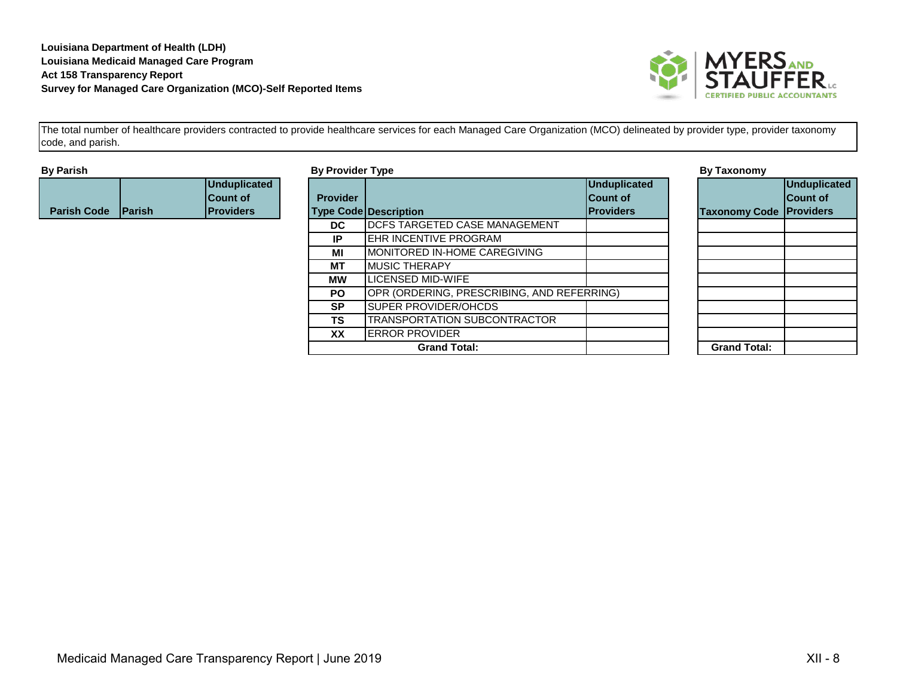

| <b>By Parish</b>   |                |                   | <b>By Provider Type</b> |                                            |                   | <b>By Taxonomy</b>             |                 |
|--------------------|----------------|-------------------|-------------------------|--------------------------------------------|-------------------|--------------------------------|-----------------|
|                    |                | Unduplicated      |                         |                                            | Unduplicated      |                                | Unduplicated    |
|                    |                | <b>Count of</b>   | <b>Provider</b>         |                                            | <b>Count of</b>   |                                | <b>Count of</b> |
| <b>Parish Code</b> | <b>IParish</b> | <b>IProviders</b> |                         | <b>Type Code Description</b>               | <b>IProviders</b> | <b>Taxonomy Code Providers</b> |                 |
|                    |                |                   | <b>DC</b>               | <b>DCFS TARGETED CASE MANAGEMENT</b>       |                   |                                |                 |
|                    |                |                   | IP.                     | <b>LEHR INCENTIVE PROGRAM</b>              |                   |                                |                 |
|                    |                |                   | МI                      | <b>IMONITORED IN-HOME CAREGIVING</b>       |                   |                                |                 |
|                    |                |                   | МT                      | <b>IMUSIC THERAPY</b>                      |                   |                                |                 |
|                    |                |                   | МW                      | LICENSED MID-WIFE                          |                   |                                |                 |
|                    |                |                   | <b>PO</b>               | OPR (ORDERING, PRESCRIBING, AND REFERRING) |                   |                                |                 |
|                    |                |                   | <b>SP</b>               | <b>ISUPER PROVIDER/OHCDS</b>               |                   |                                |                 |
|                    |                |                   | <b>TS</b>               | <b>TRANSPORTATION SUBCONTRACTOR</b>        |                   |                                |                 |
|                    |                |                   | XX                      | <b>IERROR PROVIDER</b>                     |                   |                                |                 |
|                    |                |                   |                         | <b>Grand Total:</b>                        |                   | <b>Grand Total:</b>            |                 |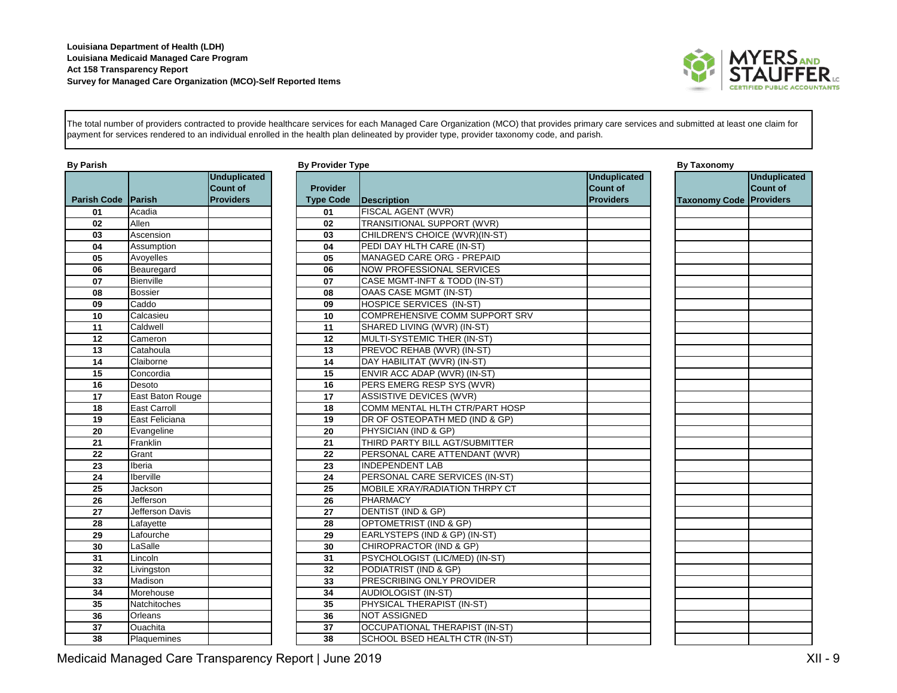

The total number of providers contracted to provide healthcare services for each Managed Care Organization (MCO) that provides primary care services and submitted at least one claim for payment for services rendered to an individual enrolled in the health plan delineated by provider type, provider taxonomy code, and parish.

| <b>By Parish</b><br><b>Parish Code Parish</b> |                     | <b>Unduplicated</b><br><b>Count of</b><br><b>Providers</b> | <b>By Provider Type</b><br><b>Provider</b><br><b>Type Code</b> | Description                       | <b>Unduplicated</b><br><b>Count of</b><br><b>Providers</b> | <b>By Taxonomy</b><br><b>Taxonomy Co</b> |
|-----------------------------------------------|---------------------|------------------------------------------------------------|----------------------------------------------------------------|-----------------------------------|------------------------------------------------------------|------------------------------------------|
| 01                                            | Acadia              |                                                            | 01                                                             | <b>FISCAL AGENT (WVR)</b>         |                                                            |                                          |
| 02                                            | Allen               |                                                            | 02                                                             | <b>TRANSITIONAL SUPPORT (WVR)</b> |                                                            |                                          |
| 03                                            | Ascension           |                                                            | 03                                                             | CHILDREN'S CHOICE (WVR)(IN-ST)    |                                                            |                                          |
| 04                                            | Assumption          |                                                            | 04                                                             | PEDI DAY HLTH CARE (IN-ST)        |                                                            |                                          |
| 05                                            | Avoyelles           |                                                            | 05                                                             | MANAGED CARE ORG - PREPAID        |                                                            |                                          |
| 06                                            | Beauregard          |                                                            | 06                                                             | <b>NOW PROFESSIONAL SERVICES</b>  |                                                            |                                          |
| 07                                            | Bienville           |                                                            | 07                                                             | CASE MGMT-INFT & TODD (IN-ST)     |                                                            |                                          |
| 08                                            | <b>Bossier</b>      |                                                            | 08                                                             | <b>OAAS CASE MGMT (IN-ST)</b>     |                                                            |                                          |
| 09                                            | Caddo               |                                                            | 09                                                             | HOSPICE SERVICES (IN-ST)          |                                                            |                                          |
| 10                                            | Calcasieu           |                                                            | 10                                                             | COMPREHENSIVE COMM SUPPORT SRV    |                                                            |                                          |
| 11                                            | Caldwell            |                                                            | 11                                                             | SHARED LIVING (WVR) (IN-ST)       |                                                            |                                          |
| 12                                            | Cameron             |                                                            | 12                                                             | MULTI-SYSTEMIC THER (IN-ST)       |                                                            |                                          |
| 13                                            | Catahoula           |                                                            | 13                                                             | PREVOC REHAB (WVR) (IN-ST)        |                                                            |                                          |
| 14                                            | Claiborne           |                                                            | 14                                                             | DAY HABILITAT (WVR) (IN-ST)       |                                                            |                                          |
| 15                                            | Concordia           |                                                            | 15                                                             | ENVIR ACC ADAP (WVR) (IN-ST)      |                                                            |                                          |
| 16                                            | Desoto              |                                                            | 16                                                             | PERS EMERG RESP SYS (WVR)         |                                                            |                                          |
| 17                                            | East Baton Rouge    |                                                            | 17                                                             | <b>ASSISTIVE DEVICES (WVR)</b>    |                                                            |                                          |
| 18                                            | <b>East Carroll</b> |                                                            | 18                                                             | COMM MENTAL HLTH CTR/PART HOSP    |                                                            |                                          |
| 19                                            | East Feliciana      |                                                            | 19                                                             | DR OF OSTEOPATH MED (IND & GP)    |                                                            |                                          |
| 20                                            | Evangeline          |                                                            | 20                                                             | PHYSICIAN (IND & GP)              |                                                            |                                          |
| 21                                            | Franklin            |                                                            | 21                                                             | THIRD PARTY BILL AGT/SUBMITTER    |                                                            |                                          |
| 22                                            | Grant               |                                                            | 22                                                             | PERSONAL CARE ATTENDANT (WVR)     |                                                            |                                          |
| 23                                            | Iberia              |                                                            | 23                                                             | <b>INDEPENDENT LAB</b>            |                                                            |                                          |
| 24                                            | Iberville           |                                                            | 24                                                             | PERSONAL CARE SERVICES (IN-ST)    |                                                            |                                          |
| 25                                            | Jackson             |                                                            | 25                                                             | MOBILE XRAY/RADIATION THRPY CT    |                                                            |                                          |
| 26                                            | Jefferson           |                                                            | 26                                                             | <b>PHARMACY</b>                   |                                                            |                                          |
| 27                                            | Jefferson Davis     |                                                            | 27                                                             | DENTIST (IND & GP)                |                                                            |                                          |
| 28                                            | Lafayette           |                                                            | 28                                                             | OPTOMETRIST (IND & GP)            |                                                            |                                          |
| 29                                            | Lafourche           |                                                            | 29                                                             | EARLYSTEPS (IND & GP) (IN-ST)     |                                                            |                                          |
| 30                                            | LaSalle             |                                                            | 30                                                             | CHIROPRACTOR (IND & GP)           |                                                            |                                          |
| $\overline{31}$                               | Lincoln             |                                                            | 31                                                             | PSYCHOLOGIST (LIC/MED) (IN-ST)    |                                                            |                                          |
| 32                                            | Livingston          |                                                            | 32                                                             | PODIATRIST (IND & GP)             |                                                            |                                          |
| 33                                            | Madison             |                                                            | 33                                                             | PRESCRIBING ONLY PROVIDER         |                                                            |                                          |
| 34                                            | Morehouse           |                                                            | 34                                                             | AUDIOLOGIST (IN-ST)               |                                                            |                                          |
| 35                                            | Natchitoches        |                                                            | 35                                                             | PHYSICAL THERAPIST (IN-ST)        |                                                            |                                          |
| 36                                            | Orleans             |                                                            | 36                                                             | <b>NOT ASSIGNED</b>               |                                                            |                                          |
| 37                                            | Ouachita            |                                                            | 37                                                             | OCCUPATIONAL THERAPIST (IN-ST)    |                                                            |                                          |
| 38                                            | Plaquemines         |                                                            | 38                                                             | SCHOOL BSED HEALTH CTR (IN-ST)    |                                                            |                                          |

| ider Type          |                                  |                                                            | <b>By Taxonomy</b>   |
|--------------------|----------------------------------|------------------------------------------------------------|----------------------|
| der<br><b>Code</b> | <b>Description</b>               | <b>Unduplicated</b><br><b>Count of</b><br><b>Providers</b> | <b>Taxonomy Code</b> |
|                    | FISCAL AGENT (WVR)               |                                                            |                      |
|                    | TRANSITIONAL SUPPORT (WVR)       |                                                            |                      |
|                    | CHILDREN'S CHOICE (WVR)(IN-ST)   |                                                            |                      |
|                    | PEDI DAY HLTH CARE (IN-ST)       |                                                            |                      |
|                    | MANAGED CARE ORG - PREPAID       |                                                            |                      |
|                    | <b>NOW PROFESSIONAL SERVICES</b> |                                                            |                      |
|                    | CASE MGMT-INFT & TODD (IN-ST)    |                                                            |                      |
|                    | OAAS CASE MGMT (IN-ST)           |                                                            |                      |
|                    | HOSPICE SERVICES (IN-ST)         |                                                            |                      |
|                    | COMPREHENSIVE COMM SUPPORT SRV   |                                                            |                      |
|                    | SHARED LIVING (WVR) (IN-ST)      |                                                            |                      |
|                    | MULTI-SYSTEMIC THER (IN-ST)      |                                                            |                      |
|                    | PREVOC REHAB (WVR) (IN-ST)       |                                                            |                      |
|                    | DAY HABILITAT (WVR) (IN-ST)      |                                                            |                      |
|                    | ENVIR ACC ADAP (WVR) (IN-ST)     |                                                            |                      |
|                    | PERS EMERG RESP SYS (WVR)        |                                                            |                      |
|                    | <b>ASSISTIVE DEVICES (WVR)</b>   |                                                            |                      |
|                    | COMM MENTAL HLTH CTR/PART HOSP   |                                                            |                      |
|                    | DR OF OSTEOPATH MED (IND & GP)   |                                                            |                      |
|                    | PHYSICIAN (IND & GP)             |                                                            |                      |
|                    | THIRD PARTY BILL AGT/SUBMITTER   |                                                            |                      |
|                    | PERSONAL CARE ATTENDANT (WVR)    |                                                            |                      |
|                    | <b>INDEPENDENT LAB</b>           |                                                            |                      |
|                    | PERSONAL CARE SERVICES (IN-ST)   |                                                            |                      |
|                    | MOBILE XRAY/RADIATION THRPY CT   |                                                            |                      |
|                    | <b>PHARMACY</b>                  |                                                            |                      |
|                    | DENTIST (IND & GP)               |                                                            |                      |
|                    | OPTOMETRIST (IND & GP)           |                                                            |                      |
|                    | EARLYSTEPS (IND & GP) (IN-ST)    |                                                            |                      |
|                    | CHIROPRACTOR (IND & GP)          |                                                            |                      |
|                    | PSYCHOLOGIST (LIC/MED) (IN-ST)   |                                                            |                      |
|                    | PODIATRIST (IND & GP)            |                                                            |                      |
|                    | PRESCRIBING ONLY PROVIDER        |                                                            |                      |
|                    | AUDIOLOGIST (IN-ST)              |                                                            |                      |
|                    | PHYSICAL THERAPIST (IN-ST)       |                                                            |                      |
|                    | NOT ASSIGNED                     |                                                            |                      |

|                      | <b>Unduplicated</b> |
|----------------------|---------------------|
|                      | Count of            |
| <b>Taxonomy Code</b> | <b>Providers</b>    |
|                      |                     |
|                      |                     |
|                      |                     |
|                      |                     |
|                      |                     |
|                      |                     |
|                      |                     |
|                      |                     |
|                      |                     |
|                      |                     |
|                      |                     |
|                      |                     |
|                      |                     |
|                      |                     |
|                      |                     |
|                      |                     |
|                      |                     |
|                      |                     |
|                      |                     |
|                      |                     |
|                      |                     |
|                      |                     |
|                      |                     |
|                      |                     |
|                      |                     |
|                      |                     |
|                      |                     |
|                      |                     |
|                      |                     |
|                      |                     |
|                      |                     |
|                      |                     |
|                      |                     |
|                      |                     |
|                      |                     |
|                      |                     |
|                      |                     |
|                      |                     |

Medicaid Managed Care Transparency Report | June 2019 **XII - 9** Network Care Transparency Report | June 2019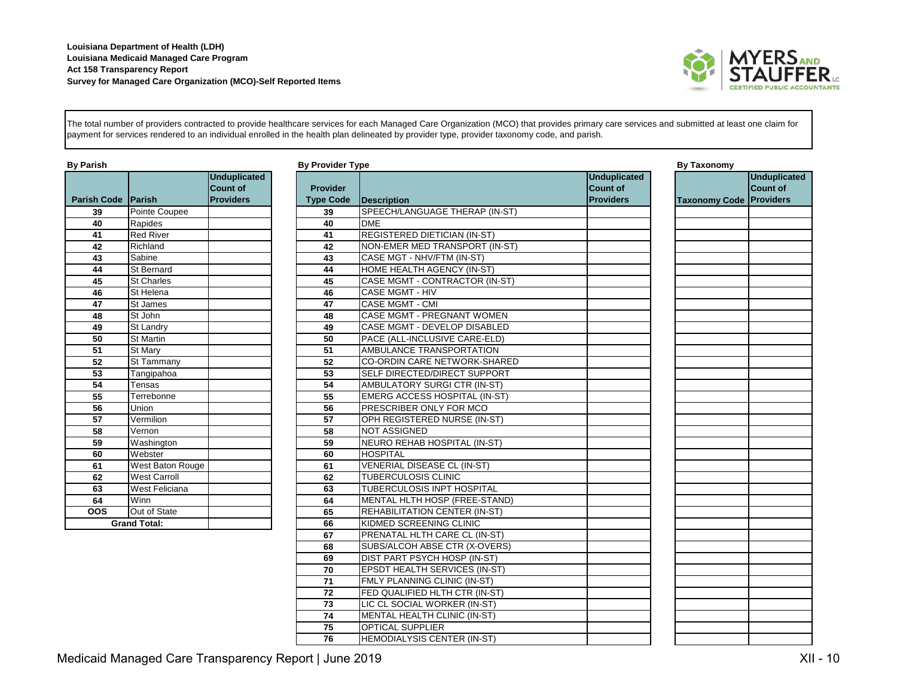

**Unduplicated Count of** 

The total number of providers contracted to provide healthcare services for each Managed Care Organization (MCO) that provides primary care services and submitted at least one claim for payment for services rendered to an individual enrolled in the health plan delineated by provider type, provider taxonomy code, and parish.

| <b>By Parish</b>     |                     |                                                            | <b>By Provider Type</b>             |                             |  |  |
|----------------------|---------------------|------------------------------------------------------------|-------------------------------------|-----------------------------|--|--|
| Parish Code   Parish |                     | <b>Unduplicated</b><br><b>Count of</b><br><b>Providers</b> | <b>Provider</b><br><b>Type Code</b> | <b>Description</b>          |  |  |
| 39                   | Pointe Coupee       |                                                            | 39                                  | SPEECH/LANGUAGE TH          |  |  |
| 40                   | Rapides             |                                                            | 40                                  | <b>DME</b>                  |  |  |
| 41                   | <b>Red River</b>    |                                                            | 41                                  | <b>REGISTERED DIETICIAN</b> |  |  |
| 42                   | Richland            |                                                            | 42                                  | <b>NON-EMER MED TRANS</b>   |  |  |
| 43                   | Sabine              |                                                            | 43                                  | CASE MGT - NHV/FTM (II      |  |  |
| 44                   | <b>St Bernard</b>   |                                                            | 44                                  | <b>HOME HEALTH AGENCY</b>   |  |  |
| 45                   | <b>St Charles</b>   |                                                            | 45                                  | <b>CASE MGMT - CONTRAC</b>  |  |  |
| 46                   | St Helena           |                                                            | 46                                  | <b>CASE MGMT - HIV</b>      |  |  |
| 47                   | St James            |                                                            | 47                                  | <b>CASE MGMT - CMI</b>      |  |  |
| 48                   | St John             |                                                            | 48                                  | <b>CASE MGMT - PREGNAN</b>  |  |  |
| 49                   | St Landry           |                                                            | 49                                  | <b>CASE MGMT - DEVELOP</b>  |  |  |
| 50                   | <b>St Martin</b>    |                                                            | 50                                  | PACE (ALL-INCLUSIVE C       |  |  |
| 51                   | St Mary             |                                                            | 51                                  | <b>AMBULANCE TRANSPOR</b>   |  |  |
| 52                   | St Tammany          |                                                            | 52                                  | <b>CO-ORDIN CARE NETWO</b>  |  |  |
| 53                   | Tangipahoa          |                                                            | 53                                  | SELF DIRECTED/DIRECT        |  |  |
| 54                   | Tensas              |                                                            | 54                                  | AMBULATORY SURGICT          |  |  |
| 55                   | Terrebonne          |                                                            | 55                                  | <b>EMERG ACCESS HOSPI</b>   |  |  |
| 56                   | Union               |                                                            | 56                                  | PRESCRIBER ONLY FOR         |  |  |
| 57                   | Vermilion           |                                                            | 57                                  | <b>OPH REGISTERED NURS</b>  |  |  |
| 58                   | Vernon              |                                                            | 58                                  | <b>NOT ASSIGNED</b>         |  |  |
| 59                   | Washington          |                                                            | 59                                  | <b>NEURO REHAB HOSPITA</b>  |  |  |
| 60                   | Webster             |                                                            | 60                                  | <b>HOSPITAL</b>             |  |  |
| 61                   | West Baton Rouge    |                                                            | 61                                  | <b>VENERIAL DISEASE CL</b>  |  |  |
| 62                   | <b>West Carroll</b> |                                                            | 62                                  | TUBERCULOSIS CLINIC         |  |  |
| 63                   | West Feliciana      |                                                            | 63                                  | <b>TUBERCULOSIS INPT HO</b> |  |  |
| 64                   | Winn                |                                                            | 64                                  | <b>MENTAL HLTH HOSP (FF</b> |  |  |
| $\overline{OOS}$     | Out of State        |                                                            | 65                                  | <b>REHABILITATION CENTE</b> |  |  |
|                      | <b>Grand Total:</b> |                                                            | 66                                  | KIDMED SCREENING CL         |  |  |
|                      |                     |                                                            |                                     |                             |  |  |

| By Parish          |                     |                                                            | <b>By Provider Type</b>             |                                      |                                                            | <b>By Taxonomy</b>   |                                                  |
|--------------------|---------------------|------------------------------------------------------------|-------------------------------------|--------------------------------------|------------------------------------------------------------|----------------------|--------------------------------------------------|
| <b>Parish Code</b> | <b>Parish</b>       | <b>Unduplicated</b><br><b>Count of</b><br><b>Providers</b> | <b>Provider</b><br><b>Type Code</b> | <b>Description</b>                   | <b>Unduplicated</b><br><b>Count of</b><br><b>Providers</b> | <b>Taxonomy Code</b> | <b>Unduplica</b><br><b>Count of</b><br>Providers |
| 39                 | Pointe Coupee       |                                                            | 39                                  | SPEECH/LANGUAGE THERAP (IN-ST)       |                                                            |                      |                                                  |
| 40                 | Rapides             |                                                            | 40                                  | <b>DME</b>                           |                                                            |                      |                                                  |
| 41                 | <b>Red River</b>    |                                                            | 41                                  | <b>REGISTERED DIETICIAN (IN-ST)</b>  |                                                            |                      |                                                  |
| 42                 | Richland            |                                                            | 42                                  | NON-EMER MED TRANSPORT (IN-ST)       |                                                            |                      |                                                  |
| 43                 | Sabine              |                                                            | 43                                  | CASE MGT - NHV/FTM (IN-ST)           |                                                            |                      |                                                  |
| 44                 | <b>St Bernard</b>   |                                                            | 44                                  | HOME HEALTH AGENCY (IN-ST)           |                                                            |                      |                                                  |
| 45                 | <b>St Charles</b>   |                                                            | 45                                  | CASE MGMT - CONTRACTOR (IN-ST)       |                                                            |                      |                                                  |
| 46                 | St Helena           |                                                            | 46                                  | <b>CASE MGMT - HIV</b>               |                                                            |                      |                                                  |
| 47                 | St James            |                                                            | 47                                  | CASE MGMT - CMI                      |                                                            |                      |                                                  |
| 48                 | St John             |                                                            | 48                                  | CASE MGMT - PREGNANT WOMEN           |                                                            |                      |                                                  |
| 49                 | St Landry           |                                                            | 49                                  | CASE MGMT - DEVELOP DISABLED         |                                                            |                      |                                                  |
| 50                 | <b>St Martin</b>    |                                                            | 50                                  | PACE (ALL-INCLUSIVE CARE-ELD)        |                                                            |                      |                                                  |
| $\overline{51}$    | St Marv             |                                                            | $\overline{51}$                     | AMBULANCE TRANSPORTATION             |                                                            |                      |                                                  |
| 52                 | St Tammany          |                                                            | 52                                  | CO-ORDIN CARE NETWORK-SHARED         |                                                            |                      |                                                  |
| 53                 | Tangipahoa          |                                                            | 53                                  | SELF DIRECTED/DIRECT SUPPORT         |                                                            |                      |                                                  |
| 54                 | Tensas              |                                                            | 54                                  | <b>AMBULATORY SURGI CTR (IN-ST)</b>  |                                                            |                      |                                                  |
| 55                 | Terrebonne          |                                                            | 55                                  | EMERG ACCESS HOSPITAL (IN-ST)        |                                                            |                      |                                                  |
| 56                 | Union               |                                                            | 56                                  | PRESCRIBER ONLY FOR MCO              |                                                            |                      |                                                  |
| 57                 | Vermilion           |                                                            | 57                                  | OPH REGISTERED NURSE (IN-ST)         |                                                            |                      |                                                  |
| 58                 | Vernon              |                                                            | 58                                  | <b>NOT ASSIGNED</b>                  |                                                            |                      |                                                  |
| 59                 | Washington          |                                                            | 59                                  | NEURO REHAB HOSPITAL (IN-ST)         |                                                            |                      |                                                  |
| 60                 | Webster             |                                                            | 60                                  | <b>HOSPITAL</b>                      |                                                            |                      |                                                  |
| 61                 | West Baton Rouge    |                                                            | 61                                  | <b>VENERIAL DISEASE CL (IN-ST)</b>   |                                                            |                      |                                                  |
| 62                 | <b>West Carroll</b> |                                                            | 62                                  | TUBERCULOSIS CLINIC                  |                                                            |                      |                                                  |
| 63                 | West Feliciana      |                                                            | 63                                  | TUBERCULOSIS INPT HOSPITAL           |                                                            |                      |                                                  |
| 64                 | Winn                |                                                            | 64                                  | MENTAL HLTH HOSP (FREE-STAND)        |                                                            |                      |                                                  |
| $\overline{OOS}$   | Out of State        |                                                            | 65                                  | <b>REHABILITATION CENTER (IN-ST)</b> |                                                            |                      |                                                  |
|                    | <b>Grand Total:</b> |                                                            | 66                                  | KIDMED SCREENING CLINIC              |                                                            |                      |                                                  |
|                    |                     |                                                            | 67                                  | PRENATAL HLTH CARE CL (IN-ST)        |                                                            |                      |                                                  |
|                    |                     |                                                            | 68                                  | SUBS/ALCOH ABSE CTR (X-OVERS)        |                                                            |                      |                                                  |
|                    |                     |                                                            | 69                                  | DIST PART PSYCH HOSP (IN-ST)         |                                                            |                      |                                                  |
|                    |                     |                                                            | 70                                  | EPSDT HEALTH SERVICES (IN-ST)        |                                                            |                      |                                                  |
|                    |                     |                                                            | 71                                  | FMLY PLANNING CLINIC (IN-ST)         |                                                            |                      |                                                  |
|                    |                     |                                                            | 72                                  | FED QUALIFIED HLTH CTR (IN-ST)       |                                                            |                      |                                                  |
|                    |                     |                                                            | 73                                  | LIC CL SOCIAL WORKER (IN-ST)         |                                                            |                      |                                                  |
|                    |                     |                                                            | $\overline{74}$                     | MENTAL HEALTH CLINIC (IN-ST)         |                                                            |                      |                                                  |
|                    |                     |                                                            | 75                                  | <b>OPTICAL SUPPLIER</b>              |                                                            |                      |                                                  |
|                    |                     |                                                            | 76                                  | HEMODIALYSIS CENTER (IN-ST)          |                                                            |                      |                                                  |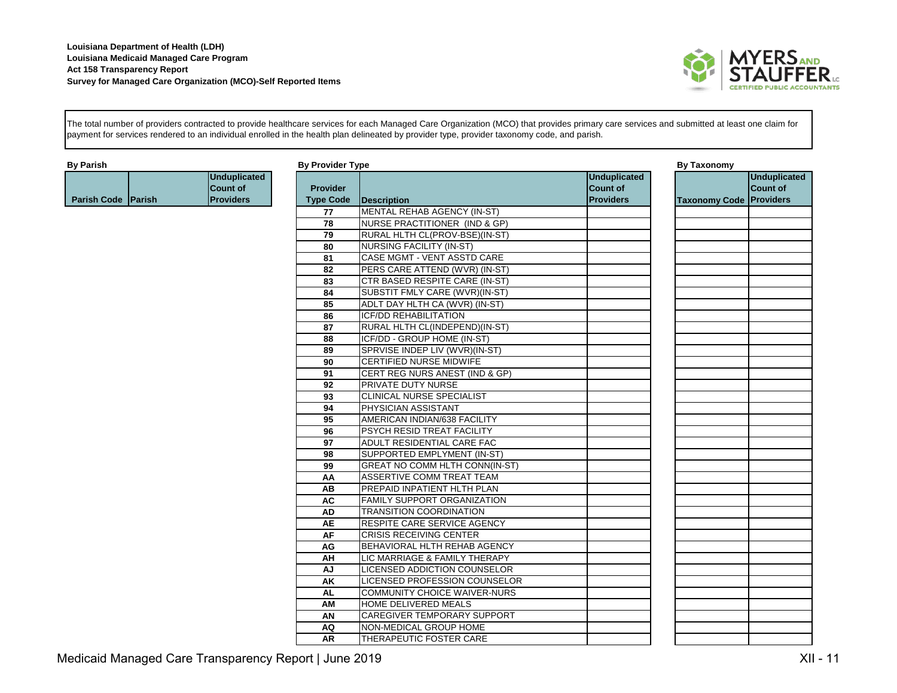

The total number of providers contracted to provide healthcare services for each Managed Care Organization (MCO) that provides primary care services and submitted at least one claim for payment for services rendered to an individual enrolled in the health plan delineated by provider type, provider taxonomy code, and parish.

| <b>By Parish</b>          |                     | <b>By Provider Type</b> |                                       |                     | <b>By Taxonomy</b>             |                     |
|---------------------------|---------------------|-------------------------|---------------------------------------|---------------------|--------------------------------|---------------------|
|                           | <b>Unduplicated</b> |                         |                                       | <b>Unduplicated</b> |                                | <b>Unduplicated</b> |
|                           | <b>Count of</b>     | <b>Provider</b>         |                                       | <b>Count of</b>     |                                | Count of            |
| <b>Parish Code Parish</b> | <b>Providers</b>    | <b>Type Code</b>        | Description                           | <b>Providers</b>    | <b>Taxonomy Code Providers</b> |                     |
|                           |                     | 77                      | <b>MENTAL REHAB AGENCY (IN-ST)</b>    |                     |                                |                     |
|                           |                     | $\overline{78}$         | NURSE PRACTITIONER (IND & GP)         |                     |                                |                     |
|                           |                     | 79                      | RURAL HLTH CL(PROV-BSE)(IN-ST)        |                     |                                |                     |
|                           |                     | 80                      | <b>NURSING FACILITY (IN-ST)</b>       |                     |                                |                     |
|                           |                     | 81                      | CASE MGMT - VENT ASSTD CARE           |                     |                                |                     |
|                           |                     | 82                      | PERS CARE ATTEND (WVR) (IN-ST)        |                     |                                |                     |
|                           |                     | $\overline{83}$         | <b>CTR BASED RESPITE CARE (IN-ST)</b> |                     |                                |                     |
|                           |                     | 84                      | SUBSTIT FMLY CARE (WVR)(IN-ST)        |                     |                                |                     |
|                           |                     | 85                      | ADLT DAY HLTH CA (WVR) (IN-ST)        |                     |                                |                     |
|                           |                     | 86                      | <b>ICF/DD REHABILITATION</b>          |                     |                                |                     |
|                           |                     | 87                      | RURAL HLTH CL(INDEPEND)(IN-ST)        |                     |                                |                     |
|                           |                     | 88                      | ICF/DD - GROUP HOME (IN-ST)           |                     |                                |                     |
|                           |                     | 89                      | SPRVISE INDEP LIV (WVR)(IN-ST)        |                     |                                |                     |
|                           |                     | 90                      | CERTIFIED NURSE MIDWIFE               |                     |                                |                     |
|                           |                     | 91                      | CERT REG NURS ANEST (IND & GP)        |                     |                                |                     |
|                           |                     | 92                      | PRIVATE DUTY NURSE                    |                     |                                |                     |
|                           |                     | 93                      | CLINICAL NURSE SPECIALIST             |                     |                                |                     |
|                           |                     | 94                      | PHYSICIAN ASSISTANT                   |                     |                                |                     |
|                           |                     | 95                      | AMERICAN INDIAN/638 FACILITY          |                     |                                |                     |
|                           |                     | 96                      | PSYCH RESID TREAT FACILITY            |                     |                                |                     |
|                           |                     | 97                      | ADULT RESIDENTIAL CARE FAC            |                     |                                |                     |
|                           |                     | 98                      | SUPPORTED EMPLYMENT (IN-ST)           |                     |                                |                     |
|                           |                     | 99                      | GREAT NO COMM HLTH CONN(IN-ST)        |                     |                                |                     |
|                           |                     | AA                      | ASSERTIVE COMM TREAT TEAM             |                     |                                |                     |
|                           |                     | AB                      | PREPAID INPATIENT HLTH PLAN           |                     |                                |                     |
|                           |                     | <b>AC</b>               | <b>FAMILY SUPPORT ORGANIZATION</b>    |                     |                                |                     |
|                           |                     | <b>AD</b>               | <b>TRANSITION COORDINATION</b>        |                     |                                |                     |
|                           |                     | <b>AE</b>               | RESPITE CARE SERVICE AGENCY           |                     |                                |                     |
|                           |                     | AF                      | <b>CRISIS RECEIVING CENTER</b>        |                     |                                |                     |
|                           |                     | AG                      | BEHAVIORAL HLTH REHAB AGENCY          |                     |                                |                     |
|                           |                     | AH                      | LIC MARRIAGE & FAMILY THERAPY         |                     |                                |                     |
|                           |                     | AJ                      | LICENSED ADDICTION COUNSELOR          |                     |                                |                     |
|                           |                     | AK                      | LICENSED PROFESSION COUNSELOR         |                     |                                |                     |
|                           |                     | <b>AL</b>               | COMMUNITY CHOICE WAIVER-NURS          |                     |                                |                     |
|                           |                     | AM                      | HOME DELIVERED MEALS                  |                     |                                |                     |
|                           |                     | AN                      | <b>CAREGIVER TEMPORARY SUPPORT</b>    |                     |                                |                     |
|                           |                     | AQ                      | NON-MEDICAL GROUP HOME                |                     |                                |                     |
|                           |                     | <b>AR</b>               | THERAPEUTIC FOSTER CARE               |                     |                                |                     |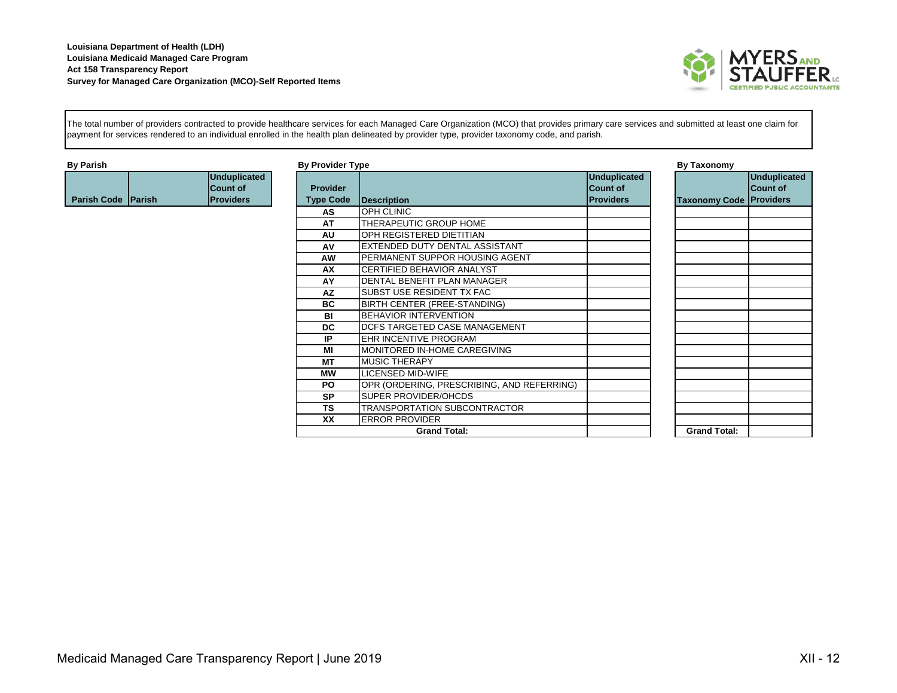

The total number of providers contracted to provide healthcare services for each Managed Care Organization (MCO) that provides primary care services and submitted at least one claim for payment for services rendered to an individual enrolled in the health plan delineated by provider type, provider taxonomy code, and parish.

| <b>By Parish</b>   |                     | <b>By Provider Type</b> |                                            |                     | <b>By Taxonomy</b>             |                     |
|--------------------|---------------------|-------------------------|--------------------------------------------|---------------------|--------------------------------|---------------------|
|                    | <b>Unduplicated</b> |                         |                                            | <b>Unduplicated</b> |                                | <b>Unduplicated</b> |
|                    | <b>Count of</b>     | <b>Provider</b>         |                                            | <b>Count of</b>     |                                | Count of            |
| Parish Code Parish | <b>Providers</b>    | <b>Type Code</b>        | Description                                | <b>Providers</b>    | <b>Taxonomy Code Providers</b> |                     |
|                    |                     | AS                      | <b>OPH CLINIC</b>                          |                     |                                |                     |
|                    |                     | AT                      | THERAPEUTIC GROUP HOME                     |                     |                                |                     |
|                    |                     | AU                      | OPH REGISTERED DIETITIAN                   |                     |                                |                     |
|                    |                     | AV                      | EXTENDED DUTY DENTAL ASSISTANT             |                     |                                |                     |
|                    |                     | <b>AW</b>               | PERMANENT SUPPOR HOUSING AGENT             |                     |                                |                     |
|                    |                     | AX                      | CERTIFIED BEHAVIOR ANALYST                 |                     |                                |                     |
|                    |                     | AY                      | DENTAL BENEFIT PLAN MANAGER                |                     |                                |                     |
|                    |                     | <b>AZ</b>               | SUBST USE RESIDENT TX FAC                  |                     |                                |                     |
|                    |                     | <b>BC</b>               | BIRTH CENTER (FREE-STANDING)               |                     |                                |                     |
|                    |                     | <b>BI</b>               | <b>BEHAVIOR INTERVENTION</b>               |                     |                                |                     |
|                    |                     | <b>DC</b>               | DCFS TARGETED CASE MANAGEMENT              |                     |                                |                     |
|                    |                     | IP                      | <b>EHR INCENTIVE PROGRAM</b>               |                     |                                |                     |
|                    |                     | МI                      | MONITORED IN-HOME CAREGIVING               |                     |                                |                     |
|                    |                     | МT                      | <b>MUSIC THERAPY</b>                       |                     |                                |                     |
|                    |                     | МW                      | <b>LICENSED MID-WIFE</b>                   |                     |                                |                     |
|                    |                     | PO.                     | OPR (ORDERING, PRESCRIBING, AND REFERRING) |                     |                                |                     |
|                    |                     | <b>SP</b>               | <b>SUPER PROVIDER/OHCDS</b>                |                     |                                |                     |
|                    |                     | TS                      | TRANSPORTATION SUBCONTRACTOR               |                     |                                |                     |
|                    |                     | XX                      | <b>ERROR PROVIDER</b>                      |                     |                                |                     |
|                    |                     |                         | <b>Grand Total:</b>                        |                     | <b>Grand Total:</b>            |                     |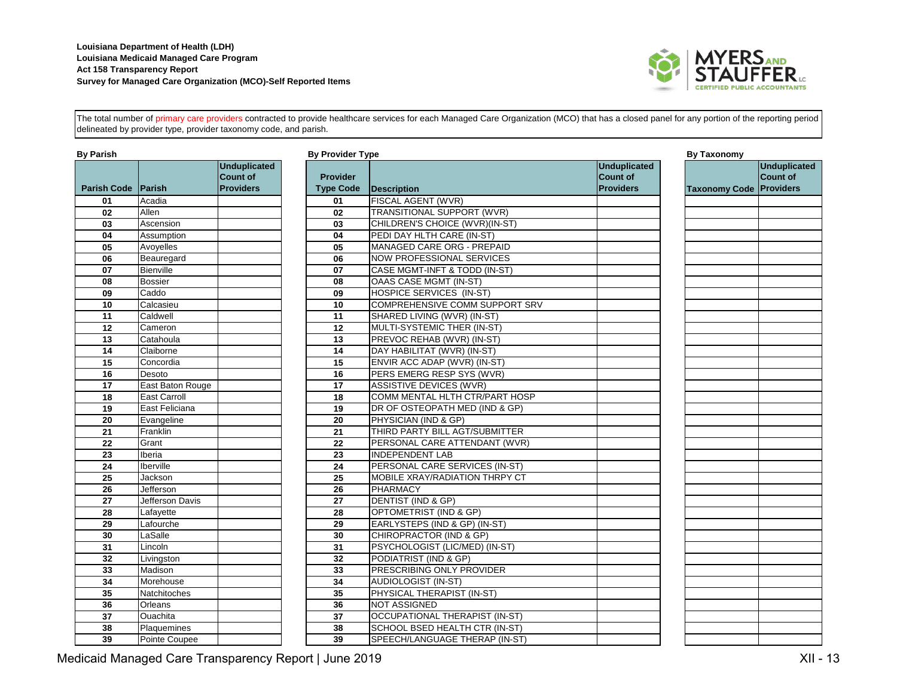

**Unduplicated Count of Providers**

The total number of primary care providers contracted to provide healthcare services for each Managed Care Organization (MCO) that has a closed panel for any portion of the reporting period delineated by provider type, provider taxonomy code, and parish.

| <b>By Parish</b>   |                  |                                                            | <b>By Provider Type</b>             |                                       |
|--------------------|------------------|------------------------------------------------------------|-------------------------------------|---------------------------------------|
| <b>Parish Code</b> | <b>IParish</b>   | <b>Unduplicated</b><br><b>Count of</b><br><b>Providers</b> | <b>Provider</b><br><b>Type Code</b> | <b>Description</b>                    |
| 01                 | Acadia           |                                                            | 01                                  | FISCAL AGENT (WVR)                    |
| 02                 | Allen            |                                                            | 02                                  | <b>TRANSITIONAL SUPPORT (WVR)</b>     |
| 03                 | Ascension        |                                                            | 03                                  | CHILDREN'S CHOICE (WVR)(IN-ST)        |
| 04                 | Assumption       |                                                            | 04                                  | PEDI DAY HLTH CARE (IN-ST)            |
| 05                 | Avoyelles        |                                                            | 05                                  | MANAGED CARE ORG - PREPAID            |
| 06                 | Beauregard       |                                                            | 06                                  | <b>NOW PROFESSIONAL SERVICES</b>      |
| 07                 | Bienville        |                                                            | 07                                  | CASE MGMT-INFT & TODD (IN-ST)         |
| 08                 | Bossier          |                                                            | 08                                  | OAAS CASE MGMT (IN-ST)                |
| 09                 | Caddo            |                                                            | 09                                  | <b>HOSPICE SERVICES (IN-ST)</b>       |
| 10                 | Calcasieu        |                                                            | 10                                  | COMPREHENSIVE COMM SUPPORT SR         |
| 11                 | Caldwell         |                                                            | 11                                  | SHARED LIVING (WVR) (IN-ST)           |
| 12                 | Cameron          |                                                            | 12                                  | MULTI-SYSTEMIC THER (IN-ST)           |
| 13                 | Catahoula        |                                                            | 13                                  | PREVOC REHAB (WVR) (IN-ST)            |
| 14                 | Claiborne        |                                                            | 14                                  | DAY HABILITAT (WVR) (IN-ST)           |
| 15                 | Concordia        |                                                            | 15                                  | ENVIR ACC ADAP (WVR) (IN-ST)          |
| 16                 | Desoto           |                                                            | 16                                  | PERS EMERG RESP SYS (WVR)             |
| $\overline{17}$    | East Baton Rouge |                                                            | $\overline{17}$                     | <b>ASSISTIVE DEVICES (WVR)</b>        |
| 18                 | East Carroll     |                                                            | 18                                  | COMM MENTAL HLTH CTR/PART HOSP        |
| 19                 | East Feliciana   |                                                            | 19                                  | DR OF OSTEOPATH MED (IND & GP)        |
| 20                 | Evangeline       |                                                            | 20                                  | PHYSICIAN (IND & GP)                  |
| 21                 | Franklin         |                                                            | 21                                  | THIRD PARTY BILL AGT/SUBMITTER        |
| 22                 | Grant            |                                                            | 22                                  | PERSONAL CARE ATTENDANT (WVR)         |
| 23                 | Iberia           |                                                            | 23                                  | <b>INDEPENDENT LAB</b>                |
| 24                 | Iberville        |                                                            | 24                                  | PERSONAL CARE SERVICES (IN-ST)        |
| $\overline{25}$    | Jackson          |                                                            | $\overline{25}$                     | MOBILE XRAY/RADIATION THRPY CT        |
| 26                 | Jefferson        |                                                            | 26                                  | <b>PHARMACY</b>                       |
| 27                 | Jefferson Davis  |                                                            | 27                                  | DENTIST (IND & GP)                    |
| 28                 | Lafayette        |                                                            | 28                                  | OPTOMETRIST (IND & GP)                |
| 29                 | Lafourche        |                                                            | 29                                  | EARLYSTEPS (IND & GP) (IN-ST)         |
| 30                 | LaSalle          |                                                            | 30                                  | CHIROPRACTOR (IND & GP)               |
| 31                 | Lincoln          |                                                            | 31                                  | PSYCHOLOGIST (LIC/MED) (IN-ST)        |
| 32                 | Livingston       |                                                            | 32                                  | PODIATRIST (IND & GP)                 |
| 33                 | Madison          |                                                            | 33                                  | PRESCRIBING ONLY PROVIDER             |
| 34                 | Morehouse        |                                                            | 34                                  | AUDIOLOGIST (IN-ST)                   |
| $\overline{35}$    | Natchitoches     |                                                            | 35                                  | PHYSICAL THERAPIST (IN-ST)            |
| 36                 | Orleans          |                                                            | 36                                  | <b>NOT ASSIGNED</b>                   |
| 37                 | Ouachita         |                                                            | 37                                  | <b>OCCUPATIONAL THERAPIST (IN-ST)</b> |
| 38                 | Plaquemines      |                                                            | 38                                  | SCHOOL BSED HEALTH CTR (IN-ST)        |
| 39                 | Pointe Coupee    |                                                            | 39                                  | SPEECH/LANGUAGE THERAP (IN-ST)        |

| By Parish          |                     |                                        | <b>By Provider Type</b> |                                       |                                        | <b>By Taxonomy</b>   |
|--------------------|---------------------|----------------------------------------|-------------------------|---------------------------------------|----------------------------------------|----------------------|
|                    |                     | <b>Unduplicated</b><br><b>Count of</b> | <b>Provider</b>         |                                       | <b>Unduplicated</b><br><b>Count of</b> |                      |
| <b>Parish Code</b> | <b>IParish</b>      | <b>Providers</b>                       | <b>Type Code</b>        | <b>Description</b>                    | <b>Providers</b>                       | <b>Taxonomy Code</b> |
| 01                 | Acadia              |                                        | 01                      | FISCAL AGENT (WVR)                    |                                        |                      |
| 02                 | Allen               |                                        | 02                      | <b>TRANSITIONAL SUPPORT (WVR)</b>     |                                        |                      |
| 03                 | Ascension           |                                        | 03                      | CHILDREN'S CHOICE (WVR)(IN-ST)        |                                        |                      |
| 04                 | Assumption          |                                        | 04                      | PEDI DAY HLTH CARE (IN-ST)            |                                        |                      |
| 05                 | Avoyelles           |                                        | $\overline{05}$         | <b>MANAGED CARE ORG - PREPAID</b>     |                                        |                      |
| 06                 | Beauregard          |                                        | 06                      | NOW PROFESSIONAL SERVICES             |                                        |                      |
| 07                 | Bienville           |                                        | 07                      | CASE MGMT-INFT & TODD (IN-ST)         |                                        |                      |
| 08                 | <b>Bossier</b>      |                                        | 08                      | OAAS CASE MGMT (IN-ST)                |                                        |                      |
| 09                 | Caddo               |                                        | 09                      | HOSPICE SERVICES (IN-ST)              |                                        |                      |
| 10                 | Calcasieu           |                                        | 10                      | COMPREHENSIVE COMM SUPPORT SRV        |                                        |                      |
| 11                 | Caldwell            |                                        | 11                      | SHARED LIVING (WVR) (IN-ST)           |                                        |                      |
| 12                 | Cameron             |                                        | 12                      | MULTI-SYSTEMIC THER (IN-ST)           |                                        |                      |
| 13                 | Catahoula           |                                        | 13                      | PREVOC REHAB (WVR) (IN-ST)            |                                        |                      |
| 14                 | Claiborne           |                                        | 14                      | DAY HABILITAT (WVR) (IN-ST)           |                                        |                      |
| 15                 | Concordia           |                                        | $\overline{15}$         | ENVIR ACC ADAP (WVR) (IN-ST)          |                                        |                      |
| 16                 | Desoto              |                                        | 16                      | PERS EMERG RESP SYS (WVR)             |                                        |                      |
| 17                 | East Baton Rouge    |                                        | $\overline{17}$         | ASSISTIVE DEVICES (WVR)               |                                        |                      |
| 18                 | <b>East Carroll</b> |                                        | 18                      | COMM MENTAL HLTH CTR/PART HOSP        |                                        |                      |
| 19                 | East Feliciana      |                                        | 19                      | DR OF OSTEOPATH MED (IND & GP)        |                                        |                      |
| 20                 | Evangeline          |                                        | 20                      | PHYSICIAN (IND & GP)                  |                                        |                      |
| 21                 | Franklin            |                                        | 21                      | THIRD PARTY BILL AGT/SUBMITTER        |                                        |                      |
| 22                 | Grant               |                                        | $\overline{22}$         | PERSONAL CARE ATTENDANT (WVR)         |                                        |                      |
| 23                 | Iberia              |                                        | 23                      | <b>INDEPENDENT LAB</b>                |                                        |                      |
| 24                 | Iberville           |                                        | 24                      | PERSONAL CARE SERVICES (IN-ST)        |                                        |                      |
| 25                 | Jackson             |                                        | 25                      | MOBILE XRAY/RADIATION THRPY CT        |                                        |                      |
| 26                 | Jefferson           |                                        | 26                      | <b>PHARMACY</b>                       |                                        |                      |
| 27                 | Jefferson Davis     |                                        | $\overline{27}$         | DENTIST (IND & GP)                    |                                        |                      |
| 28                 | Lafayette           |                                        | 28                      | OPTOMETRIST (IND & GP)                |                                        |                      |
| 29                 | Lafourche           |                                        | 29                      | EARLYSTEPS (IND & GP) (IN-ST)         |                                        |                      |
| 30                 | LaSalle             |                                        | 30                      | CHIROPRACTOR (IND & GP)               |                                        |                      |
| 31                 | Lincoln             |                                        | $\overline{31}$         | PSYCHOLOGIST (LIC/MED) (IN-ST)        |                                        |                      |
| 32                 | Livingston          |                                        | 32                      | PODIATRIST (IND & GP)                 |                                        |                      |
| 33                 | Madison             |                                        | 33                      | PRESCRIBING ONLY PROVIDER             |                                        |                      |
| 34                 | Morehouse           |                                        | 34                      | AUDIOLOGIST (IN-ST)                   |                                        |                      |
| 35                 | Natchitoches        |                                        | 35                      | PHYSICAL THERAPIST (IN-ST)            |                                        |                      |
| 36                 | Orleans             |                                        | 36                      | NOT ASSIGNED                          |                                        |                      |
| 37                 | Ouachita            |                                        | 37                      | <b>OCCUPATIONAL THERAPIST (IN-ST)</b> |                                        |                      |
| 38                 | Plaquemines         |                                        | 38                      | SCHOOL BSED HEALTH CTR (IN-ST)        |                                        |                      |
|                    |                     |                                        |                         |                                       |                                        |                      |

Medicaid Managed Care Transparency Report | June 2019 **XII - 13** Network Care Transparency Report | June 2019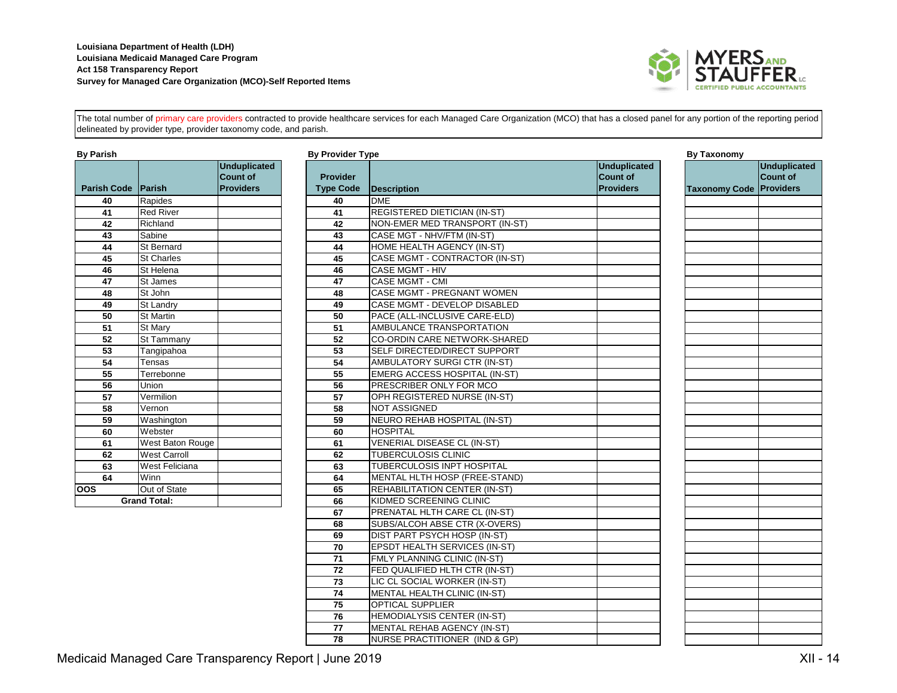

The total number of primary care providers contracted to provide healthcare services for each Managed Care Organization (MCO) that has a closed panel for any portion of the reporting period delineated by provider type, provider taxonomy code, and parish.

| <b>By Parish</b>          |                     |                                                     | <b>By Provider Type</b>             |                             |  |
|---------------------------|---------------------|-----------------------------------------------------|-------------------------------------|-----------------------------|--|
| <b>Parish Code Parish</b> |                     | <b>Unduplicated</b><br>Count of<br><b>Providers</b> | <b>Provider</b><br><b>Type Code</b> | <b>Description</b>          |  |
| 40                        | Rapides             |                                                     | 40                                  | <b>DME</b>                  |  |
| 41                        | <b>Red River</b>    |                                                     | 41                                  | <b>REGISTERED DIETICIAN</b> |  |
| 42                        | Richland            |                                                     | 42                                  | <b>NON-EMER MED TRANS</b>   |  |
| 43                        | Sabine              |                                                     | 43                                  | CASE MGT - NHV/FTM (II      |  |
| 44                        | St Bernard          |                                                     | 44                                  | <b>HOME HEALTH AGENCY</b>   |  |
| 45                        | <b>St Charles</b>   |                                                     | 45                                  | <b>CASE MGMT - CONTRAC</b>  |  |
| 46                        | St Helena           |                                                     | 46                                  | CASE MGMT - HIV             |  |
| 47                        | St James            |                                                     | 47                                  | CASE MGMT - CMI             |  |
| 48                        | St John             |                                                     | 48                                  | CASE MGMT - PREGNAM         |  |
| 49                        | St Landry           |                                                     | 49                                  | <b>CASE MGMT - DEVELOP</b>  |  |
| 50                        | <b>St Martin</b>    |                                                     | 50                                  | PACE (ALL-INCLUSIVE C       |  |
| 51                        | St Mary             |                                                     | 51                                  | <b>AMBULANCE TRANSPOR</b>   |  |
| 52                        | St Tammany          |                                                     | 52                                  | <b>CO-ORDIN CARE NETWO</b>  |  |
| 53                        | Tangipahoa          |                                                     | 53                                  | <b>SELF DIRECTED/DIRECT</b> |  |
| 54                        | Tensas              |                                                     | 54                                  | AMBULATORY SURGICT          |  |
| 55                        | Terrebonne          |                                                     | 55                                  | <b>EMERG ACCESS HOSPI</b>   |  |
| 56                        | Union               |                                                     | 56                                  | PRESCRIBER ONLY FOR         |  |
| 57                        | Vermilion           |                                                     | 57                                  | OPH REGISTERED NURS         |  |
| 58                        | Vernon              |                                                     | 58                                  | <b>NOT ASSIGNED</b>         |  |
| 59                        | Washington          |                                                     | 59                                  | <b>NEURO REHAB HOSPITA</b>  |  |
| 60                        | Webster             |                                                     | 60                                  | <b>HOSPITAL</b>             |  |
| 61                        | West Baton Rouge    |                                                     | 61                                  | <b>VENERIAL DISEASE CL</b>  |  |
| 62                        | <b>West Carroll</b> |                                                     | 62                                  | TUBERCULOSIS CLINIC         |  |
| 63                        | West Feliciana      |                                                     | 63                                  | TUBERCULOSIS INPT HO        |  |
| 64                        | Winn                |                                                     | 64                                  | <b>MENTAL HLTH HOSP (FF</b> |  |
| <b>OOS</b>                | Out of State        |                                                     | 65                                  | <b>REHABILITATION CENTE</b> |  |
|                           | <b>Grand Total:</b> |                                                     | 66                                  | KIDMED SCREENING CL         |  |
|                           |                     |                                                     |                                     |                             |  |

| By Parish                 |                       |                                        | <b>By Provider Type</b> |                                      |                                        | <b>By Taxonomy</b>             |                          |
|---------------------------|-----------------------|----------------------------------------|-------------------------|--------------------------------------|----------------------------------------|--------------------------------|--------------------------|
|                           |                       | <b>Unduplicated</b><br><b>Count of</b> | <b>Provider</b>         |                                      | <b>Unduplicated</b><br><b>Count of</b> |                                | Unduplicated<br>Count of |
| <b>Parish Code Parish</b> |                       | <b>Providers</b>                       | <b>Type Code</b>        | <b>Description</b>                   | <b>Providers</b>                       | <b>Taxonomy Code Providers</b> |                          |
| 40                        | Rapides               |                                        | 40                      | <b>DME</b>                           |                                        |                                |                          |
| 41                        | <b>Red River</b>      |                                        | 41                      | REGISTERED DIETICIAN (IN-ST)         |                                        |                                |                          |
| 42                        | Richland              |                                        | 42                      | NON-EMER MED TRANSPORT (IN-ST)       |                                        |                                |                          |
| 43                        | Sabine                |                                        | 43                      | CASE MGT - NHV/FTM (IN-ST)           |                                        |                                |                          |
| 44                        | St Bernard            |                                        | 44                      | HOME HEALTH AGENCY (IN-ST)           |                                        |                                |                          |
| 45                        | <b>St Charles</b>     |                                        | 45                      | CASE MGMT - CONTRACTOR (IN-ST)       |                                        |                                |                          |
| 46                        | St Helena             |                                        | 46                      | <b>CASE MGMT - HIV</b>               |                                        |                                |                          |
| 47                        | St James              |                                        | 47                      | <b>CASE MGMT - CMI</b>               |                                        |                                |                          |
| 48                        | St John               |                                        | 48                      | CASE MGMT - PREGNANT WOMEN           |                                        |                                |                          |
| 49                        | <b>St Landry</b>      |                                        | 49                      | CASE MGMT - DEVELOP DISABLED         |                                        |                                |                          |
| 50                        | <b>St Martin</b>      |                                        | 50                      | PACE (ALL-INCLUSIVE CARE-ELD)        |                                        |                                |                          |
| $\overline{51}$           | St Marv               |                                        | 51                      | AMBULANCE TRANSPORTATION             |                                        |                                |                          |
| 52                        | St Tammany            |                                        | 52                      | CO-ORDIN CARE NETWORK-SHARED         |                                        |                                |                          |
| 53                        | Tangipahoa            |                                        | 53                      | SELF DIRECTED/DIRECT SUPPORT         |                                        |                                |                          |
| 54                        | Tensas                |                                        | 54                      | AMBULATORY SURGI CTR (IN-ST)         |                                        |                                |                          |
| 55                        | Terrebonne            |                                        | 55                      | EMERG ACCESS HOSPITAL (IN-ST)        |                                        |                                |                          |
| 56                        | Union                 |                                        | 56                      | PRESCRIBER ONLY FOR MCO              |                                        |                                |                          |
| 57                        | Vermilion             |                                        | 57                      | OPH REGISTERED NURSE (IN-ST)         |                                        |                                |                          |
| 58                        | Vernon                |                                        | 58                      | <b>NOT ASSIGNED</b>                  |                                        |                                |                          |
| 59                        | Washington            |                                        | 59                      | NEURO REHAB HOSPITAL (IN-ST)         |                                        |                                |                          |
| 60                        | Webster               |                                        | 60                      | <b>HOSPITAL</b>                      |                                        |                                |                          |
| 61                        | West Baton Rouge      |                                        | 61                      | <b>VENERIAL DISEASE CL (IN-ST)</b>   |                                        |                                |                          |
| 62                        | <b>West Carroll</b>   |                                        | 62                      | TUBERCULOSIS CLINIC                  |                                        |                                |                          |
| 63                        | <b>West Feliciana</b> |                                        | 63                      | <b>TUBERCULOSIS INPT HOSPITAL</b>    |                                        |                                |                          |
| 64                        | Winn                  |                                        | 64                      | MENTAL HLTH HOSP (FREE-STAND)        |                                        |                                |                          |
| oos                       | Out of State          |                                        | 65                      | <b>REHABILITATION CENTER (IN-ST)</b> |                                        |                                |                          |
|                           | <b>Grand Total:</b>   |                                        | 66                      | KIDMED SCREENING CLINIC              |                                        |                                |                          |
|                           |                       |                                        | 67                      | PRENATAL HLTH CARE CL (IN-ST)        |                                        |                                |                          |
|                           |                       |                                        | 68                      | SUBS/ALCOH ABSE CTR (X-OVERS)        |                                        |                                |                          |
|                           |                       |                                        | 69                      | DIST PART PSYCH HOSP (IN-ST)         |                                        |                                |                          |
|                           |                       |                                        | 70                      | <b>EPSDT HEALTH SERVICES (IN-ST)</b> |                                        |                                |                          |
|                           |                       |                                        | $\overline{71}$         | FMLY PLANNING CLINIC (IN-ST)         |                                        |                                |                          |
|                           |                       |                                        | 72                      | FED QUALIFIED HLTH CTR (IN-ST)       |                                        |                                |                          |
|                           |                       |                                        | 73                      | LIC CL SOCIAL WORKER (IN-ST)         |                                        |                                |                          |
|                           |                       |                                        | 74                      | MENTAL HEALTH CLINIC (IN-ST)         |                                        |                                |                          |
|                           |                       |                                        | $\overline{75}$         | <b>OPTICAL SUPPLIER</b>              |                                        |                                |                          |
|                           |                       |                                        | 76                      | HEMODIALYSIS CENTER (IN-ST)          |                                        |                                |                          |
|                           |                       |                                        | 77                      | MENTAL REHAB AGENCY (IN-ST)          |                                        |                                |                          |
|                           |                       |                                        | 78                      | NURSE PRACTITIONER (IND & GP)        |                                        |                                |                          |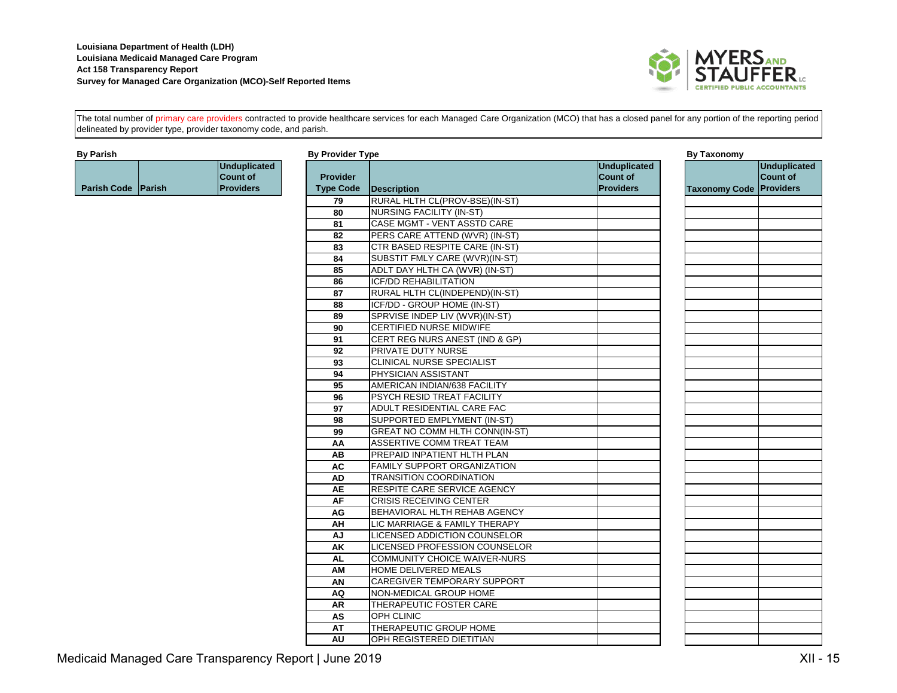

The total number of primary care providers contracted to provide healthcare services for each Managed Care Organization (MCO) that has a closed panel for any portion of the reporting period delineated by provider type, provider taxonomy code, and parish.

|                    | Unduplicated<br><b>ICount of</b> |
|--------------------|----------------------------------|
| Parish Code Parish | <b>IProviders</b>                |

| By Parish          |                     | <b>By Provider Type</b> |                                       |                  | <b>By Taxonomy</b>             |                     |
|--------------------|---------------------|-------------------------|---------------------------------------|------------------|--------------------------------|---------------------|
|                    | <b>Unduplicated</b> |                         |                                       | Unduplicated     |                                | <b>Unduplicated</b> |
|                    | <b>Count of</b>     | <b>Provider</b>         |                                       | <b>Count of</b>  |                                | <b>Count of</b>     |
| Parish Code Parish | <b>Providers</b>    | <b>Type Code</b>        | Description                           | <b>Providers</b> | <b>Taxonomy Code Providers</b> |                     |
|                    |                     | 79                      | RURAL HLTH CL(PROV-BSE)(IN-ST)        |                  |                                |                     |
|                    |                     | 80                      | <b>NURSING FACILITY (IN-ST)</b>       |                  |                                |                     |
|                    |                     | 81                      | CASE MGMT - VENT ASSTD CARE           |                  |                                |                     |
|                    |                     | 82                      | PERS CARE ATTEND (WVR) (IN-ST)        |                  |                                |                     |
|                    |                     | 83                      | CTR BASED RESPITE CARE (IN-ST)        |                  |                                |                     |
|                    |                     | 84                      | SUBSTIT FMLY CARE (WVR)(IN-ST)        |                  |                                |                     |
|                    |                     | 85                      | ADLT DAY HLTH CA (WVR) (IN-ST)        |                  |                                |                     |
|                    |                     | 86                      | <b>ICF/DD REHABILITATION</b>          |                  |                                |                     |
|                    |                     | 87                      | RURAL HLTH CL(INDEPEND)(IN-ST)        |                  |                                |                     |
|                    |                     | 88                      | ICF/DD - GROUP HOME (IN-ST)           |                  |                                |                     |
|                    |                     | 89                      | SPRVISE INDEP LIV (WVR)(IN-ST)        |                  |                                |                     |
|                    |                     | 90                      | CERTIFIED NURSE MIDWIFE               |                  |                                |                     |
|                    |                     | 91                      | CERT REG NURS ANEST (IND & GP)        |                  |                                |                     |
|                    |                     | 92                      | PRIVATE DUTY NURSE                    |                  |                                |                     |
|                    |                     | 93                      | <b>CLINICAL NURSE SPECIALIST</b>      |                  |                                |                     |
|                    |                     | 94                      | PHYSICIAN ASSISTANT                   |                  |                                |                     |
|                    |                     | 95                      | AMERICAN INDIAN/638 FACILITY          |                  |                                |                     |
|                    |                     | 96                      | PSYCH RESID TREAT FACILITY            |                  |                                |                     |
|                    |                     | 97                      | ADULT RESIDENTIAL CARE FAC            |                  |                                |                     |
|                    |                     | 98                      | SUPPORTED EMPLYMENT (IN-ST)           |                  |                                |                     |
|                    |                     | 99                      | <b>GREAT NO COMM HLTH CONN(IN-ST)</b> |                  |                                |                     |
|                    |                     | AA                      | ASSERTIVE COMM TREAT TEAM             |                  |                                |                     |
|                    |                     | AB                      | PREPAID INPATIENT HLTH PLAN           |                  |                                |                     |
|                    |                     | <b>AC</b>               | FAMILY SUPPORT ORGANIZATION           |                  |                                |                     |
|                    |                     | <b>AD</b>               | <b>TRANSITION COORDINATION</b>        |                  |                                |                     |
|                    |                     | <b>AE</b>               | RESPITE CARE SERVICE AGENCY           |                  |                                |                     |
|                    |                     | AF                      | <b>CRISIS RECEIVING CENTER</b>        |                  |                                |                     |
|                    |                     | AG                      | BEHAVIORAL HLTH REHAB AGENCY          |                  |                                |                     |
|                    |                     | AH                      | LIC MARRIAGE & FAMILY THERAPY         |                  |                                |                     |
|                    |                     | AJ                      | LICENSED ADDICTION COUNSELOR          |                  |                                |                     |
|                    |                     | AK                      | LICENSED PROFESSION COUNSELOR         |                  |                                |                     |
|                    |                     | <b>AL</b>               | <b>COMMUNITY CHOICE WAIVER-NURS</b>   |                  |                                |                     |
|                    |                     | AM                      | HOME DELIVERED MEALS                  |                  |                                |                     |
|                    |                     | AN                      | <b>CAREGIVER TEMPORARY SUPPORT</b>    |                  |                                |                     |
|                    |                     | <b>AQ</b>               | NON-MEDICAL GROUP HOME                |                  |                                |                     |
|                    |                     | <b>AR</b>               | THERAPEUTIC FOSTER CARE               |                  |                                |                     |
|                    |                     | AS                      | <b>OPH CLINIC</b>                     |                  |                                |                     |
|                    |                     | AT                      | THERAPEUTIC GROUP HOME                |                  |                                |                     |
|                    |                     | AU                      | OPH REGISTERED DIETITIAN              |                  |                                |                     |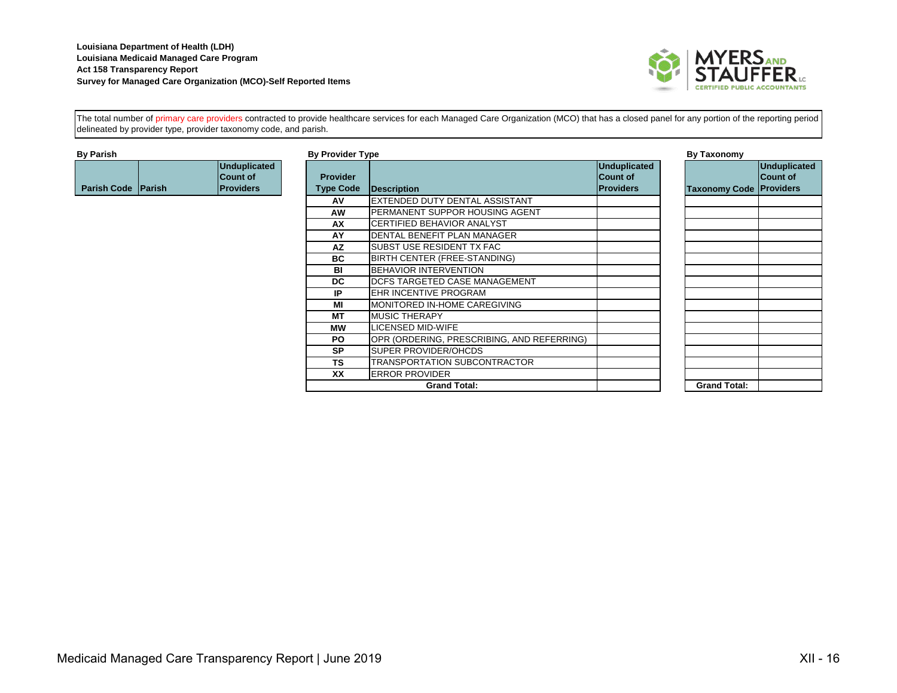

The total number of primary care providers contracted to provide healthcare services for each Managed Care Organization (MCO) that has a closed panel for any portion of the reporting period delineated by provider type, provider taxonomy code, and parish.

|                    | Unduplicated<br><b>Count of</b> |
|--------------------|---------------------------------|
| Parish Code Parish | <b>IProviders</b>               |

| By Parish                  |                                                     | <b>By Provider Type</b>             |                                            |                                                      | By Taxonomy          |
|----------------------------|-----------------------------------------------------|-------------------------------------|--------------------------------------------|------------------------------------------------------|----------------------|
| <b>Parish Code IParish</b> | <b>Unduplicated</b><br>Count of<br><b>Providers</b> | <b>Provider</b><br><b>Type Code</b> | Description                                | Unduplicated<br><b>Count of</b><br><b>IProviders</b> | <b>Taxonomy Code</b> |
|                            |                                                     | AV                                  | EXTENDED DUTY DENTAL ASSISTANT             |                                                      |                      |
|                            |                                                     | <b>AW</b>                           | PERMANENT SUPPOR HOUSING AGENT             |                                                      |                      |
|                            |                                                     | AX                                  | CERTIFIED BEHAVIOR ANALYST                 |                                                      |                      |
|                            |                                                     | AY                                  | DENTAL BENEFIT PLAN MANAGER                |                                                      |                      |
|                            |                                                     | <b>AZ</b>                           | SUBST USE RESIDENT TX FAC                  |                                                      |                      |
|                            |                                                     | <b>BC</b>                           | BIRTH CENTER (FREE-STANDING)               |                                                      |                      |
|                            |                                                     | BI                                  | <b>BEHAVIOR INTERVENTION</b>               |                                                      |                      |
|                            |                                                     | DC.                                 | DCFS TARGETED CASE MANAGEMENT              |                                                      |                      |
|                            |                                                     | IP                                  | EHR INCENTIVE PROGRAM                      |                                                      |                      |
|                            |                                                     | MI                                  | MONITORED IN-HOME CAREGIVING               |                                                      |                      |
|                            |                                                     | <b>MT</b>                           | <b>MUSIC THERAPY</b>                       |                                                      |                      |
|                            |                                                     | мw                                  | LICENSED MID-WIFE                          |                                                      |                      |
|                            |                                                     | PO.                                 | OPR (ORDERING, PRESCRIBING, AND REFERRING) |                                                      |                      |
|                            |                                                     | <b>SP</b>                           | <b>SUPER PROVIDER/OHCDS</b>                |                                                      |                      |
|                            |                                                     | <b>TS</b>                           | TRANSPORTATION SUBCONTRACTOR               |                                                      |                      |
|                            |                                                     | XX                                  | <b>ERROR PROVIDER</b>                      |                                                      |                      |
|                            |                                                     |                                     | <b>Grand Total:</b>                        |                                                      | <b>Grand Total:</b>  |

|                         | <b>Unduplicated</b><br><b>Count of</b> |
|-------------------------|----------------------------------------|
| Taxonomy Code Providers |                                        |
|                         |                                        |
|                         |                                        |
|                         |                                        |
|                         |                                        |
|                         |                                        |
|                         |                                        |
|                         |                                        |
|                         |                                        |
|                         |                                        |
|                         |                                        |
|                         |                                        |
|                         |                                        |
|                         |                                        |
|                         |                                        |
|                         |                                        |
| <b>Grand Total:</b>     |                                        |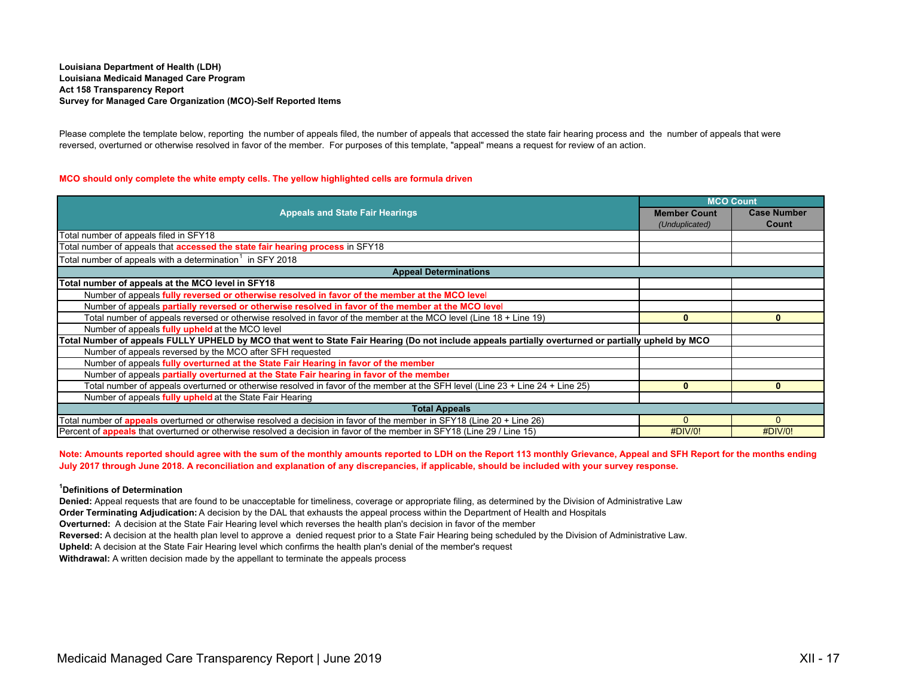Please complete the template below, reporting the number of appeals filed, the number of appeals that accessed the state fair hearing process and the number of appeals that were reversed, overturned or otherwise resolved in favor of the member. For purposes of this template, "appeal" means a request for review of an action.

# **MCO should only complete the white empty cells. The yellow highlighted cells are formula driven**

|                                                                                                                                                     |                     | <b>MCO Count</b>   |
|-----------------------------------------------------------------------------------------------------------------------------------------------------|---------------------|--------------------|
| <b>Appeals and State Fair Hearings</b>                                                                                                              | <b>Member Count</b> | <b>Case Number</b> |
|                                                                                                                                                     | (Unduplicated)      | Count              |
| Total number of appeals filed in SFY18                                                                                                              |                     |                    |
| Total number of appeals that <b>accessed the state fair hearing process</b> in SFY18                                                                |                     |                    |
| Total number of appeals with a determination $\frac{1}{1}$ in SFY 2018                                                                              |                     |                    |
| <b>Appeal Determinations</b>                                                                                                                        |                     |                    |
| Total number of appeals at the MCO level in SFY18                                                                                                   |                     |                    |
| Number of appeals fully reversed or otherwise resolved in favor of the member at the MCO level                                                      |                     |                    |
| Number of appeals partially reversed or otherwise resolved in favor of the member at the MCO level                                                  |                     |                    |
| Total number of appeals reversed or otherwise resolved in favor of the member at the MCO level (Line 18 + Line 19)                                  | $\bf{0}$            | $\bf{0}$           |
| Number of appeals fully upheld at the MCO level                                                                                                     |                     |                    |
| Total Number of appeals FULLY UPHELD by MCO that went to State Fair Hearing (Do not include appeals partially overturned or partially upheld by MCO |                     |                    |
| Number of appeals reversed by the MCO after SFH requested                                                                                           |                     |                    |
| Number of appeals fully overturned at the State Fair Hearing in favor of the member                                                                 |                     |                    |
| Number of appeals partially overturned at the State Fair hearing in favor of the member                                                             |                     |                    |
| Total number of appeals overturned or otherwise resolved in favor of the member at the SFH level (Line 23 + Line 24 + Line 25)                      | $\mathbf{0}$        | $\mathbf{0}$       |
| Number of appeals fully upheld at the State Fair Hearing                                                                                            |                     |                    |
| <b>Total Appeals</b>                                                                                                                                |                     |                    |
| Total number of <b>appeals</b> overturned or otherwise resolved a decision in favor of the member in SFY18 (Line 20 + Line 26)                      | $\Omega$            |                    |
| Percent of <b>appeals</b> that overturned or otherwise resolved a decision in favor of the member in SFY18 (Line 29 / Line 15)                      | #DIV/0!             | #DIV/0!            |

**Note: Amounts reported should agree with the sum of the monthly amounts reported to LDH on the Report 113 monthly Grievance, Appeal and SFH Report for the months ending July 2017 through June 2018. A reconciliation and explanation of any discrepancies, if applicable, should be included with your survey response.**

# **1Definitions of Determination**

**Denied:** Appeal requests that are found to be unacceptable for timeliness, coverage or appropriate filing, as determined by the Division of Administrative Law

**Order Terminating Adjudication:** A decision by the DAL that exhausts the appeal process within the Department of Health and Hospitals

**Overturned:** A decision at the State Fair Hearing level which reverses the health plan's decision in favor of the member

**Reversed:** A decision at the health plan level to approve a denied request prior to a State Fair Hearing being scheduled by the Division of Administrative Law.

**Upheld:** A decision at the State Fair Hearing level which confirms the health plan's denial of the member's request

**Withdrawal:** A written decision made by the appellant to terminate the appeals process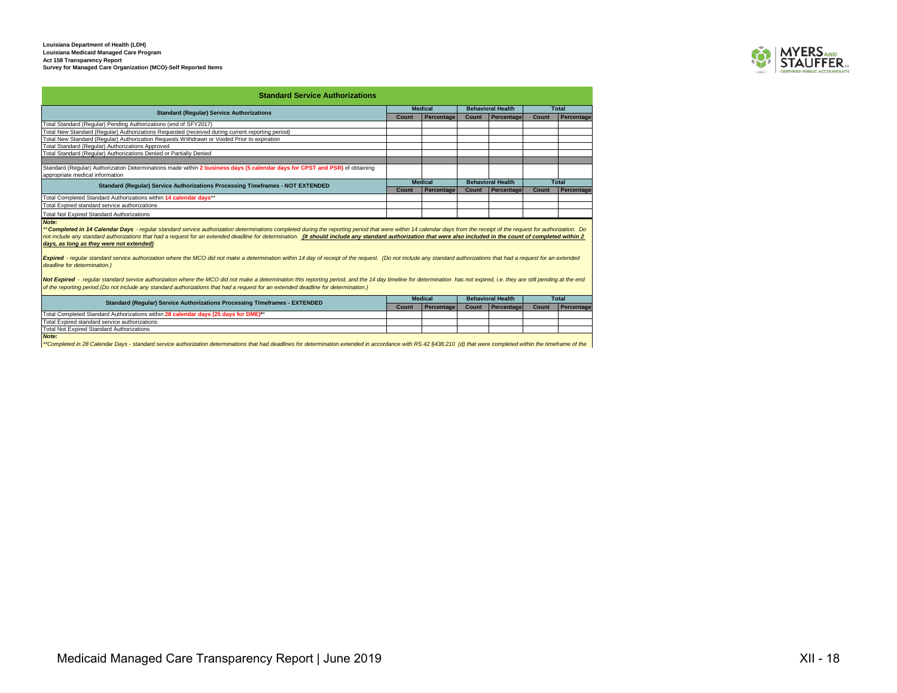

| <b>Standard Service Authorizations</b>                                                                                                                         |              |                   |                          |                          |              |              |
|----------------------------------------------------------------------------------------------------------------------------------------------------------------|--------------|-------------------|--------------------------|--------------------------|--------------|--------------|
| <b>Standard (Regular) Service Authorizations</b>                                                                                                               |              | <b>Medical</b>    |                          | <b>Behavioral Health</b> |              | Total        |
|                                                                                                                                                                | Count        | <b>Percentage</b> | Count                    | Percentage               | <b>Count</b> | Percentage   |
| Total Standard (Regular) Pending Authorizations (end of SFY2017)                                                                                               |              |                   |                          |                          |              |              |
| Total New Standard (Regular) Authorizations Requested (received during current reporting period)                                                               |              |                   |                          |                          |              |              |
| Total New Standard (Regular) Authorization Requests Withdrawn or Voided Prior to expiration                                                                    |              |                   |                          |                          |              |              |
| Total Standard (Regular) Authorizations Approved                                                                                                               |              |                   |                          |                          |              |              |
| Total Standard (Regular) Authorizations Denied or Partially Denied                                                                                             |              |                   |                          |                          |              |              |
|                                                                                                                                                                |              |                   |                          |                          |              |              |
| Standard (Regular) Authorization Determinations made within 2 business days (5 calendar days for CPST and PSR) of obtaining<br>appropriate medical information |              |                   |                          |                          |              |              |
| Standard (Regular) Service Authorizations Processing Timeframes - NOT EXTENDED                                                                                 |              | <b>Medical</b>    | <b>Behavioral Health</b> |                          |              | <b>Total</b> |
|                                                                                                                                                                | <b>Count</b> | <b>Percentage</b> | Count                    | Percentage               | Count        | Percentage   |
| Total Completed Standard Authorizations within 14 calendar days**                                                                                              |              |                   |                          |                          |              |              |
| Total Expired standard service authorizations                                                                                                                  |              |                   |                          |                          |              |              |
| <b>Total Not Expired Standard Authorizations</b>                                                                                                               |              |                   |                          |                          |              |              |
| Note:                                                                                                                                                          |              |                   |                          |                          |              |              |

Note:<br>\*\* Completed in 14 Calendar Days - regular standard service authorization determinations completed during the reporting period that were within 14 calendar days from the receipt of the request for authorization. Do<br>n *days, as long as they were not extended)*

Expired - regular standard service authorization where the MCO did not make a determination within 14 day of receipt of the request. (Do not include any standard authorizations that had a request for an extended *deadline for determination.)*

Not Expired - reqular standard service authorization where the MCO did not make a determination this reporting period, and the 14 day timeline for determination has not expired, i.e. they are still pending at the end *of the reporting period.(Do not include any standard authorizations that had a request for an extended deadline for determination.)*

|  | <b>Standard (Regular) Service Authorizations Processing Timeframes - EXTENDED</b>   | <b>Medical</b> |            | <b>Behavioral Health</b> |                   | Total |              |
|--|-------------------------------------------------------------------------------------|----------------|------------|--------------------------|-------------------|-------|--------------|
|  |                                                                                     | Count          | Percentage | Count                    | <b>Percentage</b> | Count | I Percentage |
|  | Total Completed Standard Authorizations within 28 calendar days (25 days for DME)** |                |            |                          |                   |       |              |
|  | Total Expired standard service authorizations                                       |                |            |                          |                   |       |              |
|  | <b>Total Not Expired Standard Authorizations</b>                                    |                |            |                          |                   |       |              |
|  | Note:                                                                               |                |            |                          |                   |       |              |

Note:<br>\*\*Completed in 28 Calendar Days - standard service authorization determinations that had deadlines for determination extended in accordance with RS 42 §438.210 (d) that were completed within the timeframe of the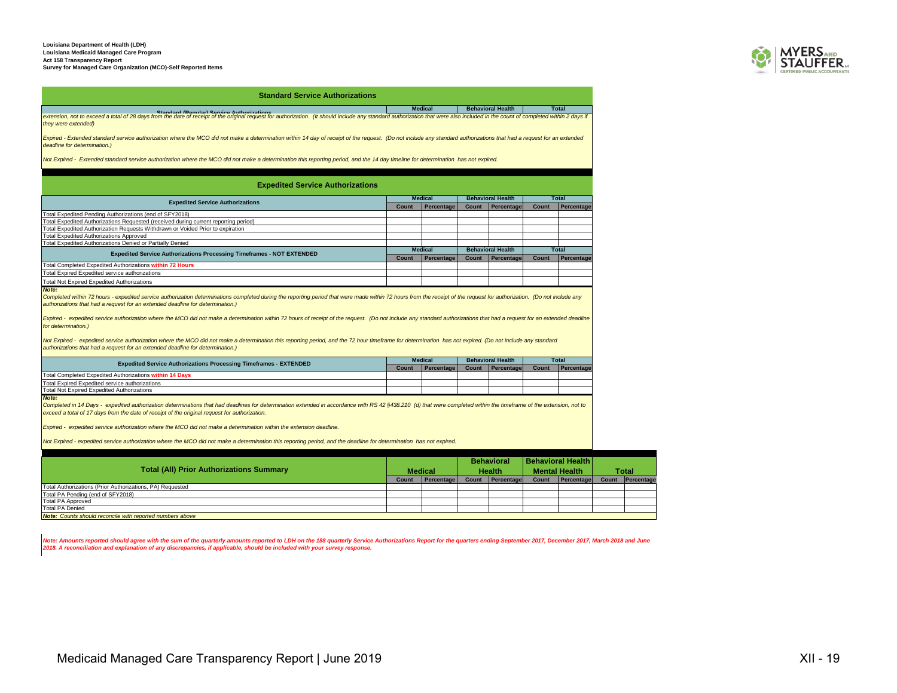

### **Standard Service Authorizations**

Medical Behavioral Health Bonutar) Service Authorizations<br>extension, not to exceed a total of 28 days from the date of receipt of the original request for authorization. (It should include any standard authorization that w *they were extended)*

*Expired - Extended standard service authorization where the MCO did not make a determination within 14 day of receipt of the request. (Do not include any standard authorizations that had a request for an extended deadline for determination.)*

*Not Expired - Extended standard service authorization where the MCO did not make a determination this reporting period, and the 14 day timeline for determination has not expired.*

### **Expedited Service Authorizations**

| <b>Expedited Service Authorizations</b>                                             |                | <b>Medical</b>    | <b>Behavioral Health</b> |            |       | <b>Total</b> |
|-------------------------------------------------------------------------------------|----------------|-------------------|--------------------------|------------|-------|--------------|
|                                                                                     |                | <b>Percentage</b> | Count                    | Percentage | Count | Percentage   |
| Total Expedited Pending Authorizations (end of SFY2018)                             |                |                   |                          |            |       |              |
| Total Expedited Authorizations Requested (received during current reporting period) |                |                   |                          |            |       |              |
| Total Expedited Authorization Requests Withdrawn or Voided Prior to expiration      |                |                   |                          |            |       |              |
| <b>Total Expedited Authorizations Approved</b>                                      |                |                   |                          |            |       |              |
| Total Expedited Authorizations Denied or Partially Denied                           |                |                   |                          |            |       |              |
| <b>Expedited Service Authorizations Processing Timeframes - NOT EXTENDED</b>        | <b>Medical</b> |                   | <b>Behavioral Health</b> |            |       | <b>Total</b> |
|                                                                                     | Count          | Percentage        | Count                    | Percentage | Count | Percentage   |
| Total Completed Expedited Authorizations within 72 Hours                            |                |                   |                          |            |       |              |
| Total Expired Expedited service authorizations                                      |                |                   |                          |            |       |              |
| <b>Total Not Expired Expedited Authorizations</b>                                   |                |                   |                          |            |       |              |

### *Note:*

*Completed within 72 hours - expedited service authorization determinations completed during the reporting period that were made within 72 hours from the receipt of the request for authorization. (Do not include any authorizations that had a request for an extended deadline for determination.)*

*Expired - expedited service authorization where the MCO did not make a determination within 72 hours of receipt of the request. (Do not include any standard authorizations that had a request for an extended deadline for determination.)*

*Not Expired - expedited service authorization where the MCO did not make a determination this reporting period, and the 72 hour timeframe for determination has not expired. (Do not include any standard authorizations that had a request for an extended deadline for determination.)*

| <b>Expedited Service Authorizations Processing Timeframes - EXTENDED</b> |                                                         |            | <b>Medical</b> |            | <b>Behavioral Health</b> | <b>Total</b> |  |
|--------------------------------------------------------------------------|---------------------------------------------------------|------------|----------------|------------|--------------------------|--------------|--|
|                                                                          | Count                                                   | Percentage | Count          | Percentage | Count                    | Percentage   |  |
|                                                                          | Total Completed Expedited Authorizations within 14 Days |            |                |            |                          |              |  |
|                                                                          | Total Expired Expedited service authorizations          |            |                |            |                          |              |  |
|                                                                          | Total Not Expired Expedited Authorizations              |            |                |            |                          |              |  |

*Note:*

*Completed in 14 Days - expedited authorization determinations that had deadlines for determination extended in accordance with RS 42 §438.210 (d) that were completed within the timeframe of the extension, not to exceed a total of 17 days from the date of receipt of the original request for authorization.* 

*Expired - expedited service authorization where the MCO did not make a determination within the extension deadline.*

*Not Expired - expedited service authorization where the MCO did not make a determination this reporting period, and the deadline for determination has not expired.*

|                                                                  |                |                   |               | <b>Behavioral</b> |                      | <b>Behavioral Health</b> |              |            |
|------------------------------------------------------------------|----------------|-------------------|---------------|-------------------|----------------------|--------------------------|--------------|------------|
| <b>Total (All) Prior Authorizations Summary</b>                  | <b>Medical</b> |                   | <b>Health</b> |                   | <b>Mental Health</b> |                          | <b>Total</b> |            |
|                                                                  | Count          | <b>Percentage</b> | Count         | Percentage        | Count                | Percentage               | <b>Count</b> | Percentage |
| Total Authorizations (Prior Authorizations, PA) Requested        |                |                   |               |                   |                      |                          |              |            |
| Total PA Pending (end of SFY2018)                                |                |                   |               |                   |                      |                          |              |            |
| <b>Total PA Approved</b>                                         |                |                   |               |                   |                      |                          |              |            |
| <b>Total PA Denied</b>                                           |                |                   |               |                   |                      |                          |              |            |
| <b>Note:</b> Counts should reconcile with reported numbers above |                |                   |               |                   |                      |                          |              |            |

Note: Amounts reported should agree with the sum of the quarterly amounts reported to LDH on the 188 quarterly Service Authorizations Report for the quarters ending September 2017, December 2017, March 2018 and June<br>2018.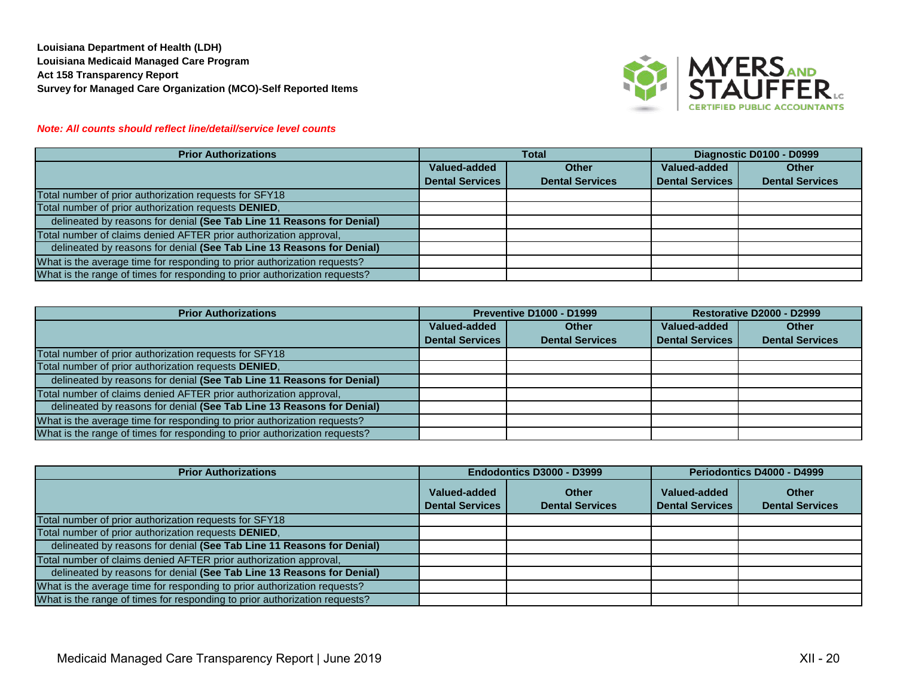

# *Note: All counts should reflect line/detail/service level counts*

| <b>Prior Authorizations</b>                                                | <b>Total</b>                 |                        | Diagnostic D0100 - D0999 |                        |
|----------------------------------------------------------------------------|------------------------------|------------------------|--------------------------|------------------------|
|                                                                            | Valued-added<br><b>Other</b> |                        | Valued-added             | <b>Other</b>           |
|                                                                            | <b>Dental Services</b>       | <b>Dental Services</b> | <b>Dental Services</b>   | <b>Dental Services</b> |
| Total number of prior authorization requests for SFY18                     |                              |                        |                          |                        |
| Total number of prior authorization requests DENIED,                       |                              |                        |                          |                        |
| delineated by reasons for denial (See Tab Line 11 Reasons for Denial)      |                              |                        |                          |                        |
| Total number of claims denied AFTER prior authorization approval,          |                              |                        |                          |                        |
| delineated by reasons for denial (See Tab Line 13 Reasons for Denial)      |                              |                        |                          |                        |
| What is the average time for responding to prior authorization requests?   |                              |                        |                          |                        |
| What is the range of times for responding to prior authorization requests? |                              |                        |                          |                        |

| <b>Prior Authorizations</b>                                                | <b>Preventive D1000 - D1999</b> |                        | Restorative D2000 - D2999 |                        |
|----------------------------------------------------------------------------|---------------------------------|------------------------|---------------------------|------------------------|
|                                                                            | Valued-added                    | <b>Other</b>           | Valued-added              | <b>Other</b>           |
|                                                                            | <b>Dental Services</b>          | <b>Dental Services</b> | <b>Dental Services</b>    | <b>Dental Services</b> |
| Total number of prior authorization requests for SFY18                     |                                 |                        |                           |                        |
| Total number of prior authorization requests DENIED,                       |                                 |                        |                           |                        |
| delineated by reasons for denial (See Tab Line 11 Reasons for Denial)      |                                 |                        |                           |                        |
| Total number of claims denied AFTER prior authorization approval,          |                                 |                        |                           |                        |
| delineated by reasons for denial (See Tab Line 13 Reasons for Denial)      |                                 |                        |                           |                        |
| What is the average time for responding to prior authorization requests?   |                                 |                        |                           |                        |
| What is the range of times for responding to prior authorization requests? |                                 |                        |                           |                        |

| <b>Prior Authorizations</b>                                                | Endodontics D3000 - D3999              |                                        | Periodontics D4000 - D4999             |                                        |
|----------------------------------------------------------------------------|----------------------------------------|----------------------------------------|----------------------------------------|----------------------------------------|
|                                                                            | Valued-added<br><b>Dental Services</b> | <b>Other</b><br><b>Dental Services</b> | Valued-added<br><b>Dental Services</b> | <b>Other</b><br><b>Dental Services</b> |
| Total number of prior authorization requests for SFY18                     |                                        |                                        |                                        |                                        |
| Total number of prior authorization requests DENIED,                       |                                        |                                        |                                        |                                        |
| delineated by reasons for denial (See Tab Line 11 Reasons for Denial)      |                                        |                                        |                                        |                                        |
| Total number of claims denied AFTER prior authorization approval,          |                                        |                                        |                                        |                                        |
| delineated by reasons for denial (See Tab Line 13 Reasons for Denial)      |                                        |                                        |                                        |                                        |
| What is the average time for responding to prior authorization requests?   |                                        |                                        |                                        |                                        |
| What is the range of times for responding to prior authorization requests? |                                        |                                        |                                        |                                        |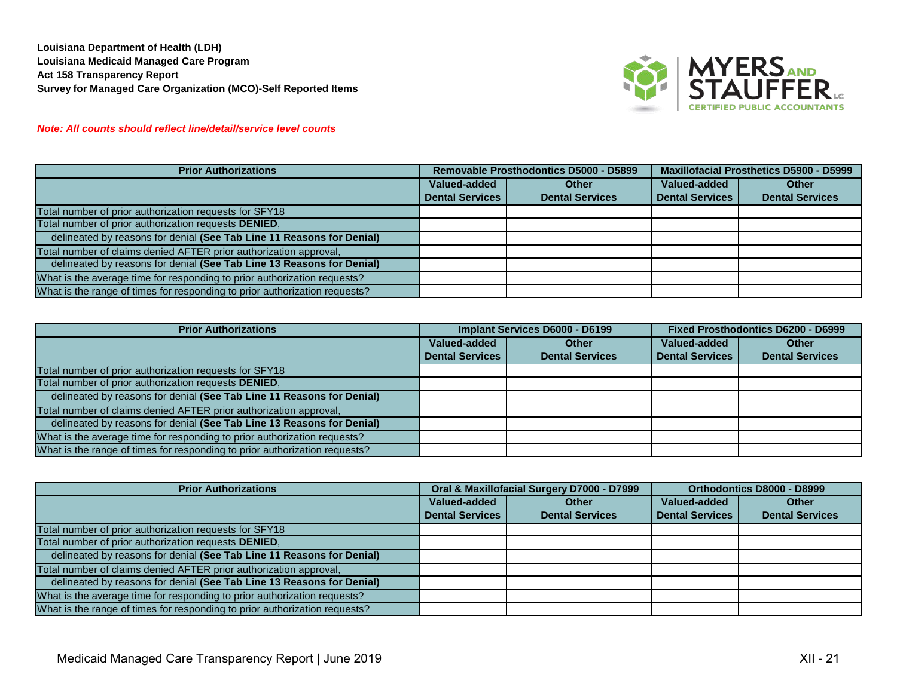

# *Note: All counts should reflect line/detail/service level counts*

| <b>Prior Authorizations</b>                                                |                        | Removable Prosthodontics D5000 - D5899 | Maxillofacial Prosthetics D5900 - D5999 |                        |  |
|----------------------------------------------------------------------------|------------------------|----------------------------------------|-----------------------------------------|------------------------|--|
|                                                                            | Valued-added<br>Other  |                                        | Valued-added                            | <b>Other</b>           |  |
|                                                                            | <b>Dental Services</b> | <b>Dental Services</b>                 | <b>Dental Services</b>                  | <b>Dental Services</b> |  |
| Total number of prior authorization requests for SFY18                     |                        |                                        |                                         |                        |  |
| Total number of prior authorization requests DENIED,                       |                        |                                        |                                         |                        |  |
| delineated by reasons for denial (See Tab Line 11 Reasons for Denial)      |                        |                                        |                                         |                        |  |
| Total number of claims denied AFTER prior authorization approval,          |                        |                                        |                                         |                        |  |
| delineated by reasons for denial (See Tab Line 13 Reasons for Denial)      |                        |                                        |                                         |                        |  |
| What is the average time for responding to prior authorization requests?   |                        |                                        |                                         |                        |  |
| What is the range of times for responding to prior authorization requests? |                        |                                        |                                         |                        |  |

| <b>Prior Authorizations</b>                                                | Implant Services D6000 - D6199 |                        | <b>Fixed Prosthodontics D6200 - D6999</b> |                        |
|----------------------------------------------------------------------------|--------------------------------|------------------------|-------------------------------------------|------------------------|
|                                                                            | Valued-added<br><b>Other</b>   |                        | Valued-added                              | <b>Other</b>           |
|                                                                            | <b>Dental Services</b>         | <b>Dental Services</b> | <b>Dental Services</b>                    | <b>Dental Services</b> |
| Total number of prior authorization requests for SFY18                     |                                |                        |                                           |                        |
| Total number of prior authorization requests DENIED,                       |                                |                        |                                           |                        |
| delineated by reasons for denial (See Tab Line 11 Reasons for Denial)      |                                |                        |                                           |                        |
| Total number of claims denied AFTER prior authorization approval,          |                                |                        |                                           |                        |
| delineated by reasons for denial (See Tab Line 13 Reasons for Denial)      |                                |                        |                                           |                        |
| What is the average time for responding to prior authorization requests?   |                                |                        |                                           |                        |
| What is the range of times for responding to prior authorization requests? |                                |                        |                                           |                        |

| <b>Prior Authorizations</b>                                                |                              | Oral & Maxillofacial Surgery D7000 - D7999 | Orthodontics D8000 - D8999 |                        |  |
|----------------------------------------------------------------------------|------------------------------|--------------------------------------------|----------------------------|------------------------|--|
|                                                                            | Valued-added<br><b>Other</b> |                                            | Valued-added               | <b>Other</b>           |  |
|                                                                            | <b>Dental Services</b>       | <b>Dental Services</b>                     | <b>Dental Services</b>     | <b>Dental Services</b> |  |
| Total number of prior authorization requests for SFY18                     |                              |                                            |                            |                        |  |
| Total number of prior authorization requests DENIED,                       |                              |                                            |                            |                        |  |
| delineated by reasons for denial (See Tab Line 11 Reasons for Denial)      |                              |                                            |                            |                        |  |
| Total number of claims denied AFTER prior authorization approval,          |                              |                                            |                            |                        |  |
| delineated by reasons for denial (See Tab Line 13 Reasons for Denial)      |                              |                                            |                            |                        |  |
| What is the average time for responding to prior authorization requests?   |                              |                                            |                            |                        |  |
| What is the range of times for responding to prior authorization requests? |                              |                                            |                            |                        |  |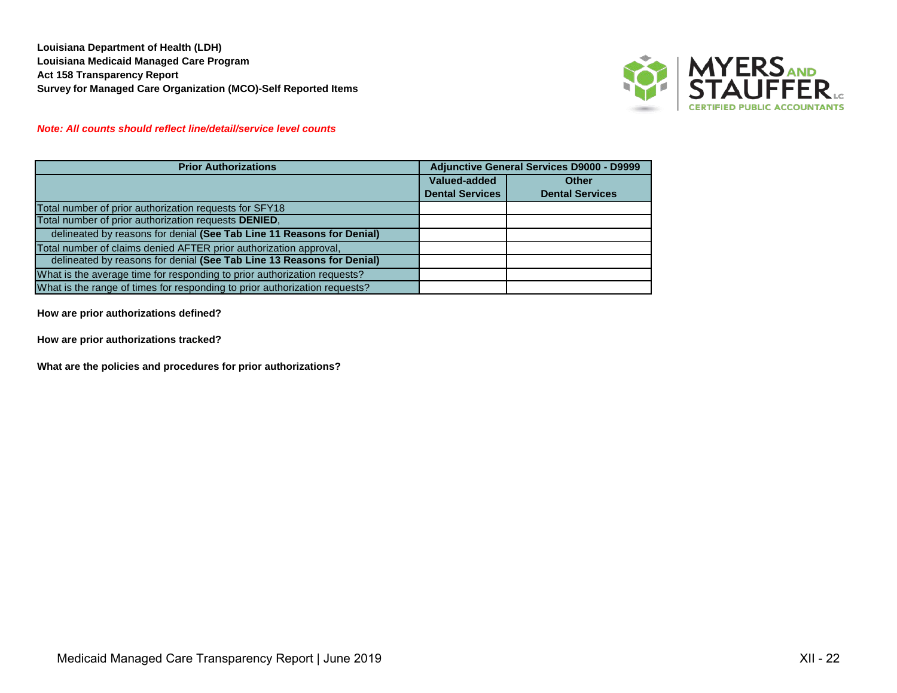

# *Note: All counts should reflect line/detail/service level counts*

| <b>Prior Authorizations</b>                                                | <b>Adjunctive General Services D9000 - D9999</b> |                        |  |
|----------------------------------------------------------------------------|--------------------------------------------------|------------------------|--|
|                                                                            | Valued-added                                     | <b>Other</b>           |  |
|                                                                            | <b>Dental Services</b>                           | <b>Dental Services</b> |  |
| Total number of prior authorization requests for SFY18                     |                                                  |                        |  |
| Total number of prior authorization requests DENIED,                       |                                                  |                        |  |
| delineated by reasons for denial (See Tab Line 11 Reasons for Denial)      |                                                  |                        |  |
| Total number of claims denied AFTER prior authorization approval,          |                                                  |                        |  |
| delineated by reasons for denial (See Tab Line 13 Reasons for Denial)      |                                                  |                        |  |
| What is the average time for responding to prior authorization requests?   |                                                  |                        |  |
| What is the range of times for responding to prior authorization requests? |                                                  |                        |  |

**How are prior authorizations defined?**

**How are prior authorizations tracked?**

**What are the policies and procedures for prior authorizations?**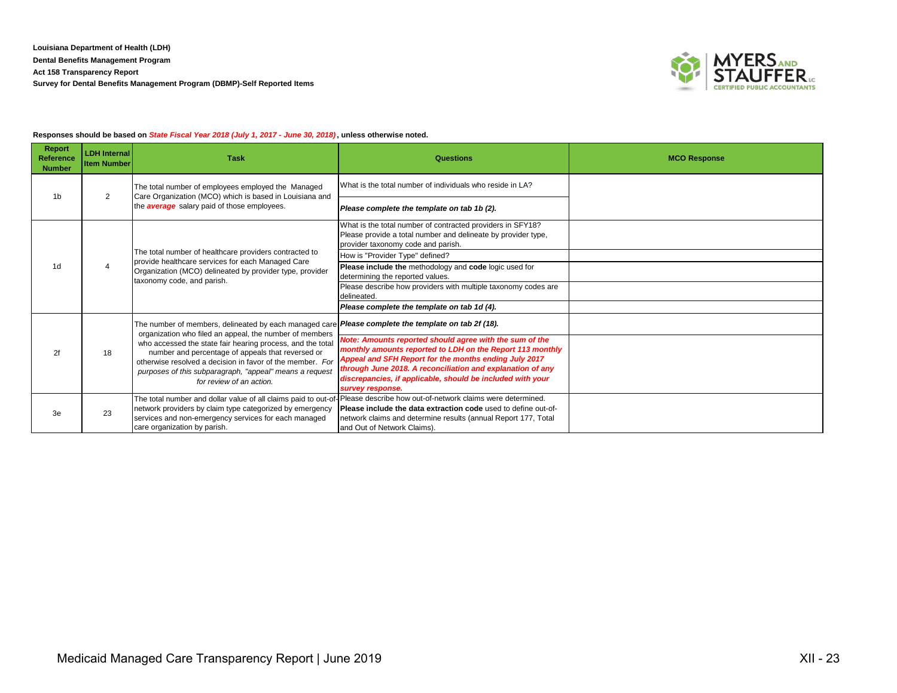

## **Responses should be based on** *State Fiscal Year 2018 (July 1, 2017 - June 30, 2018)* **, unless otherwise noted.**

| <b>Report</b><br>Reference<br><b>Number</b> | <b>LDH Internal</b><br><b>Item Number</b> | <b>Task</b>                                                                                                                                                           | Questions                                                                                                                                                         | <b>MCO Response</b> |
|---------------------------------------------|-------------------------------------------|-----------------------------------------------------------------------------------------------------------------------------------------------------------------------|-------------------------------------------------------------------------------------------------------------------------------------------------------------------|---------------------|
| 1 <sub>b</sub>                              | 2                                         | The total number of employees employed the Managed<br>Care Organization (MCO) which is based in Louisiana and                                                         | What is the total number of individuals who reside in LA?                                                                                                         |                     |
|                                             |                                           | the <b>average</b> salary paid of those employees.                                                                                                                    | Please complete the template on tab 1b (2).                                                                                                                       |                     |
|                                             |                                           |                                                                                                                                                                       | What is the total number of contracted providers in SFY18?<br>Please provide a total number and delineate by provider type,<br>provider taxonomy code and parish. |                     |
|                                             |                                           | The total number of healthcare providers contracted to                                                                                                                | How is "Provider Type" defined?                                                                                                                                   |                     |
| 1d                                          | $\overline{4}$                            | provide healthcare services for each Managed Care<br>Organization (MCO) delineated by provider type, provider<br>taxonomy code, and parish.                           | Please include the methodology and code logic used for<br>determining the reported values.                                                                        |                     |
|                                             |                                           |                                                                                                                                                                       | Please describe how providers with multiple taxonomy codes are<br>delineated.                                                                                     |                     |
|                                             |                                           |                                                                                                                                                                       | Please complete the template on tab 1d (4).                                                                                                                       |                     |
|                                             |                                           | The number of members, delineated by each managed care <b>Please complete the template on tab 2f (18).</b><br>organization who filed an appeal, the number of members |                                                                                                                                                                   |                     |
|                                             |                                           | who accessed the state fair hearing process, and the total                                                                                                            | Note: Amounts reported should agree with the sum of the                                                                                                           |                     |
| 2f                                          | 18                                        | number and percentage of appeals that reversed or                                                                                                                     | monthly amounts reported to LDH on the Report 113 monthly<br>Appeal and SFH Report for the months ending July 2017                                                |                     |
|                                             |                                           | otherwise resolved a decision in favor of the member. For<br>purposes of this subparagraph, "appeal" means a request                                                  | through June 2018. A reconciliation and explanation of any                                                                                                        |                     |
|                                             |                                           | for review of an action.                                                                                                                                              | discrepancies, if applicable, should be included with your<br>survey response.                                                                                    |                     |
|                                             |                                           |                                                                                                                                                                       | The total number and dollar value of all claims paid to out-of-Please describe how out-of-network claims were determined.                                         |                     |
| 3e                                          | 23                                        | network providers by claim type categorized by emergency<br>services and non-emergency services for each managed                                                      | <b>Please include the data extraction code</b> used to define out-of-<br>network claims and determine results (annual Report 177, Total                           |                     |
|                                             |                                           | care organization by parish.                                                                                                                                          | and Out of Network Claims).                                                                                                                                       |                     |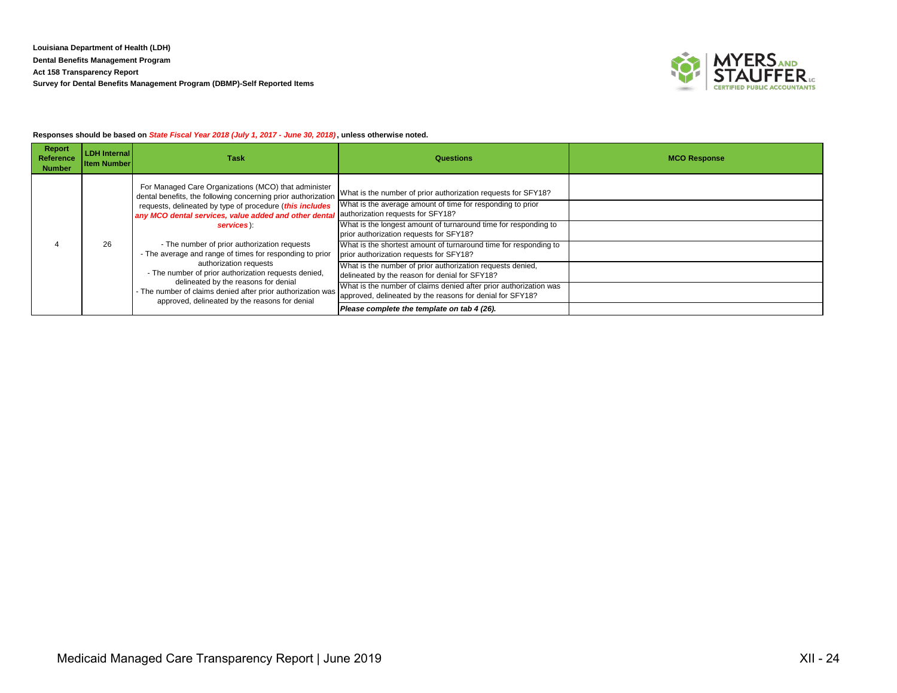

## **Responses should be based on** *State Fiscal Year 2018 (July 1, 2017 - June 30, 2018)* **, unless otherwise noted.**

| Report<br>Reference<br><b>Number</b> | <b>LDH Internal</b><br><b>Item Number</b>                                                                                                                                             | <b>Task</b>                                                                                                                                                                                                                             | <b>Questions</b>                                                                                                                                                 | <b>MCO Response</b> |
|--------------------------------------|---------------------------------------------------------------------------------------------------------------------------------------------------------------------------------------|-----------------------------------------------------------------------------------------------------------------------------------------------------------------------------------------------------------------------------------------|------------------------------------------------------------------------------------------------------------------------------------------------------------------|---------------------|
|                                      |                                                                                                                                                                                       | For Managed Care Organizations (MCO) that administer<br>dental benefits, the following concerning prior authorization<br>requests, delineated by type of procedure (this includes                                                       | What is the number of prior authorization requests for SFY18?<br>What is the average amount of time for responding to prior<br>authorization requests for SFY18? |                     |
|                                      | any MCO dental services, value added and other dental<br>services):<br>26<br>- The number of prior authorization requests<br>- The average and range of times for responding to prior | What is the longest amount of turnaround time for responding to<br>prior authorization requests for SFY18?                                                                                                                              |                                                                                                                                                                  |                     |
|                                      |                                                                                                                                                                                       | What is the shortest amount of turnaround time for responding to<br>prior authorization requests for SFY18?                                                                                                                             |                                                                                                                                                                  |                     |
|                                      |                                                                                                                                                                                       | authorization requests<br>- The number of prior authorization requests denied,<br>delineated by the reasons for denial<br>- The number of claims denied after prior authorization was<br>approved, delineated by the reasons for denial | What is the number of prior authorization requests denied,<br>delineated by the reason for denial for SFY18?                                                     |                     |
|                                      |                                                                                                                                                                                       |                                                                                                                                                                                                                                         | What is the number of claims denied after prior authorization was<br>approved, delineated by the reasons for denial for SFY18?                                   |                     |
|                                      |                                                                                                                                                                                       |                                                                                                                                                                                                                                         | Please complete the template on tab 4 (26).                                                                                                                      |                     |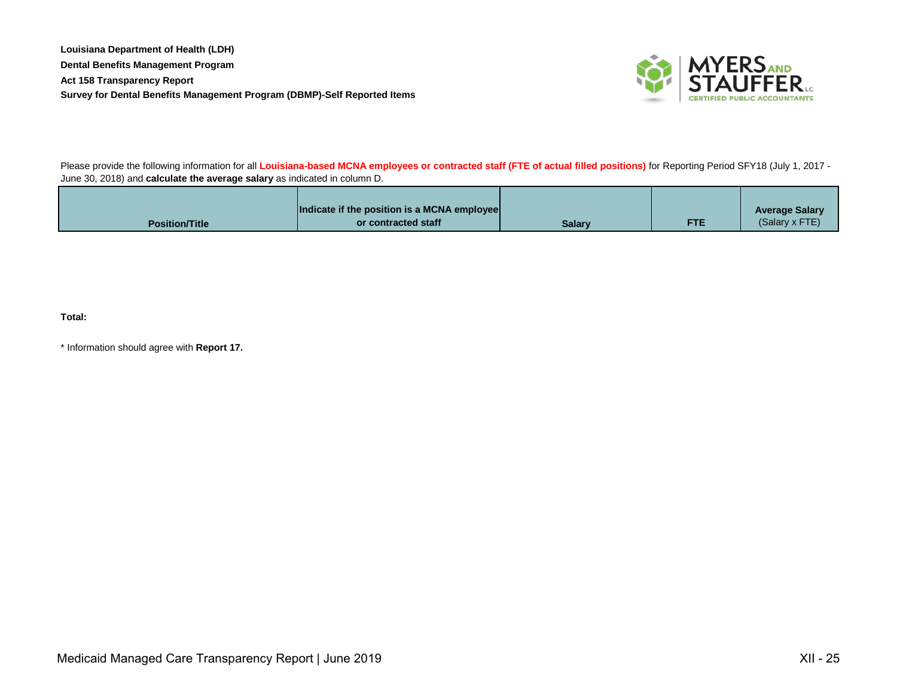**Louisiana Department of Health (LDH) Dental Benefits Management Program Act 158 Transparency Report Survey for Dental Benefits Management Program (DBMP)-Self Reported Items**



Please provide the following information for all **Louisiana-based MCNA employees or contracted staff (FTE of actual filled positions)** for Reporting Period SFY18 (July 1, 2017 - June 30, 2018) and **calculate the average salary** as indicated in column D.

|                       | Indicate if the position is a MCNA employee |        |     | <b>Average Salary</b> |
|-----------------------|---------------------------------------------|--------|-----|-----------------------|
| <b>Position/Title</b> | or contracted staff                         | Salarv | FTE | (Salary x FTE)        |

**Total:**

\* Information should agree with **Report 17.**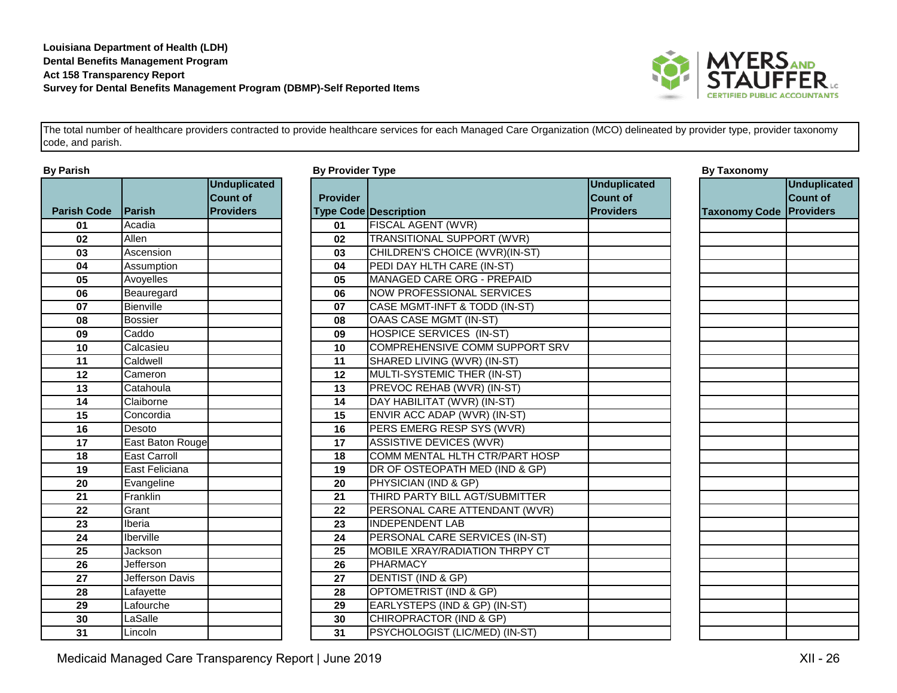

|                    |                     | <b>Unduplicated</b> |                 |                                  |
|--------------------|---------------------|---------------------|-----------------|----------------------------------|
|                    |                     | <b>Count of</b>     | <b>Provider</b> |                                  |
| <b>Parish Code</b> | Parish              | <b>Providers</b>    |                 | <b>Type Code Description</b>     |
| 01                 | Acadia              |                     | 01              | FISCAL AGENT (WVR)               |
| 02                 | Allen               |                     | 02              | <b>TRANSITIONAL SUPPORT (W</b>   |
| 03                 | Ascension           |                     | 03              | <b>CHILDREN'S CHOICE (WVR)(I</b> |
| 04                 | Assumption          |                     | 04              | PEDI DAY HLTH CARE (IN-ST)       |
| 05                 | Avoyelles           |                     | 05              | <b>MANAGED CARE ORG - PREF</b>   |
| 06                 | Beauregard          |                     | 06              | <b>NOW PROFESSIONAL SERVI</b>    |
| 07                 | Bienville           |                     | 07              | CASE MGMT-INFT & TODD (IN        |
| 08                 | <b>Bossier</b>      |                     | 08              | <b>OAAS CASE MGMT (IN-ST)</b>    |
| 09                 | Caddo               |                     | 09              | HOSPICE SERVICES (IN-ST)         |
| 10                 | Calcasieu           |                     | 10              | COMPREHENSIVE COMM SU            |
| 11                 | Caldwell            |                     | 11              | SHARED LIVING (WVR) (IN-ST       |
| 12                 | Cameron             |                     | 12              | MULTI-SYSTEMIC THER (IN-S        |
| $\overline{13}$    | Catahoula           |                     | $\overline{13}$ | PREVOC REHAB (WVR) (IN-S)        |
| 14                 | Claiborne           |                     | 14              | DAY HABILITAT (WVR) (IN-ST       |
| 15                 | Concordia           |                     | 15              | ENVIR ACC ADAP (WVR) (IN-        |
| 16                 | Desoto              |                     | 16              | PERS EMERG RESP SYS (W\          |
| 17                 | East Baton Rouge    |                     | 17              | <b>ASSISTIVE DEVICES (WVR)</b>   |
| 18                 | <b>East Carroll</b> |                     | 18              | COMM MENTAL HLTH CTR/P/          |
| 19                 | East Feliciana      |                     | 19              | DR OF OSTEOPATH MED (IND         |
| 20                 | Evangeline          |                     | 20              | PHYSICIAN (IND & GP)             |
| 21                 | Franklin            |                     | 21              | THIRD PARTY BILL AGT/SUBI        |
| 22                 | Grant               |                     | 22              | PERSONAL CARE ATTENDAN           |
| 23                 | Iberia              |                     | 23              | <b>INDEPENDENT LAB</b>           |
| 24                 | Iberville           |                     | 24              | PERSONAL CARE SERVICES           |
| 25                 | Jackson             |                     | 25              | MOBILE XRAY/RADIATION TH         |
| 26                 | Jefferson           |                     | 26              | <b>PHARMACY</b>                  |
| 27                 | Jefferson Davis     |                     | 27              | DENTIST (IND & GP)               |
| 28                 | Lafayette           |                     | 28              | OPTOMETRIST (IND & GP)           |
| 29                 | Lafourche           |                     | 29              | EARLYSTEPS (IND & GP) (IN-       |
| 30                 | LaSalle             |                     | 30              | CHIROPRACTOR (IND & GP)          |
| 31                 | Lincoln             |                     | 31              | PSYCHOLOGIST (LIC/MED) (II       |

| By Parish          |                     | <b>By Provider Type</b>                |                 |                                       | <b>By Taxonomy</b>                     |                                |                                 |
|--------------------|---------------------|----------------------------------------|-----------------|---------------------------------------|----------------------------------------|--------------------------------|---------------------------------|
|                    |                     | <b>Unduplicated</b><br><b>Count of</b> | <b>Provider</b> |                                       | <b>Unduplicated</b><br><b>Count of</b> |                                | <b>Unduplicated</b><br>Count of |
| <b>Parish Code</b> | <b>Parish</b>       | <b>Providers</b>                       |                 | <b>Type Code Description</b>          | <b>Providers</b>                       | <b>Taxonomy Code Providers</b> |                                 |
| 01                 | Acadia              |                                        | 01              | <b>FISCAL AGENT (WVR)</b>             |                                        |                                |                                 |
| 02                 | Allen               |                                        | 02              | TRANSITIONAL SUPPORT (WVR)            |                                        |                                |                                 |
| 03                 | Ascension           |                                        | 03              | CHILDREN'S CHOICE (WVR)(IN-ST)        |                                        |                                |                                 |
| 04                 | Assumption          |                                        | 04              | PEDI DAY HLTH CARE (IN-ST)            |                                        |                                |                                 |
| 05                 | Avoyelles           |                                        | 05              | MANAGED CARE ORG - PREPAID            |                                        |                                |                                 |
| 06                 | Beauregard          |                                        | 06              | <b>NOW PROFESSIONAL SERVICES</b>      |                                        |                                |                                 |
| 07                 | Bienville           |                                        | 07              | CASE MGMT-INFT & TODD (IN-ST)         |                                        |                                |                                 |
| 08                 | <b>Bossier</b>      |                                        | 08              | OAAS CASE MGMT (IN-ST)                |                                        |                                |                                 |
| 09                 | Caddo               |                                        | 09              | <b>HOSPICE SERVICES (IN-ST)</b>       |                                        |                                |                                 |
| 10                 | Calcasieu           |                                        | 10              | COMPREHENSIVE COMM SUPPORT SRV        |                                        |                                |                                 |
| 11                 | Caldwell            |                                        | 11              | SHARED LIVING (WVR) (IN-ST)           |                                        |                                |                                 |
| 12                 | Cameron             |                                        | 12              | MULTI-SYSTEMIC THER (IN-ST)           |                                        |                                |                                 |
| 13                 | Catahoula           |                                        | 13              | PREVOC REHAB (WVR) (IN-ST)            |                                        |                                |                                 |
| 14                 | Claiborne           |                                        | 14              | DAY HABILITAT (WVR) (IN-ST)           |                                        |                                |                                 |
| $\overline{15}$    | Concordia           |                                        | 15              | ENVIR ACC ADAP (WVR) (IN-ST)          |                                        |                                |                                 |
| 16                 | Desoto              |                                        | 16              | PERS EMERG RESP SYS (WVR)             |                                        |                                |                                 |
| 17                 | East Baton Rouge    |                                        | 17              | <b>ASSISTIVE DEVICES (WVR)</b>        |                                        |                                |                                 |
| 18                 | <b>East Carroll</b> |                                        | 18              | COMM MENTAL HLTH CTR/PART HOSP        |                                        |                                |                                 |
| 19                 | East Feliciana      |                                        | 19              | DR OF OSTEOPATH MED (IND & GP)        |                                        |                                |                                 |
| 20                 | Evangeline          |                                        | 20              | PHYSICIAN (IND & GP)                  |                                        |                                |                                 |
| 21                 | Franklin            |                                        | 21              | THIRD PARTY BILL AGT/SUBMITTER        |                                        |                                |                                 |
| 22                 | Grant               |                                        | 22              | PERSONAL CARE ATTENDANT (WVR)         |                                        |                                |                                 |
| 23                 | Iberia              |                                        | 23              | <b>INDEPENDENT LAB</b>                |                                        |                                |                                 |
| 24                 | Iberville           |                                        | 24              | PERSONAL CARE SERVICES (IN-ST)        |                                        |                                |                                 |
| 25                 | Jackson             |                                        | 25              | <b>MOBILE XRAY/RADIATION THRPY CT</b> |                                        |                                |                                 |
| 26                 | Jefferson           |                                        | 26              | PHARMACY                              |                                        |                                |                                 |
| 27                 | Jefferson Davis     |                                        | 27              | DENTIST (IND & GP)                    |                                        |                                |                                 |
| 28                 | Lafayette           |                                        | 28              | OPTOMETRIST (IND & GP)                |                                        |                                |                                 |
| 29                 | Lafourche           |                                        | 29              | EARLYSTEPS (IND & GP) (IN-ST)         |                                        |                                |                                 |
| 30                 | LaSalle             |                                        | 30              | CHIROPRACTOR (IND & GP)               |                                        |                                |                                 |
| 31                 | Lincoln             |                                        | 31              | PSYCHOLOGIST (LIC/MED) (IN-ST)        |                                        |                                |                                 |

# Medicaid Managed Care Transparency Report | June 2019 **XII - 2019** XII - 26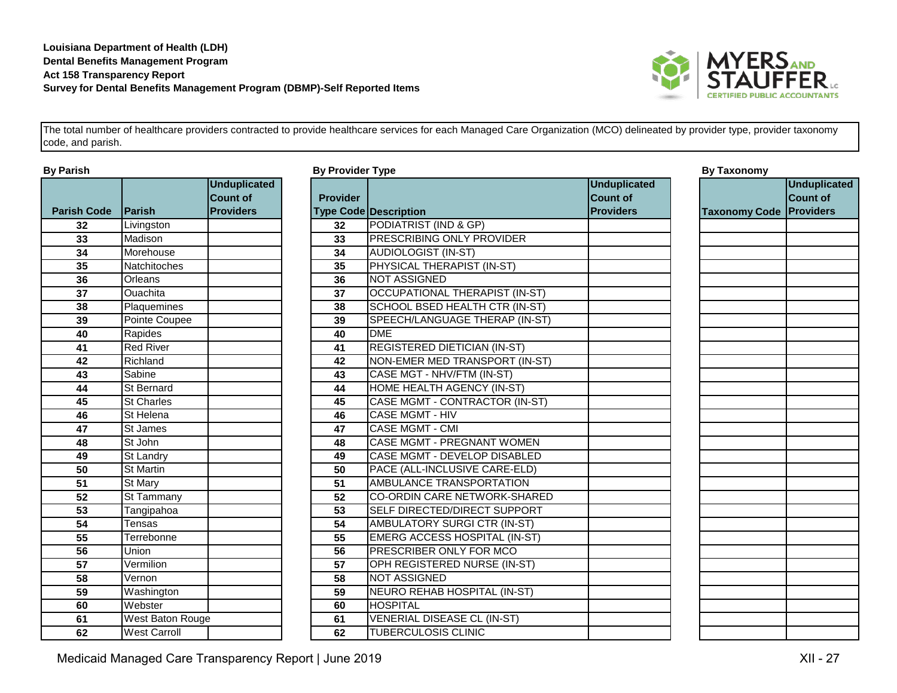

|                    |                     | <b>Unduplicated</b> |                 |                               |
|--------------------|---------------------|---------------------|-----------------|-------------------------------|
|                    |                     | <b>Count of</b>     | <b>Provider</b> |                               |
| <b>Parish Code</b> | Parish              | <b>Providers</b>    |                 | Type Code Description         |
| 32                 | Livingston          |                     | 32              | PODIATRIST (IND & GP)         |
| 33                 | Madison             |                     | 33              | PRESCRIBING ONLY PR           |
| 34                 | Morehouse           |                     | 34              | AUDIOLOGIST (IN-ST)           |
| 35                 | Natchitoches        |                     | 35              | PHYSICAL THERAPIST (I         |
| 36                 | Orleans             |                     | 36              | NOT ASSIGNED                  |
| 37                 | Ouachita            |                     | 37              | <b>OCCUPATIONAL THERA</b>     |
| 38                 | Plaquemines         |                     | 38              | <b>SCHOOL BSED HEALTH</b>     |
| 39                 | Pointe Coupee       |                     | 39              | SPEECH/LANGUAGE TH            |
| 40                 | Rapides             |                     | 40              | <b>DME</b>                    |
| 41                 | <b>Red River</b>    |                     | 41              | <b>REGISTERED DIETICIAN</b>   |
| 42                 | Richland            |                     | 42              | <b>NON-EMER MED TRANS</b>     |
| 43                 | Sabine              |                     | 43              | <b>CASE MGT - NHV/FTM (II</b> |
| 44                 | St Bernard          |                     | 44              | HOME HEALTH AGENCY            |
| 45                 | <b>St Charles</b>   |                     | 45              | CASE MGMT - CONTRAC           |
| 46                 | St Helena           |                     | 46              | <b>CASE MGMT - HIV</b>        |
| 47                 | St James            |                     | 47              | CASE MGMT - CMI               |
| 48                 | St John             |                     | 48              | CASE MGMT - PREGNAN           |
| 49                 | St Landry           |                     | 49              | CASE MGMT - DEVELOP           |
| 50                 | <b>St Martin</b>    |                     | 50              | PACE (ALL-INCLUSIVE C         |
| 51                 | St Mary             |                     | 51              | <b>AMBULANCE TRANSPOR</b>     |
| 52                 | St Tammany          |                     | 52              | <b>CO-ORDIN CARE NETWO</b>    |
| $\overline{53}$    | Tangipahoa          |                     | $\overline{53}$ | <b>SELF DIRECTED/DIRECT</b>   |
| 54                 | Tensas              |                     | 54              | <b>AMBULATORY SURGICT</b>     |
| 55                 | Terrebonne          |                     | 55              | <b>EMERG ACCESS HOSPI</b>     |
| 56                 | Union               |                     | 56              | <b>PRESCRIBER ONLY FOR</b>    |
| 57                 | Vermilion           |                     | 57              | <b>OPH REGISTERED NURS</b>    |
| 58                 | Vernon              |                     | 58              | <b>NOT ASSIGNED</b>           |
| 59                 | Washington          |                     | 59              | NEURO REHAB HOSPITA           |
| 60                 | Webster             |                     | 60              | <b>HOSPITAL</b>               |
| 61                 | West Baton Rouge    |                     | 61              | <b>VENERIAL DISEASE CL</b>    |
| 62                 | <b>West Carroll</b> |                     | 62              | <b>TUBERCULOSIS CLINIC</b>    |

| By Parish          |                      |                                        | <b>By Provider Type</b> |                                       |                                        | <b>By Taxonomy</b>             |                                 |  |
|--------------------|----------------------|----------------------------------------|-------------------------|---------------------------------------|----------------------------------------|--------------------------------|---------------------------------|--|
|                    |                      | <b>Unduplicated</b><br><b>Count of</b> | <b>Provider</b>         |                                       | <b>Unduplicated</b><br><b>Count of</b> |                                | <b>Unduplicated</b><br>Count of |  |
| <b>Parish Code</b> | Parish               | <b>Providers</b>                       |                         | <b>Type Code Description</b>          | <b>Providers</b>                       | <b>Taxonomy Code Providers</b> |                                 |  |
| 32                 | Livingston           |                                        | 32                      | PODIATRIST (IND & GP)                 |                                        |                                |                                 |  |
| 33                 | Madison              |                                        | 33                      | <b>PRESCRIBING ONLY PROVIDER</b>      |                                        |                                |                                 |  |
| 34                 | Morehouse            |                                        | 34                      | <b>AUDIOLOGIST (IN-ST)</b>            |                                        |                                |                                 |  |
| 35                 | Natchitoches         |                                        | 35                      | PHYSICAL THERAPIST (IN-ST)            |                                        |                                |                                 |  |
| 36                 | Orleans              |                                        | 36                      | <b>NOT ASSIGNED</b>                   |                                        |                                |                                 |  |
| 37                 | Ouachita             |                                        | 37                      | <b>OCCUPATIONAL THERAPIST (IN-ST)</b> |                                        |                                |                                 |  |
| 38                 | Plaquemines          |                                        | 38                      | SCHOOL BSED HEALTH CTR (IN-ST)        |                                        |                                |                                 |  |
| 39                 | Pointe Coupee        |                                        | 39                      | SPEECH/LANGUAGE THERAP (IN-ST)        |                                        |                                |                                 |  |
| 40                 | Rapides              |                                        | 40                      | <b>DME</b>                            |                                        |                                |                                 |  |
| 41                 | <b>Red River</b>     |                                        | 41                      | <b>REGISTERED DIETICIAN (IN-ST)</b>   |                                        |                                |                                 |  |
| 42                 | Richland             |                                        | 42                      | NON-EMER MED TRANSPORT (IN-ST)        |                                        |                                |                                 |  |
| 43                 | Sabine               |                                        | 43                      | CASE MGT - NHV/FTM (IN-ST)            |                                        |                                |                                 |  |
| 44                 | St Bernard           |                                        | 44                      | HOME HEALTH AGENCY (IN-ST)            |                                        |                                |                                 |  |
| 45                 | <b>St Charles</b>    |                                        | 45                      | CASE MGMT - CONTRACTOR (IN-ST)        |                                        |                                |                                 |  |
| 46                 | St Helena            |                                        | 46                      | <b>CASE MGMT - HIV</b>                |                                        |                                |                                 |  |
| 47                 | St James             |                                        | 47                      | <b>CASE MGMT - CMI</b>                |                                        |                                |                                 |  |
| 48                 | $\overline{St}$ John |                                        | 48                      | <b>CASE MGMT - PREGNANT WOMEN</b>     |                                        |                                |                                 |  |
| 49                 | St Landry            |                                        | 49                      | CASE MGMT - DEVELOP DISABLED          |                                        |                                |                                 |  |
| 50                 | <b>St Martin</b>     |                                        | 50                      | PACE (ALL-INCLUSIVE CARE-ELD)         |                                        |                                |                                 |  |
| $\overline{51}$    | St Mary              |                                        | $\overline{51}$         | AMBULANCE TRANSPORTATION              |                                        |                                |                                 |  |
| 52                 | St Tammany           |                                        | 52                      | CO-ORDIN CARE NETWORK-SHARED          |                                        |                                |                                 |  |
| 53                 | Tangipahoa           |                                        | 53                      | SELF DIRECTED/DIRECT SUPPORT          |                                        |                                |                                 |  |
| $\overline{54}$    | Tensas               |                                        | $\overline{54}$         | <b>AMBULATORY SURGI CTR (IN-ST)</b>   |                                        |                                |                                 |  |
| 55                 | Terrebonne           |                                        | 55                      | <b>EMERG ACCESS HOSPITAL (IN-ST)</b>  |                                        |                                |                                 |  |
| 56                 | Union                |                                        | 56                      | PRESCRIBER ONLY FOR MCO               |                                        |                                |                                 |  |
| 57                 | Vermilion            |                                        | 57                      | OPH REGISTERED NURSE (IN-ST)          |                                        |                                |                                 |  |
| 58                 | Vernon               |                                        | 58                      | <b>NOT ASSIGNED</b>                   |                                        |                                |                                 |  |
| 59                 | Washington           |                                        | 59                      | NEURO REHAB HOSPITAL (IN-ST)          |                                        |                                |                                 |  |
| 60                 | Webster              |                                        | 60                      | <b>HOSPITAL</b>                       |                                        |                                |                                 |  |
| 61                 | West Baton Rouge     |                                        | 61                      | VENERIAL DISEASE CL (IN-ST)           |                                        |                                |                                 |  |
| 62                 | <b>West Carroll</b>  |                                        | 62                      | <b>ITUBERCULOSIS CLINIC</b>           |                                        |                                |                                 |  |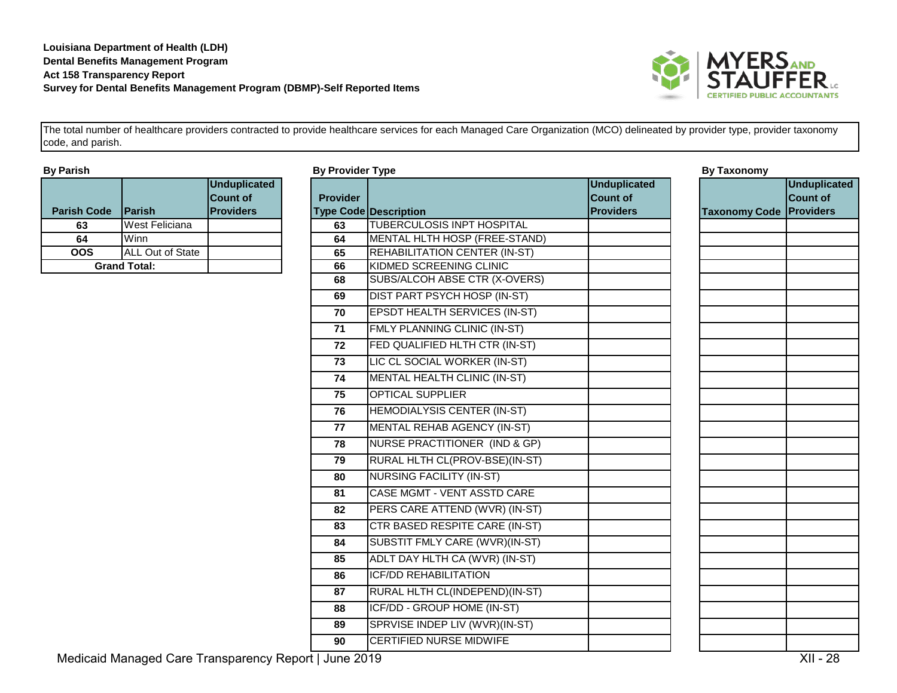

| <b>By Parish</b>    |                         |                                                     |
|---------------------|-------------------------|-----------------------------------------------------|
| <b>Parish Code</b>  | Parish                  | <b>Unduplicated</b><br>Count of<br><b>Providers</b> |
| 63                  | West Feliciana          |                                                     |
| 64                  | Winn                    |                                                     |
| OOS                 | <b>ALL Out of State</b> |                                                     |
| <b>Grand Total:</b> |                         |                                                     |

| By Parish          |                       |                                                     | <b>By Provider Type</b> |                                       |                                                            | <b>By Taxonomy</b>             |                                        |
|--------------------|-----------------------|-----------------------------------------------------|-------------------------|---------------------------------------|------------------------------------------------------------|--------------------------------|----------------------------------------|
| <b>Parish Code</b> | Parish                | <b>Unduplicated</b><br>Count of<br><b>Providers</b> | <b>Provider</b>         | <b>Type Code Description</b>          | <b>Unduplicated</b><br><b>Count of</b><br><b>Providers</b> | <b>Taxonomy Code Providers</b> | <b>Unduplicated</b><br><b>Count of</b> |
| 63                 | <b>West Feliciana</b> |                                                     | 63                      | <b>TUBERCULOSIS INPT HOSPITAL</b>     |                                                            |                                |                                        |
| 64                 | Winn                  |                                                     | 64                      | MENTAL HLTH HOSP (FREE-STAND)         |                                                            |                                |                                        |
| $\overline{OOS}$   | ALL Out of State      |                                                     | 65                      | REHABILITATION CENTER (IN-ST)         |                                                            |                                |                                        |
|                    | <b>Grand Total:</b>   |                                                     | 66                      | KIDMED SCREENING CLINIC               |                                                            |                                |                                        |
|                    |                       |                                                     | 68                      | SUBS/ALCOH ABSE CTR (X-OVERS)         |                                                            |                                |                                        |
|                    |                       |                                                     | 69                      | DIST PART PSYCH HOSP (IN-ST)          |                                                            |                                |                                        |
|                    |                       |                                                     | 70                      | <b>EPSDT HEALTH SERVICES (IN-ST)</b>  |                                                            |                                |                                        |
|                    |                       |                                                     | $\overline{71}$         | FMLY PLANNING CLINIC (IN-ST)          |                                                            |                                |                                        |
|                    |                       |                                                     | 72                      | FED QUALIFIED HLTH CTR (IN-ST)        |                                                            |                                |                                        |
|                    |                       |                                                     | 73                      | LIC CL SOCIAL WORKER (IN-ST)          |                                                            |                                |                                        |
|                    |                       |                                                     | 74                      | MENTAL HEALTH CLINIC (IN-ST)          |                                                            |                                |                                        |
|                    |                       |                                                     | 75                      | <b>OPTICAL SUPPLIER</b>               |                                                            |                                |                                        |
|                    |                       |                                                     | 76                      | <b>HEMODIALYSIS CENTER (IN-ST)</b>    |                                                            |                                |                                        |
|                    |                       |                                                     | 77                      | MENTAL REHAB AGENCY (IN-ST)           |                                                            |                                |                                        |
|                    |                       |                                                     | 78                      | NURSE PRACTITIONER (IND & GP)         |                                                            |                                |                                        |
|                    |                       |                                                     | 79                      | RURAL HLTH CL(PROV-BSE)(IN-ST)        |                                                            |                                |                                        |
|                    |                       |                                                     | 80                      | <b>NURSING FACILITY (IN-ST)</b>       |                                                            |                                |                                        |
|                    |                       |                                                     | 81                      | CASE MGMT - VENT ASSTD CARE           |                                                            |                                |                                        |
|                    |                       |                                                     | 82                      | PERS CARE ATTEND (WVR) (IN-ST)        |                                                            |                                |                                        |
|                    |                       |                                                     | 83                      | <b>CTR BASED RESPITE CARE (IN-ST)</b> |                                                            |                                |                                        |
|                    |                       |                                                     | 84                      | SUBSTIT FMLY CARE (WVR)(IN-ST)        |                                                            |                                |                                        |
|                    |                       |                                                     | 85                      | ADLT DAY HLTH CA (WVR) (IN-ST)        |                                                            |                                |                                        |
|                    |                       |                                                     | 86                      | <b>ICF/DD REHABILITATION</b>          |                                                            |                                |                                        |
|                    |                       |                                                     | 87                      | RURAL HLTH CL(INDEPEND)(IN-ST)        |                                                            |                                |                                        |
|                    |                       |                                                     | 88                      | <b>ICF/DD - GROUP HOME (IN-ST)</b>    |                                                            |                                |                                        |
|                    |                       |                                                     | 89                      | SPRVISE INDEP LIV (WVR)(IN-ST)        |                                                            |                                |                                        |
|                    |                       |                                                     | 90                      | <b>CERTIFIED NURSE MIDWIFE</b>        |                                                            |                                |                                        |
| .                  | $\sim$                |                                                     |                         |                                       |                                                            |                                | $\overline{1}$                         |

Medicaid Managed Care Transparency Report | June 2019 **XII - 28** Network 2019 XII - 28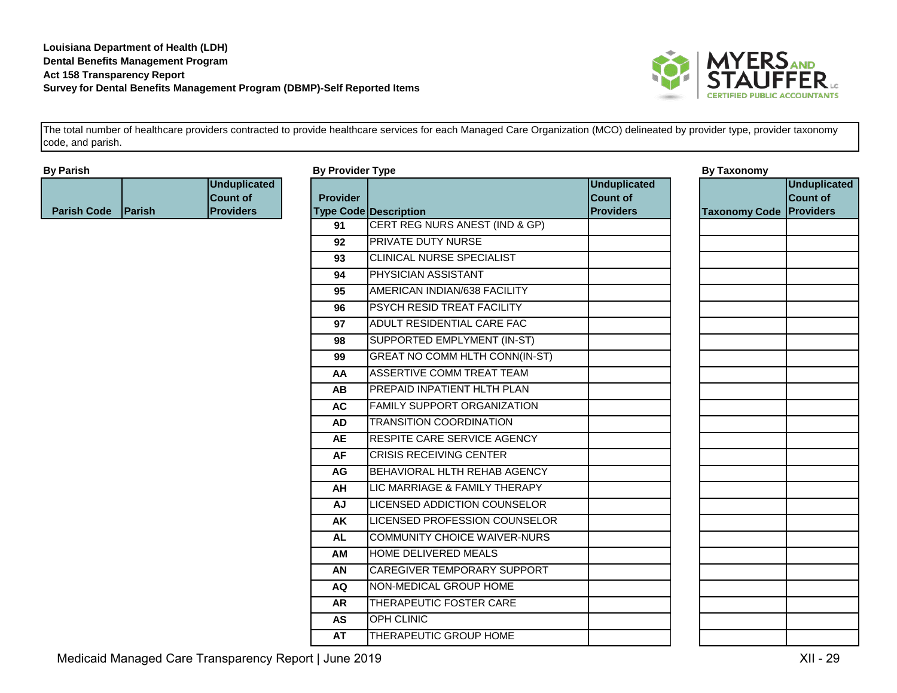

| <b>By Parish</b>   |        |                                                            |                 | <b>By Provider Type</b>              | <b>By Taxonomy</b>                                         |                                |                                 |
|--------------------|--------|------------------------------------------------------------|-----------------|--------------------------------------|------------------------------------------------------------|--------------------------------|---------------------------------|
| <b>Parish Code</b> | Parish | <b>Unduplicated</b><br><b>Count of</b><br><b>Providers</b> | <b>Provider</b> | <b>Type Code Description</b>         | <b>Unduplicated</b><br><b>Count of</b><br><b>Providers</b> | <b>Taxonomy Code Providers</b> | <b>Unduplicated</b><br>Count of |
|                    |        |                                                            | 91              | CERT REG NURS ANEST (IND & GP)       |                                                            |                                |                                 |
|                    |        |                                                            | 92              | <b>PRIVATE DUTY NURSE</b>            |                                                            |                                |                                 |
|                    |        |                                                            | 93              | CLINICAL NURSE SPECIALIST            |                                                            |                                |                                 |
|                    |        |                                                            | 94              | <b>PHYSICIAN ASSISTANT</b>           |                                                            |                                |                                 |
|                    |        |                                                            | 95              | AMERICAN INDIAN/638 FACILITY         |                                                            |                                |                                 |
|                    |        |                                                            | 96              | PSYCH RESID TREAT FACILITY           |                                                            |                                |                                 |
|                    |        |                                                            | 97              | ADULT RESIDENTIAL CARE FAC           |                                                            |                                |                                 |
|                    |        |                                                            | 98              | SUPPORTED EMPLYMENT (IN-ST)          |                                                            |                                |                                 |
|                    |        |                                                            | 99              | GREAT NO COMM HLTH CONN(IN-ST)       |                                                            |                                |                                 |
|                    |        |                                                            | AA              | ASSERTIVE COMM TREAT TEAM            |                                                            |                                |                                 |
|                    |        |                                                            | AB              | PREPAID INPATIENT HLTH PLAN          |                                                            |                                |                                 |
|                    |        |                                                            | <b>AC</b>       | <b>FAMILY SUPPORT ORGANIZATION</b>   |                                                            |                                |                                 |
|                    |        |                                                            | AD              | <b>TRANSITION COORDINATION</b>       |                                                            |                                |                                 |
|                    |        |                                                            | <b>AE</b>       | <b>RESPITE CARE SERVICE AGENCY</b>   |                                                            |                                |                                 |
|                    |        |                                                            | <b>AF</b>       | <b>CRISIS RECEIVING CENTER</b>       |                                                            |                                |                                 |
|                    |        |                                                            | <b>AG</b>       | BEHAVIORAL HLTH REHAB AGENCY         |                                                            |                                |                                 |
|                    |        |                                                            | AH              | LIC MARRIAGE & FAMILY THERAPY        |                                                            |                                |                                 |
|                    |        |                                                            | <b>AJ</b>       | <b>LICENSED ADDICTION COUNSELOR</b>  |                                                            |                                |                                 |
|                    |        |                                                            | AK              | <b>LICENSED PROFESSION COUNSELOR</b> |                                                            |                                |                                 |
|                    |        |                                                            | <b>AL</b>       | COMMUNITY CHOICE WAIVER-NURS         |                                                            |                                |                                 |
|                    |        |                                                            | AM              | <b>HOME DELIVERED MEALS</b>          |                                                            |                                |                                 |
|                    |        |                                                            | AN              | CAREGIVER TEMPORARY SUPPORT          |                                                            |                                |                                 |
|                    |        |                                                            | <b>AQ</b>       | NON-MEDICAL GROUP HOME               |                                                            |                                |                                 |
|                    |        |                                                            | <b>AR</b>       | <b>THERAPEUTIC FOSTER CARE</b>       |                                                            |                                |                                 |
|                    |        |                                                            | <b>AS</b>       | <b>OPH CLINIC</b>                    |                                                            |                                |                                 |
|                    |        |                                                            | <b>AT</b>       | THERAPEUTIC GROUP HOME               |                                                            |                                |                                 |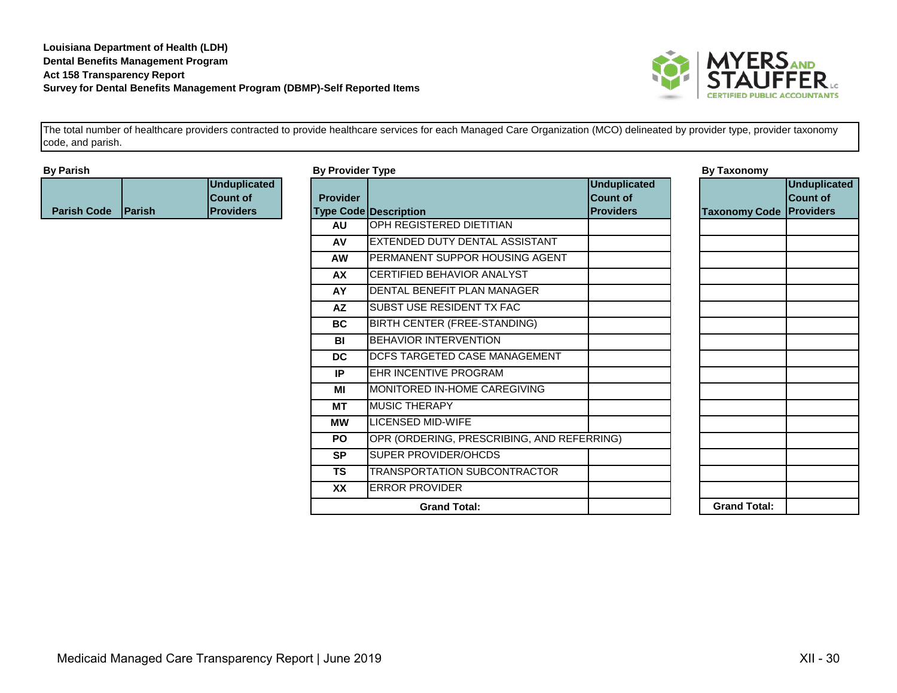

| <b>By Parish</b>          |                                                            | <b>By Provider Type</b> |                                            |                                                            | <b>By Taxonomy</b>             |                                        |
|---------------------------|------------------------------------------------------------|-------------------------|--------------------------------------------|------------------------------------------------------------|--------------------------------|----------------------------------------|
| <b>Parish Code Parish</b> | <b>Unduplicated</b><br><b>Count of</b><br><b>Providers</b> | <b>Provider</b>         | <b>Type Code Description</b>               | <b>Unduplicated</b><br><b>Count of</b><br><b>Providers</b> | <b>Taxonomy Code Providers</b> | <b>Unduplicated</b><br><b>Count of</b> |
|                           |                                                            | <b>AU</b>               | OPH REGISTERED DIETITIAN                   |                                                            |                                |                                        |
|                           |                                                            | AV                      | <b>EXTENDED DUTY DENTAL ASSISTANT</b>      |                                                            |                                |                                        |
|                           |                                                            | <b>AW</b>               | PERMANENT SUPPOR HOUSING AGENT             |                                                            |                                |                                        |
|                           |                                                            | AX                      | CERTIFIED BEHAVIOR ANALYST                 |                                                            |                                |                                        |
|                           |                                                            | AY                      | DENTAL BENEFIT PLAN MANAGER                |                                                            |                                |                                        |
|                           |                                                            | <b>AZ</b>               | SUBST USE RESIDENT TX FAC                  |                                                            |                                |                                        |
|                           |                                                            | BC                      | BIRTH CENTER (FREE-STANDING)               |                                                            |                                |                                        |
|                           |                                                            | BI                      | <b>BEHAVIOR INTERVENTION</b>               |                                                            |                                |                                        |
|                           |                                                            | <b>DC</b>               | <b>DCFS TARGETED CASE MANAGEMENT</b>       |                                                            |                                |                                        |
|                           |                                                            | IP                      | EHR INCENTIVE PROGRAM                      |                                                            |                                |                                        |
|                           |                                                            | MI                      | MONITORED IN-HOME CAREGIVING               |                                                            |                                |                                        |
|                           |                                                            | <b>MT</b>               | <b>MUSIC THERAPY</b>                       |                                                            |                                |                                        |
|                           |                                                            | <b>MW</b>               | <b>LICENSED MID-WIFE</b>                   |                                                            |                                |                                        |
|                           |                                                            | <b>PO</b>               | OPR (ORDERING, PRESCRIBING, AND REFERRING) |                                                            |                                |                                        |
|                           |                                                            | <b>SP</b>               | <b>SUPER PROVIDER/OHCDS</b>                |                                                            |                                |                                        |
|                           |                                                            | <b>TS</b>               | <b>TRANSPORTATION SUBCONTRACTOR</b>        |                                                            |                                |                                        |
|                           |                                                            | <b>XX</b>               | <b>ERROR PROVIDER</b>                      |                                                            |                                |                                        |
|                           |                                                            |                         | <b>Grand Total:</b>                        |                                                            | <b>Grand Total:</b>            |                                        |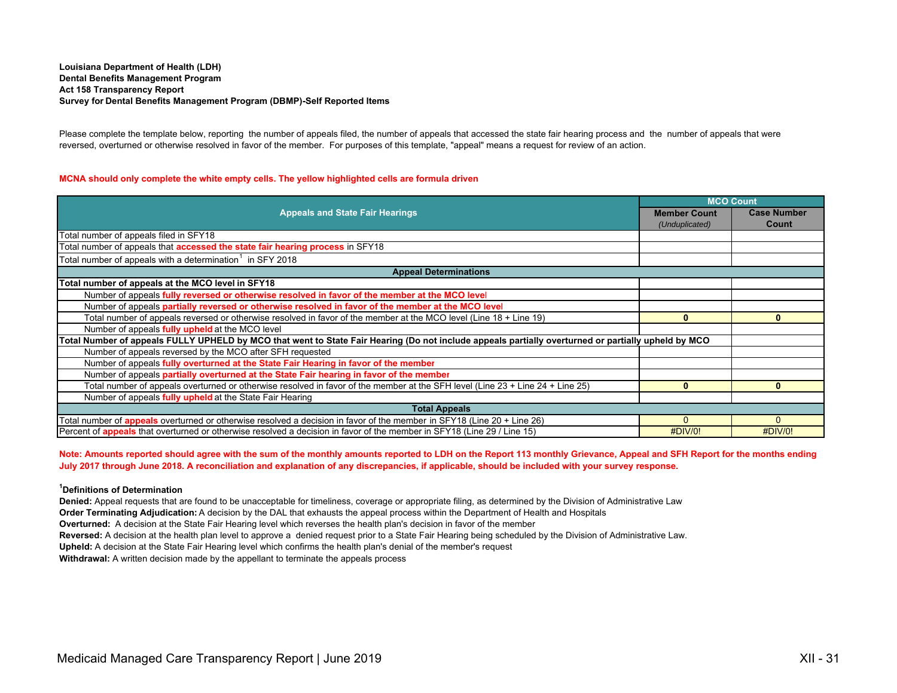# **Louisiana Department of Health (LDH) Dental Benefits Management Program Act 158 Transparency Report Survey for Dental Benefits Management Program (DBMP)-Self Reported Items**

Please complete the template below, reporting the number of appeals filed, the number of appeals that accessed the state fair hearing process and the number of appeals that were reversed, overturned or otherwise resolved in favor of the member. For purposes of this template, "appeal" means a request for review of an action.

# **MCNA should only complete the white empty cells. The yellow highlighted cells are formula driven**

|                                                                                                                                                     | <b>MCO Count</b>    |                    |  |  |
|-----------------------------------------------------------------------------------------------------------------------------------------------------|---------------------|--------------------|--|--|
| <b>Appeals and State Fair Hearings</b>                                                                                                              | <b>Member Count</b> | <b>Case Number</b> |  |  |
|                                                                                                                                                     | (Unduplicated)      | Count              |  |  |
| Total number of appeals filed in SFY18                                                                                                              |                     |                    |  |  |
| Total number of appeals that accessed the state fair hearing process in SFY18                                                                       |                     |                    |  |  |
| Total number of appeals with a determination <sup>1</sup> in SFY 2018                                                                               |                     |                    |  |  |
| <b>Appeal Determinations</b>                                                                                                                        |                     |                    |  |  |
| Total number of appeals at the MCO level in SFY18                                                                                                   |                     |                    |  |  |
| Number of appeals fully reversed or otherwise resolved in favor of the member at the MCO level                                                      |                     |                    |  |  |
| Number of appeals partially reversed or otherwise resolved in favor of the member at the MCO level                                                  |                     |                    |  |  |
| Total number of appeals reversed or otherwise resolved in favor of the member at the MCO level (Line 18 + Line 19)                                  | 0                   | 0                  |  |  |
| Number of appeals fully upheld at the MCO level                                                                                                     |                     |                    |  |  |
| Total Number of appeals FULLY UPHELD by MCO that went to State Fair Hearing (Do not include appeals partially overturned or partially upheld by MCO |                     |                    |  |  |
| Number of appeals reversed by the MCO after SFH requested                                                                                           |                     |                    |  |  |
| Number of appeals fully overturned at the State Fair Hearing in favor of the member                                                                 |                     |                    |  |  |
| Number of appeals partially overturned at the State Fair hearing in favor of the member                                                             |                     |                    |  |  |
| Total number of appeals overturned or otherwise resolved in favor of the member at the SFH level (Line 23 + Line 24 + Line 25)                      | $\mathbf{0}$        | $\mathbf{0}$       |  |  |
| Number of appeals fully upheld at the State Fair Hearing                                                                                            |                     |                    |  |  |
| <b>Total Appeals</b>                                                                                                                                |                     |                    |  |  |
| Total number of <b>appeals</b> overturned or otherwise resolved a decision in favor of the member in SFY18 (Line 20 + Line 26)                      | $\Omega$            | $\Omega$           |  |  |
| Percent of appeals that overturned or otherwise resolved a decision in favor of the member in SFY18 (Line 29 / Line 15)                             | #DIV/0!             | #DIV/0!            |  |  |

**Note: Amounts reported should agree with the sum of the monthly amounts reported to LDH on the Report 113 monthly Grievance, Appeal and SFH Report for the months ending July 2017 through June 2018. A reconciliation and explanation of any discrepancies, if applicable, should be included with your survey response.**

# **1Definitions of Determination**

**Denied:** Appeal requests that are found to be unacceptable for timeliness, coverage or appropriate filing, as determined by the Division of Administrative Law

**Order Terminating Adjudication:** A decision by the DAL that exhausts the appeal process within the Department of Health and Hospitals

**Overturned:** A decision at the State Fair Hearing level which reverses the health plan's decision in favor of the member

**Reversed:** A decision at the health plan level to approve a denied request prior to a State Fair Hearing being scheduled by the Division of Administrative Law.

**Upheld:** A decision at the State Fair Hearing level which confirms the health plan's denial of the member's request

**Withdrawal:** A written decision made by the appellant to terminate the appeals process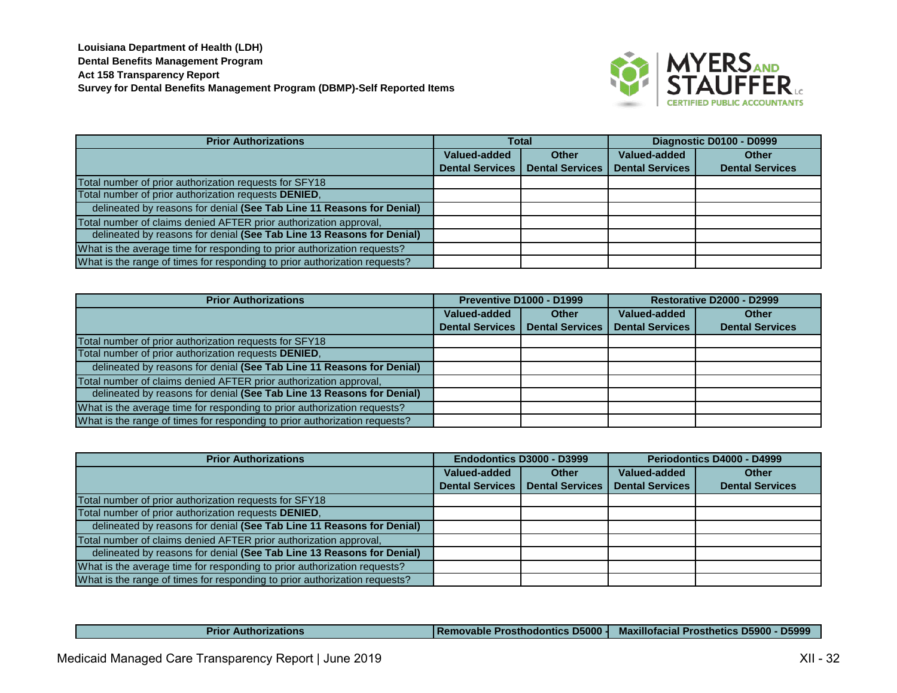

| <b>Prior Authorizations</b>                                                | <b>Total</b>           |                        |                        | Diagnostic D0100 - D0999 |
|----------------------------------------------------------------------------|------------------------|------------------------|------------------------|--------------------------|
|                                                                            | Valued-added           | Other                  | Valued-added           | <b>Other</b>             |
|                                                                            | <b>Dental Services</b> | <b>Dental Services</b> | <b>Dental Services</b> | <b>Dental Services</b>   |
| Total number of prior authorization requests for SFY18                     |                        |                        |                        |                          |
| Total number of prior authorization requests DENIED,                       |                        |                        |                        |                          |
| delineated by reasons for denial (See Tab Line 11 Reasons for Denial)      |                        |                        |                        |                          |
| Total number of claims denied AFTER prior authorization approval,          |                        |                        |                        |                          |
| delineated by reasons for denial (See Tab Line 13 Reasons for Denial)      |                        |                        |                        |                          |
| What is the average time for responding to prior authorization requests?   |                        |                        |                        |                          |
| What is the range of times for responding to prior authorization requests? |                        |                        |                        |                          |

| <b>Prior Authorizations</b>                                                |                        | <b>Preventive D1000 - D1999</b> |                        | Restorative D2000 - D2999 |
|----------------------------------------------------------------------------|------------------------|---------------------------------|------------------------|---------------------------|
|                                                                            | Valued-added           | <b>Other</b>                    | Valued-added           | <b>Other</b>              |
|                                                                            | <b>Dental Services</b> | <b>Dental Services</b>          | <b>Dental Services</b> | <b>Dental Services</b>    |
| Total number of prior authorization requests for SFY18                     |                        |                                 |                        |                           |
| Total number of prior authorization requests DENIED,                       |                        |                                 |                        |                           |
| delineated by reasons for denial (See Tab Line 11 Reasons for Denial)      |                        |                                 |                        |                           |
| Total number of claims denied AFTER prior authorization approval,          |                        |                                 |                        |                           |
| delineated by reasons for denial (See Tab Line 13 Reasons for Denial)      |                        |                                 |                        |                           |
| What is the average time for responding to prior authorization requests?   |                        |                                 |                        |                           |
| What is the range of times for responding to prior authorization requests? |                        |                                 |                        |                           |

| <b>Prior Authorizations</b>                                                | Endodontics D3000 - D3999 |                        | Periodontics D4000 - D4999 |                        |
|----------------------------------------------------------------------------|---------------------------|------------------------|----------------------------|------------------------|
|                                                                            | Valued-added              | <b>Other</b>           | Valued-added               | <b>Other</b>           |
|                                                                            | <b>Dental Services</b>    | <b>Dental Services</b> | <b>Dental Services</b>     | <b>Dental Services</b> |
| Total number of prior authorization requests for SFY18                     |                           |                        |                            |                        |
| Total number of prior authorization requests DENIED,                       |                           |                        |                            |                        |
| delineated by reasons for denial (See Tab Line 11 Reasons for Denial)      |                           |                        |                            |                        |
| Total number of claims denied AFTER prior authorization approval,          |                           |                        |                            |                        |
| delineated by reasons for denial (See Tab Line 13 Reasons for Denial)      |                           |                        |                            |                        |
| What is the average time for responding to prior authorization requests?   |                           |                        |                            |                        |
| What is the range of times for responding to prior authorization requests? |                           |                        |                            |                        |

| <b>Prior Authorizations</b> |  | <b>IRemovable Prosthodontics D5000   Maxillofacial Prosthetics D5900 - D5999</b> |
|-----------------------------|--|----------------------------------------------------------------------------------|
|-----------------------------|--|----------------------------------------------------------------------------------|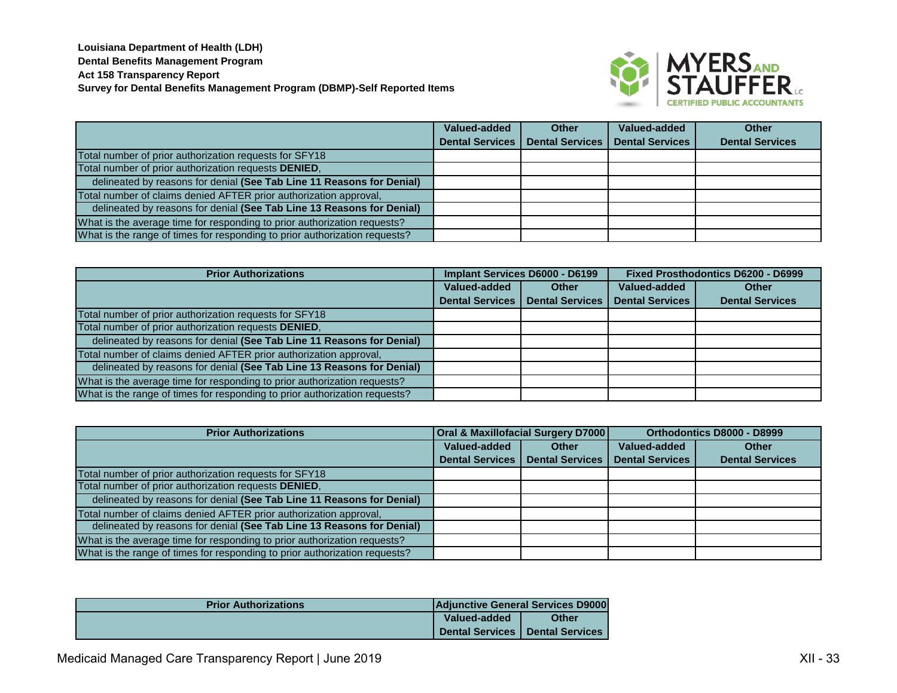

|                                                                            | Valued-added           | <b>Other</b>           | Valued-added           | Other                  |
|----------------------------------------------------------------------------|------------------------|------------------------|------------------------|------------------------|
|                                                                            | <b>Dental Services</b> | <b>Dental Services</b> | <b>Dental Services</b> | <b>Dental Services</b> |
| Total number of prior authorization requests for SFY18                     |                        |                        |                        |                        |
| Total number of prior authorization requests DENIED,                       |                        |                        |                        |                        |
| delineated by reasons for denial (See Tab Line 11 Reasons for Denial)      |                        |                        |                        |                        |
| Total number of claims denied AFTER prior authorization approval,          |                        |                        |                        |                        |
| delineated by reasons for denial (See Tab Line 13 Reasons for Denial)      |                        |                        |                        |                        |
| What is the average time for responding to prior authorization requests?   |                        |                        |                        |                        |
| What is the range of times for responding to prior authorization requests? |                        |                        |                        |                        |

| <b>Prior Authorizations</b>                                                | Implant Services D6000 - D6199 |                        | Fixed Prosthodontics D6200 - D6999 |                        |
|----------------------------------------------------------------------------|--------------------------------|------------------------|------------------------------------|------------------------|
|                                                                            | Valued-added                   | <b>Other</b>           | Valued-added                       | <b>Other</b>           |
|                                                                            | <b>Dental Services</b>         | <b>Dental Services</b> | <b>Dental Services</b>             | <b>Dental Services</b> |
| Total number of prior authorization requests for SFY18                     |                                |                        |                                    |                        |
| Total number of prior authorization requests DENIED,                       |                                |                        |                                    |                        |
| delineated by reasons for denial (See Tab Line 11 Reasons for Denial)      |                                |                        |                                    |                        |
| Total number of claims denied AFTER prior authorization approval,          |                                |                        |                                    |                        |
| delineated by reasons for denial (See Tab Line 13 Reasons for Denial)      |                                |                        |                                    |                        |
| What is the average time for responding to prior authorization requests?   |                                |                        |                                    |                        |
| What is the range of times for responding to prior authorization requests? |                                |                        |                                    |                        |

| <b>Prior Authorizations</b>                                                | <b>Oral &amp; Maxillofacial Surgery D7000</b> |                        | Orthodontics D8000 - D8999 |                        |
|----------------------------------------------------------------------------|-----------------------------------------------|------------------------|----------------------------|------------------------|
|                                                                            | Valued-added                                  | <b>Other</b>           | Valued-added               | <b>Other</b>           |
|                                                                            | <b>Dental Services</b>                        | <b>Dental Services</b> | <b>Dental Services</b>     | <b>Dental Services</b> |
| Total number of prior authorization requests for SFY18                     |                                               |                        |                            |                        |
| Total number of prior authorization requests DENIED,                       |                                               |                        |                            |                        |
| delineated by reasons for denial (See Tab Line 11 Reasons for Denial)      |                                               |                        |                            |                        |
| Total number of claims denied AFTER prior authorization approval,          |                                               |                        |                            |                        |
| delineated by reasons for denial (See Tab Line 13 Reasons for Denial)      |                                               |                        |                            |                        |
| What is the average time for responding to prior authorization requests?   |                                               |                        |                            |                        |
| What is the range of times for responding to prior authorization requests? |                                               |                        |                            |                        |

| <b>Prior Authorizations</b> | <b>Adjunctive General Services D9000</b> |                                          |  |
|-----------------------------|------------------------------------------|------------------------------------------|--|
|                             | Valued-added                             | <b>Other</b>                             |  |
|                             |                                          | <b>Dental Services   Dental Services</b> |  |